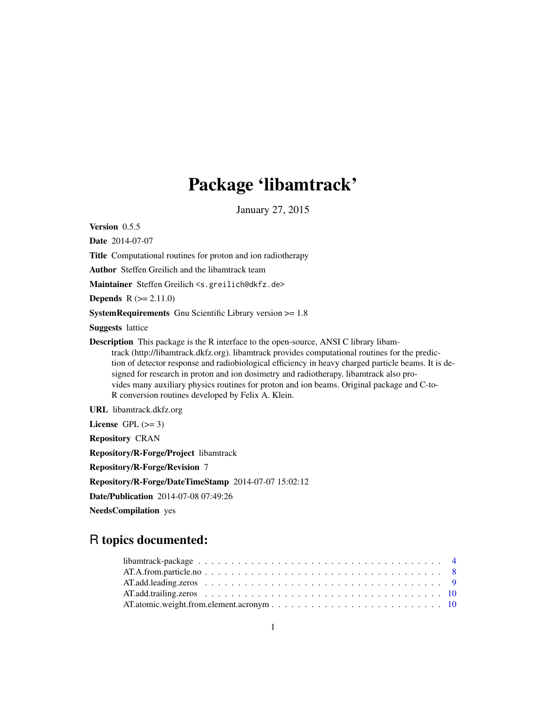# Package 'libamtrack'

January 27, 2015

Version 0.5.5

Date 2014-07-07 Title Computational routines for proton and ion radiotherapy Author Steffen Greilich and the libamtrack team Maintainer Steffen Greilich <s.greilich@dkfz.de> **Depends**  $R (= 2.11.0)$ SystemRequirements Gnu Scientific Library version >= 1.8 Suggests lattice Description This package is the R interface to the open-source, ANSI C library libamtrack (http://libamtrack.dkfz.org). libamtrack provides computational routines for the prediction of detector response and radiobiological efficiency in heavy charged particle beams. It is designed for research in proton and ion dosimetry and radiotherapy. libamtrack also provides many auxiliary physics routines for proton and ion beams. Original package and C-to-R conversion routines developed by Felix A. Klein.

URL libamtrack.dkfz.org

License GPL  $(>= 3)$ 

Repository CRAN

Repository/R-Forge/Project libamtrack

Repository/R-Forge/Revision 7

Repository/R-Forge/DateTimeStamp 2014-07-07 15:02:12

Date/Publication 2014-07-08 07:49:26

NeedsCompilation yes

# R topics documented: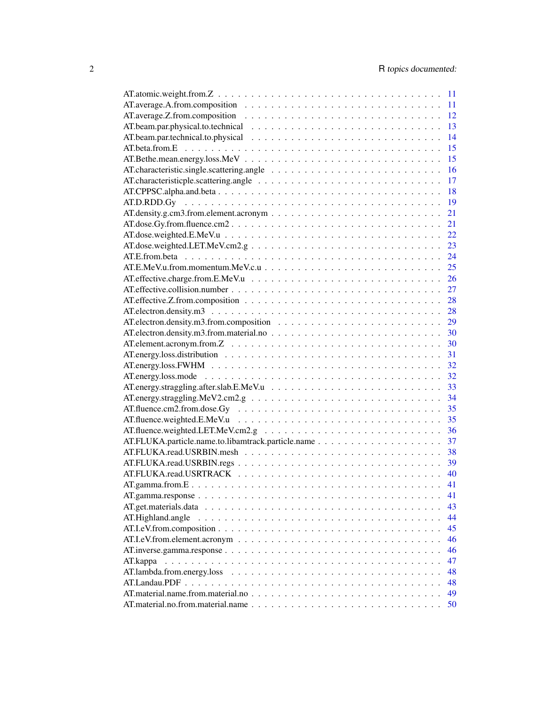|                                                                                                                     | 11 |
|---------------------------------------------------------------------------------------------------------------------|----|
|                                                                                                                     | 12 |
|                                                                                                                     | 13 |
|                                                                                                                     | 14 |
|                                                                                                                     | 15 |
|                                                                                                                     | 15 |
|                                                                                                                     | 16 |
|                                                                                                                     | 17 |
|                                                                                                                     | 18 |
|                                                                                                                     | 19 |
|                                                                                                                     | 21 |
|                                                                                                                     | 21 |
|                                                                                                                     | 22 |
|                                                                                                                     |    |
|                                                                                                                     | 23 |
|                                                                                                                     | 24 |
|                                                                                                                     | 25 |
|                                                                                                                     | 26 |
|                                                                                                                     | 27 |
|                                                                                                                     | 28 |
|                                                                                                                     |    |
|                                                                                                                     | 29 |
|                                                                                                                     |    |
|                                                                                                                     | 30 |
|                                                                                                                     |    |
|                                                                                                                     |    |
|                                                                                                                     |    |
|                                                                                                                     |    |
|                                                                                                                     | 34 |
|                                                                                                                     |    |
|                                                                                                                     |    |
|                                                                                                                     | 36 |
|                                                                                                                     | 37 |
|                                                                                                                     |    |
|                                                                                                                     | 38 |
|                                                                                                                     | 39 |
|                                                                                                                     |    |
|                                                                                                                     | 41 |
|                                                                                                                     | 41 |
| AT.get.materials.data                                                                                               | 43 |
|                                                                                                                     | 44 |
|                                                                                                                     | 45 |
|                                                                                                                     | 46 |
|                                                                                                                     | 46 |
| AT.kappa<br>a de la caractería de la caractería de la caractería de la caractería de la caractería de la caractería | 47 |
|                                                                                                                     | 48 |
|                                                                                                                     | 48 |
|                                                                                                                     | 49 |
|                                                                                                                     | 50 |
|                                                                                                                     |    |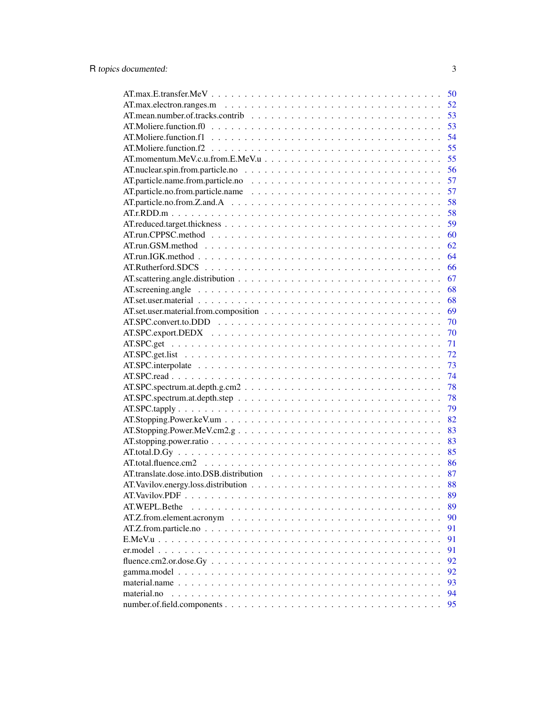| $AT.max.E.transfer.MeV \ldots \ldots \ldots \ldots \ldots \ldots \ldots \ldots \ldots \ldots \ldots \ldots \ldots$ | 50 |
|--------------------------------------------------------------------------------------------------------------------|----|
|                                                                                                                    | 52 |
|                                                                                                                    | 53 |
|                                                                                                                    | 53 |
|                                                                                                                    | 54 |
|                                                                                                                    | 55 |
|                                                                                                                    | 55 |
|                                                                                                                    | 56 |
|                                                                                                                    | 57 |
|                                                                                                                    | 57 |
|                                                                                                                    | 58 |
|                                                                                                                    | 58 |
|                                                                                                                    | 59 |
|                                                                                                                    | 60 |
|                                                                                                                    | 62 |
|                                                                                                                    | 64 |
|                                                                                                                    | 66 |
|                                                                                                                    | 67 |
|                                                                                                                    | 68 |
|                                                                                                                    | 68 |
|                                                                                                                    | 69 |
|                                                                                                                    |    |
|                                                                                                                    | 70 |
|                                                                                                                    | 70 |
|                                                                                                                    | 71 |
|                                                                                                                    | 72 |
|                                                                                                                    | 73 |
|                                                                                                                    | 74 |
|                                                                                                                    | 78 |
|                                                                                                                    | 78 |
|                                                                                                                    | 79 |
|                                                                                                                    | 82 |
|                                                                                                                    | 83 |
|                                                                                                                    | 83 |
|                                                                                                                    | 85 |
|                                                                                                                    | 86 |
|                                                                                                                    | 87 |
|                                                                                                                    | 88 |
|                                                                                                                    | 89 |
| AT.WEPL.Bethe                                                                                                      | 89 |
|                                                                                                                    | 90 |
|                                                                                                                    | 91 |
|                                                                                                                    | 91 |
|                                                                                                                    | 91 |
|                                                                                                                    | 92 |
|                                                                                                                    | 92 |
|                                                                                                                    | 93 |
| material.no                                                                                                        | 94 |
|                                                                                                                    | 95 |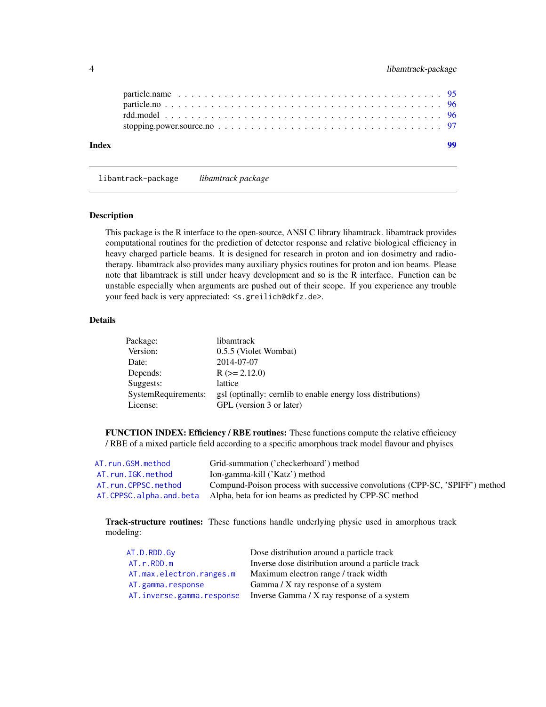<span id="page-3-0"></span>

libamtrack-package *libamtrack package*

#### Description

This package is the R interface to the open-source, ANSI C library libamtrack. libamtrack provides computational routines for the prediction of detector response and relative biological efficiency in heavy charged particle beams. It is designed for research in proton and ion dosimetry and radiotherapy. libamtrack also provides many auxiliary physics routines for proton and ion beams. Please note that libamtrack is still under heavy development and so is the R interface. Function can be unstable especially when arguments are pushed out of their scope. If you experience any trouble your feed back is very appreciated: <s.greilich@dkfz.de>.

# Details

| Package:            | libamtrack                                                   |
|---------------------|--------------------------------------------------------------|
| Version:            | 0.5.5 (Violet Wombat)                                        |
| Date:               | 2014-07-07                                                   |
| Depends:            | $R (= 2.12.0)$                                               |
| Suggests:           | lattice                                                      |
| SystemRequirements: | gsl (optinally: cernlib to enable energy loss distributions) |
| License:            | GPL (version 3 or later)                                     |

FUNCTION INDEX: Efficiency / RBE routines: These functions compute the relative efficiency / RBE of a mixed particle field according to a specific amorphous track model flavour and phyiscs

| AT.run.GSM.method       | Grid-summation ('checkerboard') method                                       |
|-------------------------|------------------------------------------------------------------------------|
| AT.run.IGK.method       | Ion-gamma-kill ('Katz') method                                               |
| AT.run.CPPSC.method     | Compund-Poison process with successive convolutions (CPP-SC, 'SPIFF') method |
| AT.CPPSC.alpha.and.beta | Alpha, beta for ion beams as predicted by CPP-SC method                      |

Track-structure routines: These functions handle underlying physic used in amorphous track modeling:

| AT.D.RDD.Gv               | Dose distribution around a particle track         |
|---------------------------|---------------------------------------------------|
| AT.r.RDD.m                | Inverse dose distribution around a particle track |
| AT.max.electron.ranges.m  | Maximum electron range / track width              |
| AT.gamma.response         | Gamma / X ray response of a system                |
| AT.inverse.gamma.response | Inverse Gamma / X ray response of a system        |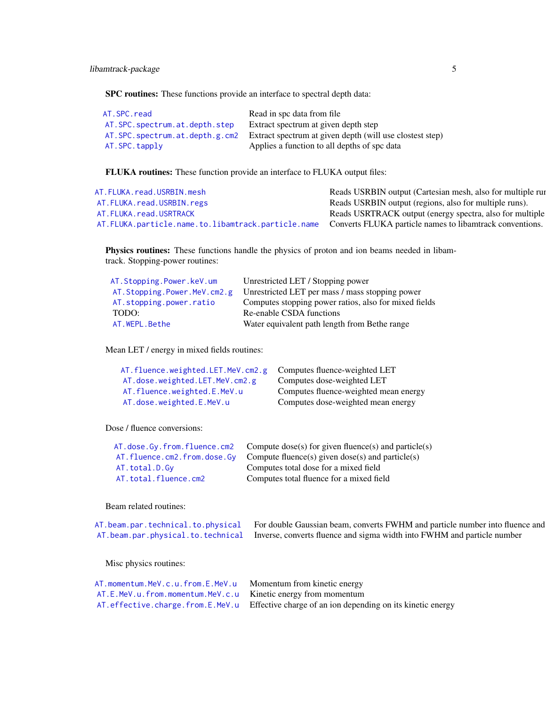SPC routines: These functions provide an interface to spectral depth data:

| AT.SPC.read                    | Read in spc data from file                               |
|--------------------------------|----------------------------------------------------------|
| AT.SPC.spectrum.at.depth.step  | Extract spectrum at given depth step                     |
| AT.SPC.spectrum.at.depth.g.cm2 | Extract spectrum at given depth (will use clostest step) |
| AT.SPC.tapply                  | Applies a function to all depths of spc data             |

FLUKA routines: These function provide an interface to FLUKA output files:

| AT.FLUKA.read.USRBIN.mesh                                                                                          | Reads USRBIN output (Cartesian mesh, also for multiple run |
|--------------------------------------------------------------------------------------------------------------------|------------------------------------------------------------|
| AT. FLUKA. read. USRBIN. regs                                                                                      | Reads USRBIN output (regions, also for multiple runs).     |
| AT. FLUKA. read. USRTRACK                                                                                          | Reads USRTRACK output (energy spectra, also for multiple   |
| AT. FLUKA. particle. name. to. libamtrack. particle. name Converts FLUKA particle names to libamtrack conventions. |                                                            |
|                                                                                                                    |                                                            |

Physics routines: These functions handle the physics of proton and ion beams needed in libamtrack. Stopping-power routines:

| AT.Stopping.Power.keV.um         | Unrestricted LET / Stopping power                     |
|----------------------------------|-------------------------------------------------------|
| AT. Stopping. Power. MeV. cm2. g | Unrestricted LET per mass / mass stopping power       |
| AT.stopping.power.ratio          | Computes stopping power ratios, also for mixed fields |
| TODO:                            | Re-enable CSDA functions                              |
| AT.WEPL.Bethe                    | Water equivalent path length from Bethe range         |

Mean LET / energy in mixed fields routines:

| AT.fluence.weighted.LET.MeV.cm2.g Computes fluence-weighted LET |                                       |
|-----------------------------------------------------------------|---------------------------------------|
| AT.dose.weighted.LET.MeV.cm2.g                                  | Computes dose-weighted LET            |
| AT.fluence.weighted.E.MeV.u                                     | Computes fluence-weighted mean energy |
| AT.dose.weighted.E.MeV.u                                        | Computes dose-weighted mean energy    |

Dose / fluence conversions:

|                             | AT. dose. Gy. from. fluence. cm2 Compute dose(s) for given fluence(s) and particle(s) |
|-----------------------------|---------------------------------------------------------------------------------------|
| AT.fluence.cm2.from.dose.Gy | Compute fluence(s) given dose(s) and particle(s)                                      |
| AT.total.D.Gv               | Computes total dose for a mixed field                                                 |
| AT.total.fluence.cm2        | Computes total fluence for a mixed field                                              |
|                             |                                                                                       |

Beam related routines:

| AT. beam. par. technical. to. physical For double Gaussian beam, converts FWHM and particle number into fluence and |
|---------------------------------------------------------------------------------------------------------------------|
| AT. beam. par. physical. to. technical Inverse, converts fluence and sigma width into FWHM and particle number      |

Misc physics routines:

| $AT.E.MeV.u.from.momentum.MeV.c.u$ Kinetic energy from momentum |                                                                                                   |
|-----------------------------------------------------------------|---------------------------------------------------------------------------------------------------|
|                                                                 | AT. effective. charge. from. E. MeV. u Effective charge of an ion depending on its kinetic energy |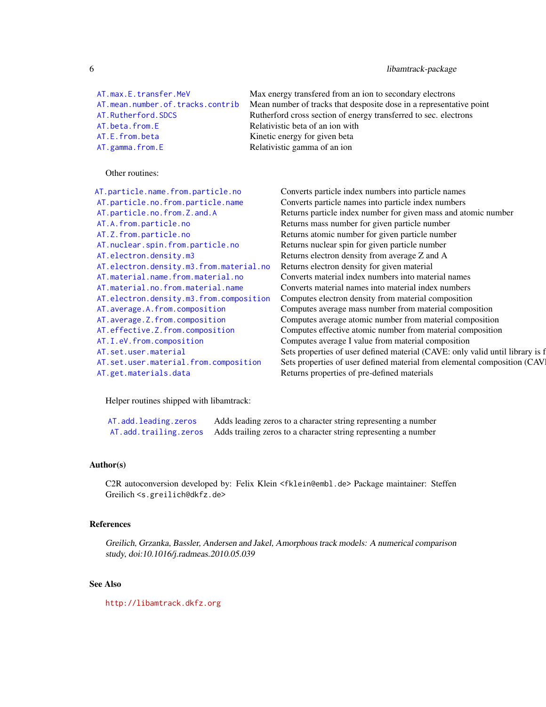# 6 libamtrack-package

AT. beta. from. E Relativistic beta of an ion with [AT.E.from.beta](#page-23-1) Kinetic energy for given beta [AT.gamma.from.E](#page-40-2) Relativistic gamma of an ion

[AT.max.E.transfer.MeV](#page-49-1) Max energy transfered from an ion to secondary electrons [AT.mean.number.of.tracks.contrib](#page-52-1) Mean number of tracks that desposite dose in a representative point AT. Rutherford. SDCS Rutherford cross section of energy transferred to sec. electrons

# Other routines:

| AT.particle.name.from.particle.no       | Converts particle index numbers into partic   |
|-----------------------------------------|-----------------------------------------------|
| AT.particle.no.from.particle.name       | Converts particle names into particle index   |
| AT.particle.no.from.Z.and.A             | Returns particle index number for given ma    |
| AT.A.from.particle.no                   | Returns mass number for given particle number |
| AT.Z.from.particle.no                   | Returns atomic number for given particle n    |
| AT.nuclear.spin.from.particle.no        | Returns nuclear spin for given particle num   |
| AT.electron.density.m3                  | Returns electron density from average Z an    |
| AT.electron.density.m3.from.material.no | Returns electron density for given material   |
| AT.material.name.from.material.no       | Converts material index numbers into mate     |
| AT.material.no.from.material.name       | Converts material names into material inde    |
| AT.electron.density.m3.from.composition | Computes electron density from material co    |
| AT.average.A.from.composition           | Computes average mass number from mate        |
| AT.average.Z.from.composition           | Computes average atomic number from ma        |
| AT.effective.Z.from.composition         | Computes effective atomic number from m       |
| AT.I.eV.from.composition                | Computes average I value from material co     |
| AT.set.user.material                    | Sets properties of user defined material (CA  |
| AT.set.user.material.from.composition   | Sets properties of user defined material from |
| AT.get.materials.data                   | Returns properties of pre-defined materials   |

Converts particle index numbers into particle names Converts particle names into particle index numbers Returns particle index number for given mass and atomic number Returns mass number for given particle number Returns atomic number for given particle number Returns nuclear spin for given particle number Returns electron density from average Z and A Returns electron density for given material Converts material index numbers into material names Converts material names into material index numbers Computes electron density from material composition Computes average mass number from material composition Computes average atomic number from material composition Computes effective atomic number from material composition Computes average I value from material composition Sets properties of user defined material (CAVE: only valid until library is f Sets properties of user defined material from elemental composition (CAV

Helper routines shipped with libamtrack:

[AT.add.leading.zeros](#page-8-1) Adds leading zeros to a character string representing a number [AT.add.trailing.zeros](#page-9-1) Adds trailing zeros to a character string representing a number

#### Author(s)

C2R autoconversion developed by: Felix Klein <fklein@embl.de> Package maintainer: Steffen Greilich <s.greilich@dkfz.de>

#### References

Greilich, Grzanka, Bassler, Andersen and Jakel, Amorphous track models: A numerical comparison study, doi:10.1016/j.radmeas.2010.05.039

#### See Also

<http://libamtrack.dkfz.org>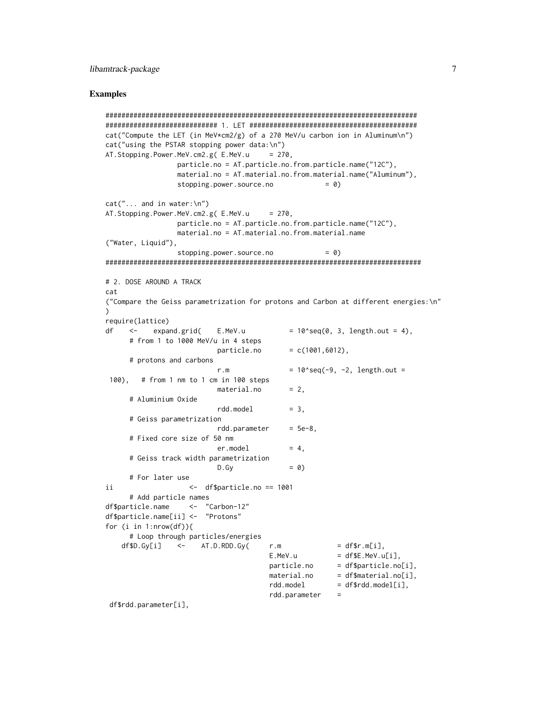#### Examples

```
##############################################################################
############################ 1. LET ##########################################
cat("Compute the LET (in MeV*cm2/g) of a 270 MeV/u carbon ion in Aluminum\n")
cat("using the PSTAR stopping power data:\n")
AT. Stopping. Power. MeV. cm2.g( E. MeV. u = 270,
                particle.no = AT.particle.no.from.particle.name("12C"),
                material.no = AT.material.no.from.material.name("Aluminum"),
                stopping.power.source.no = 0)
cat("... and in water:\n'AT.Stopping.Power.MeV.cm2.g( E.MeV.u = 270,particle.no = AT.particle.no.from.particle.name("12C"),
                material.no = AT.material.no.from.material.name
("Water, Liquid"),
                stopping.power.source.no = 0)
###############################################################################
# 2. DOSE AROUND A TRACK
cat
("Compare the Geiss parametrization for protons and Carbon at different energies:\n"
)
require(lattice)
df \langle - expand.grid( E.MeV.u = 10^{\circ}seq(0, 3, length.out = 4),
     # from 1 to 1000 MeV/u in 4 steps
                         particle.no = c(1001, 6012),# protons and carbons
                         r.m = 10^seq(-9, -2, length.out =
 100), # from 1 nm to 1 cm in 100 steps
                         material.no = 2,# Aluminium Oxide
                         rdd.model = 3,
     # Geiss parametrization
                         rdd.parameter = 5e-8,
     # Fixed core size of 50 nm
                         er.model = 4,# Geiss track width parametrization
                         D.Gy = 0)# For later use
ii <- df$particle.no == 1001
     # Add particle names
df$particle.name <- "Carbon-12"
df$particle.name[ii] <- "Protons"
for (i in 1:nrow(df)){
     # Loop through particles/energies
   df$D.Gy[i] \le - AT.D.RDD.Gy( r.m = df$r.m[i],
                                     E.MeV.u = dfE.MeV.u[i],particle.no = df$particle.no[i],
                                     material.no = df$material.nordd \text{.} \text{model} = df$rdd.model[i],
                                     rdd.parameter =
```
df\$rdd.parameter[i],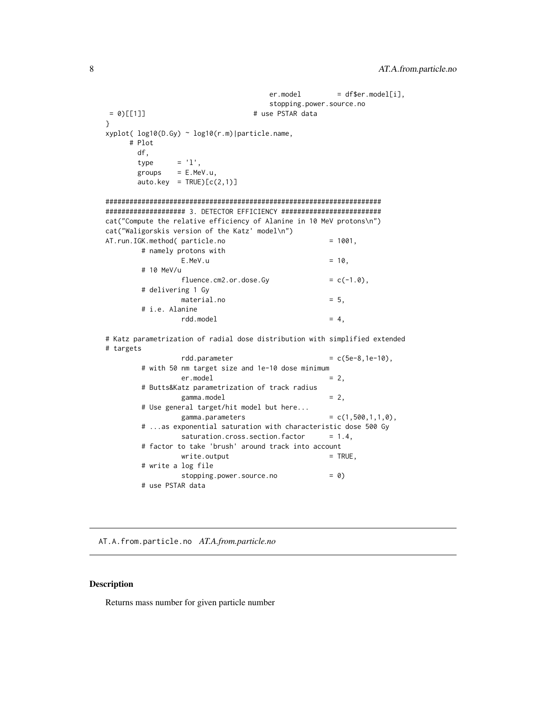```
er.model = df$er.model[i],
                                 stopping.power.source.no
= 0)[[1]] # use PSTAR data
}
xyplot( log10(D.Gy) ~ log10(r.m)|particle.name,
    # Plot
      df,
      type = 'l',groups = E.MeV.u,auto.key = TRUE)[c(2,1)]#####################################################################
#################### 3. DETECTOR EFFICIENCY #########################
cat("Compute the relative efficiency of Alanine in 10 MeV protons\n")
cat("Waligorskis version of the Katz' model\n")
AT.run.IGK.method( particle.no = 1001,
       # namely protons with
               E.MeV.u = 10,# 10 MeV/u
               fluence.cm2. or.dose.Gy = c(-1.0),# delivering 1 Gy
               material.no = 5,
       # i.e. Alanine
               rdd.model = 4,
# Katz parametrization of radial dose distribution with simplified extended
# targets
               rdd.parameter = c(5e-8,1e-10),
       # with 50 nm target size and 1e-10 dose minimum
               er.model = 2,
       # Butts&Katz parametrization of track radius
               gamma.model = 2,
       # Use general target/hit model but here...
               gamma. parameters = c(1, 500, 1, 1, 0),
       # ...as exponential saturation with characteristic dose 500 Gy
               saturation.cross.section.factor = 1.4,
       # factor to take 'brush' around track into account
```
 $write.output$  = TRUE, # write a log file stopping.power.source.no = 0) # use PSTAR data

<span id="page-7-1"></span>AT.A.from.particle.no *AT.A.from.particle.no*

# Description

Returns mass number for given particle number

<span id="page-7-0"></span>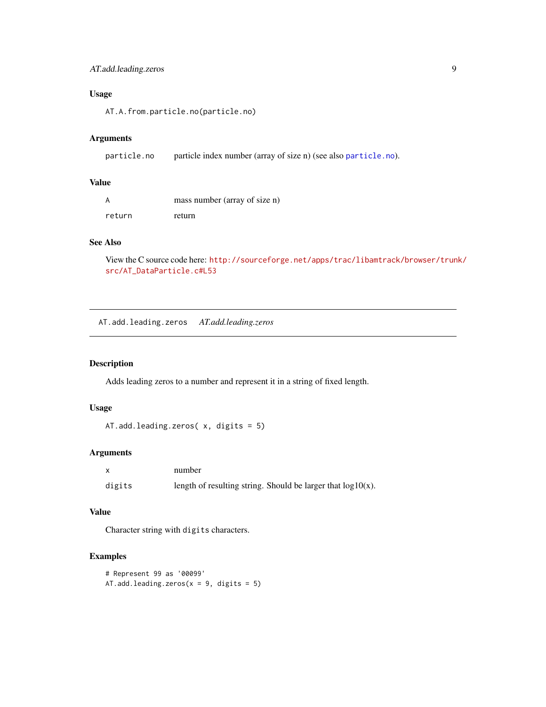# <span id="page-8-0"></span>AT.add.leading.zeros 9

# Usage

AT.A.from.particle.no(particle.no)

# Arguments

```
particle.no particle index number (array of size n) (see also particle.no).
```
# Value

|        | mass number (array of size n) |
|--------|-------------------------------|
| return | refurn                        |

# See Also

View the C source code here: [http://sourceforge.net/apps/trac/libamtrack/browser/trun](http://sourceforge.net/apps/trac/libamtrack/browser/trunk/src/AT_DataParticle.c#L53)k/ [src/AT\\_DataParticle.c#L53](http://sourceforge.net/apps/trac/libamtrack/browser/trunk/src/AT_DataParticle.c#L53)

<span id="page-8-1"></span>AT.add.leading.zeros *AT.add.leading.zeros*

# Description

Adds leading zeros to a number and represent it in a string of fixed length.

# Usage

```
AT.add.leading.zeros( x, digits = 5)
```
# Arguments

|        | number |                                                                 |
|--------|--------|-----------------------------------------------------------------|
| digits |        | length of resulting string. Should be larger that $log 10(x)$ . |

#### Value

Character string with digits characters.

# Examples

```
# Represent 99 as '00099'
AT.add.leading.zeros(x = 9, digits = 5)
```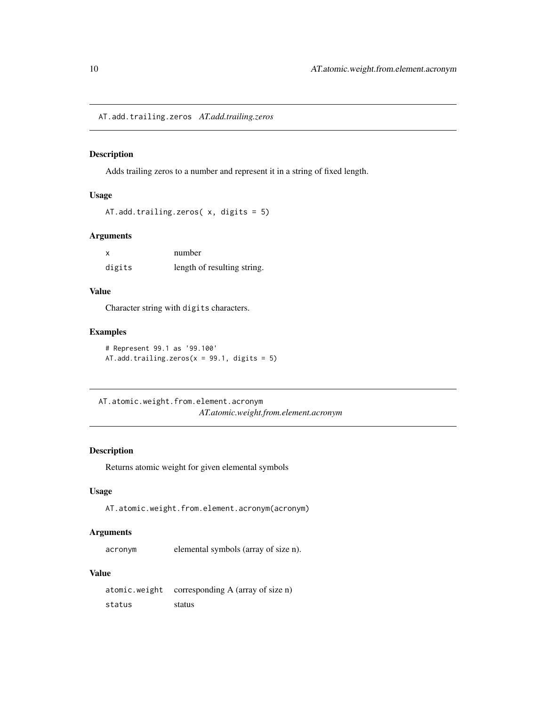<span id="page-9-1"></span><span id="page-9-0"></span>AT.add.trailing.zeros *AT.add.trailing.zeros*

# Description

Adds trailing zeros to a number and represent it in a string of fixed length.

# Usage

```
AT.add.trailing.zeros( x, digits = 5)
```
### Arguments

|        | number                      |
|--------|-----------------------------|
| digits | length of resulting string. |

# Value

Character string with digits characters.

#### Examples

# Represent 99.1 as '99.100' AT.add.trailing.zeros( $x = 99.1$ , digits = 5)

AT.atomic.weight.from.element.acronym *AT.atomic.weight.from.element.acronym*

#### Description

Returns atomic weight for given elemental symbols

# Usage

AT.atomic.weight.from.element.acronym(acronym)

#### Arguments

acronym elemental symbols (array of size n).

# Value

atomic.weight corresponding A (array of size n) status status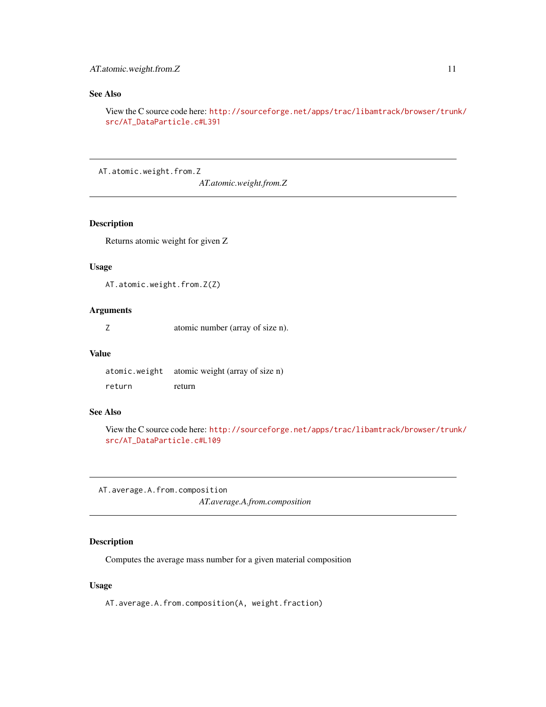# <span id="page-10-0"></span>See Also

View the C source code here: [http://sourceforge.net/apps/trac/libamtrack/browser/trun](http://sourceforge.net/apps/trac/libamtrack/browser/trunk/src/AT_DataParticle.c#L391)k/ [src/AT\\_DataParticle.c#L391](http://sourceforge.net/apps/trac/libamtrack/browser/trunk/src/AT_DataParticle.c#L391)

AT.atomic.weight.from.Z

*AT.atomic.weight.from.Z*

#### Description

Returns atomic weight for given Z

#### Usage

AT.atomic.weight.from.Z(Z)

#### Arguments

Z atomic number (array of size n).

#### Value

atomic.weight atomic weight (array of size n) return return

# See Also

View the C source code here: [http://sourceforge.net/apps/trac/libamtrack/browser/trun](http://sourceforge.net/apps/trac/libamtrack/browser/trunk/src/AT_DataParticle.c#L109)k/ [src/AT\\_DataParticle.c#L109](http://sourceforge.net/apps/trac/libamtrack/browser/trunk/src/AT_DataParticle.c#L109)

<span id="page-10-1"></span>AT.average.A.from.composition *AT.average.A.from.composition*

#### Description

Computes the average mass number for a given material composition

# Usage

AT.average.A.from.composition(A, weight.fraction)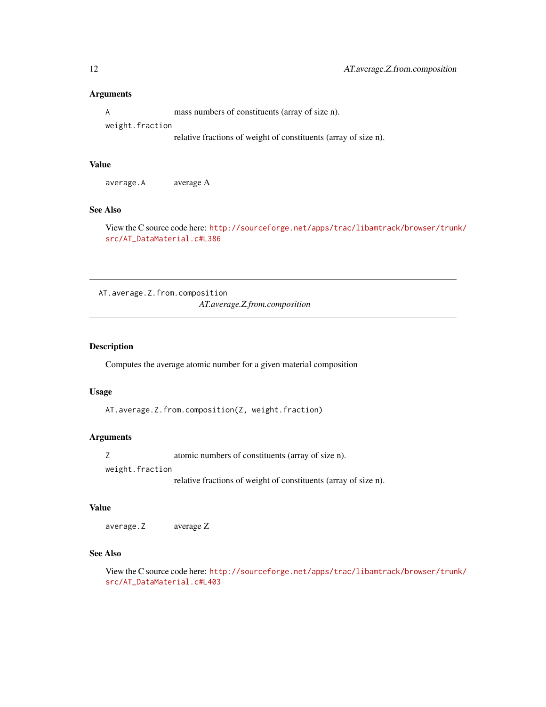<span id="page-11-0"></span>A mass numbers of constituents (array of size n). weight.fraction

relative fractions of weight of constituents (array of size n).

# Value

average.A average A

#### See Also

View the C source code here: [http://sourceforge.net/apps/trac/libamtrack/browser/trun](http://sourceforge.net/apps/trac/libamtrack/browser/trunk/src/AT_DataMaterial.c#L386)k/ [src/AT\\_DataMaterial.c#L386](http://sourceforge.net/apps/trac/libamtrack/browser/trunk/src/AT_DataMaterial.c#L386)

<span id="page-11-1"></span>AT.average.Z.from.composition *AT.average.Z.from.composition*

# Description

Computes the average atomic number for a given material composition

# Usage

AT.average.Z.from.composition(Z, weight.fraction)

# Arguments

Z atomic numbers of constituents (array of size n).

weight.fraction

relative fractions of weight of constituents (array of size n).

# Value

average.Z average Z

# See Also

View the C source code here: [http://sourceforge.net/apps/trac/libamtrack/browser/trun](http://sourceforge.net/apps/trac/libamtrack/browser/trunk/src/AT_DataMaterial.c#L403)k/ [src/AT\\_DataMaterial.c#L403](http://sourceforge.net/apps/trac/libamtrack/browser/trunk/src/AT_DataMaterial.c#L403)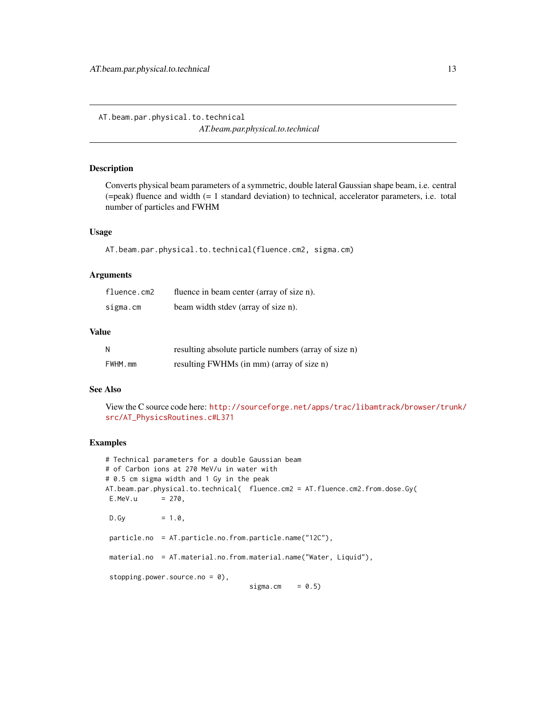<span id="page-12-1"></span><span id="page-12-0"></span>AT.beam.par.physical.to.technical *AT.beam.par.physical.to.technical*

# Description

Converts physical beam parameters of a symmetric, double lateral Gaussian shape beam, i.e. central (=peak) fluence and width (= 1 standard deviation) to technical, accelerator parameters, i.e. total number of particles and FWHM

# Usage

AT.beam.par.physical.to.technical(fluence.cm2, sigma.cm)

#### Arguments

| fluence.cm2 | fluence in beam center (array of size n). |
|-------------|-------------------------------------------|
| sigma.cm    | beam width stdev (array of size n).       |

#### Value

| Ν       | resulting absolute particle numbers (array of size n) |
|---------|-------------------------------------------------------|
| FWHM.mm | resulting FWHMs (in mm) (array of size n)             |

# See Also

View the C source code here: [http://sourceforge.net/apps/trac/libamtrack/browser/trun](http://sourceforge.net/apps/trac/libamtrack/browser/trunk/src/AT_PhysicsRoutines.c#L371)k/ [src/AT\\_PhysicsRoutines.c#L371](http://sourceforge.net/apps/trac/libamtrack/browser/trunk/src/AT_PhysicsRoutines.c#L371)

# Examples

```
# Technical parameters for a double Gaussian beam
# of Carbon ions at 270 MeV/u in water with
# 0.5 cm sigma width and 1 Gy in the peak
AT.beam.par.physical.to.technical( fluence.cm2 = AT.fluence.cm2.from.dose.Gy(
E.MeV.u = 270,D.Gy = 1.0,
particle.no = AT.particle.no.from.particle.name("12C"),
material.no = AT.material.no.from.material.name("Water, Liquid"),
stopping.power.source.no = 0),
                                  sigma.cm = 0.5)
```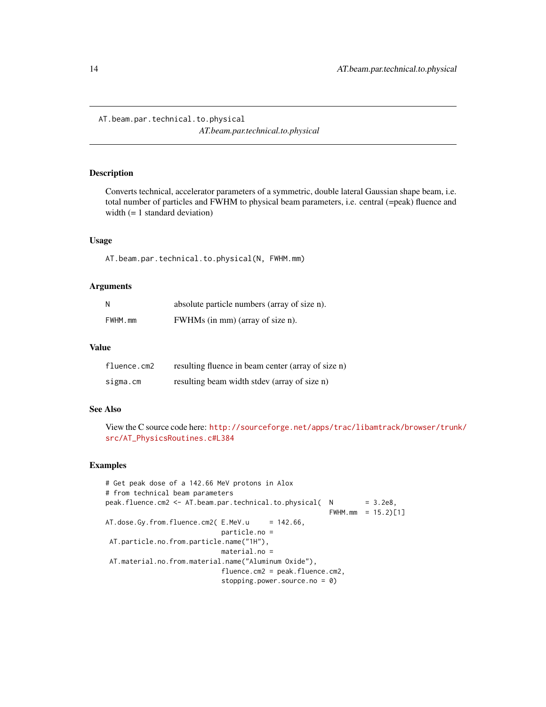<span id="page-13-1"></span><span id="page-13-0"></span>AT.beam.par.technical.to.physical *AT.beam.par.technical.to.physical*

#### Description

Converts technical, accelerator parameters of a symmetric, double lateral Gaussian shape beam, i.e. total number of particles and FWHM to physical beam parameters, i.e. central (=peak) fluence and width (= 1 standard deviation)

#### Usage

AT.beam.par.technical.to.physical(N, FWHM.mm)

#### Arguments

| N       | absolute particle numbers (array of size n). |
|---------|----------------------------------------------|
| FWHM.mm | FWHMs (in mm) (array of size n).             |

# Value

| fluence.cm2 | resulting fluence in beam center (array of size n) |
|-------------|----------------------------------------------------|
| sigma.cm    | resulting beam width stdev (array of size n)       |

# See Also

View the C source code here: [http://sourceforge.net/apps/trac/libamtrack/browser/trun](http://sourceforge.net/apps/trac/libamtrack/browser/trunk/src/AT_PhysicsRoutines.c#L384)k/ [src/AT\\_PhysicsRoutines.c#L384](http://sourceforge.net/apps/trac/libamtrack/browser/trunk/src/AT_PhysicsRoutines.c#L384)

#### Examples

```
# Get peak dose of a 142.66 MeV protons in Alox
# from technical beam parameters
peak.fluence.cm2 <- AT.beam.par.technical.to.physical( N = 3.2e8,
                                                      FWHM.mm = 15.2)[1]AT.dose.Gy.from.fluence.cm2( E.MeV.u = 142.66,
                            particle.no =
AT.particle.no.from.particle.name("1H"),
                            material.no =
AT.material.no.from.material.name("Aluminum Oxide"),
                            fluence.cm2 = peak.fluence.cm2,
                            stopping.power.source.no = 0)
```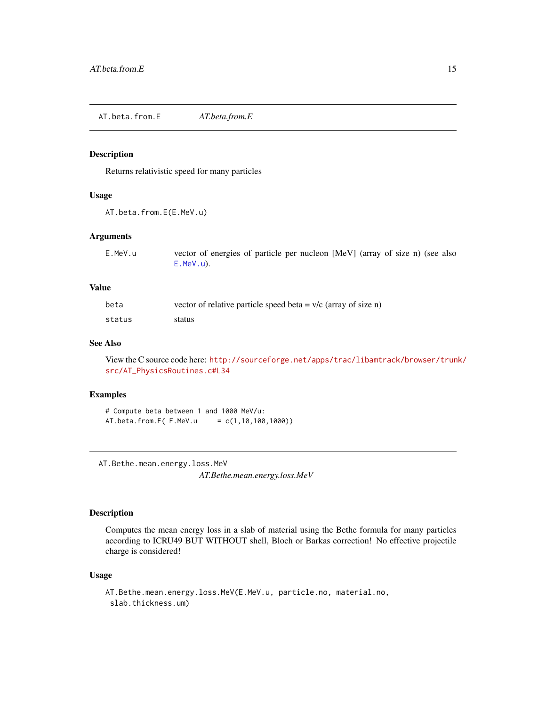<span id="page-14-1"></span><span id="page-14-0"></span>AT.beta.from.E *AT.beta.from.E*

#### Description

Returns relativistic speed for many particles

#### Usage

AT.beta.from.E(E.MeV.u)

# Arguments

| E.MeV.u | vector of energies of particle per nucleon [MeV] (array of size n) (see also |
|---------|------------------------------------------------------------------------------|
|         | E.MeV.u).                                                                    |

#### Value

| beta   | vector of relative particle speed beta = $v/c$ (array of size n) |
|--------|------------------------------------------------------------------|
| status | status                                                           |

# See Also

View the C source code here: [http://sourceforge.net/apps/trac/libamtrack/browser/trun](http://sourceforge.net/apps/trac/libamtrack/browser/trunk/src/AT_PhysicsRoutines.c#L34)k/ [src/AT\\_PhysicsRoutines.c#L34](http://sourceforge.net/apps/trac/libamtrack/browser/trunk/src/AT_PhysicsRoutines.c#L34)

# Examples

# Compute beta between 1 and 1000 MeV/u:  $AT.beta. from.E( E.MeV.u = c(1, 10, 100, 1000))$ 

AT.Bethe.mean.energy.loss.MeV

*AT.Bethe.mean.energy.loss.MeV*

# Description

Computes the mean energy loss in a slab of material using the Bethe formula for many particles according to ICRU49 BUT WITHOUT shell, Bloch or Barkas correction! No effective projectile charge is considered!

# Usage

```
AT.Bethe.mean.energy.loss.MeV(E.MeV.u, particle.no, material.no,
 slab.thickness.um)
```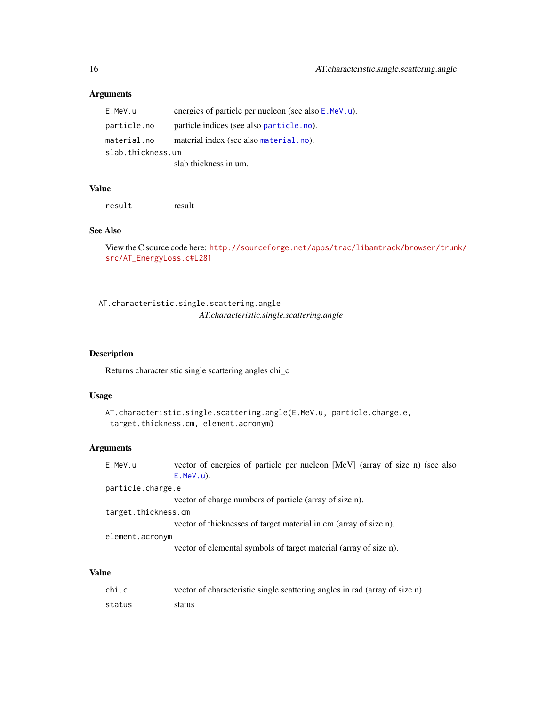| E.MeV.u           | energies of particle per nucleon (see also E.MeV.u). |  |
|-------------------|------------------------------------------------------|--|
| particle.no       | particle indices (see also particle, no).            |  |
| material.no       | material index (see also material.no).               |  |
| slab.thickness.um |                                                      |  |
|                   | slab thickness in um.                                |  |

#### Value

result result

# See Also

View the C source code here: [http://sourceforge.net/apps/trac/libamtrack/browser/trun](http://sourceforge.net/apps/trac/libamtrack/browser/trunk/src/AT_EnergyLoss.c#L281)k/ [src/AT\\_EnergyLoss.c#L281](http://sourceforge.net/apps/trac/libamtrack/browser/trunk/src/AT_EnergyLoss.c#L281)

AT.characteristic.single.scattering.angle *AT.characteristic.single.scattering.angle*

# Description

Returns characteristic single scattering angles chi\_c

# Usage

```
AT.characteristic.single.scattering.angle(E.MeV.u, particle.charge.e,
 target.thickness.cm, element.acronym)
```
# Arguments

| E.MeV.u             | vector of energies of particle per nucleon [MeV] (array of size n) (see also |
|---------------------|------------------------------------------------------------------------------|
|                     | $E.MeV.u$ ).                                                                 |
| particle.charge.e   |                                                                              |
|                     | vector of charge numbers of particle (array of size n).                      |
| target.thickness.cm |                                                                              |
|                     | vector of thicknesses of target material in cm (array of size n).            |
| element.acronym     |                                                                              |
|                     | vector of elemental symbols of target material (array of size n).            |
|                     |                                                                              |

# Value

| chi.c  | vector of characteristic single scattering angles in rad (array of size n) |
|--------|----------------------------------------------------------------------------|
| status | status                                                                     |

<span id="page-15-0"></span>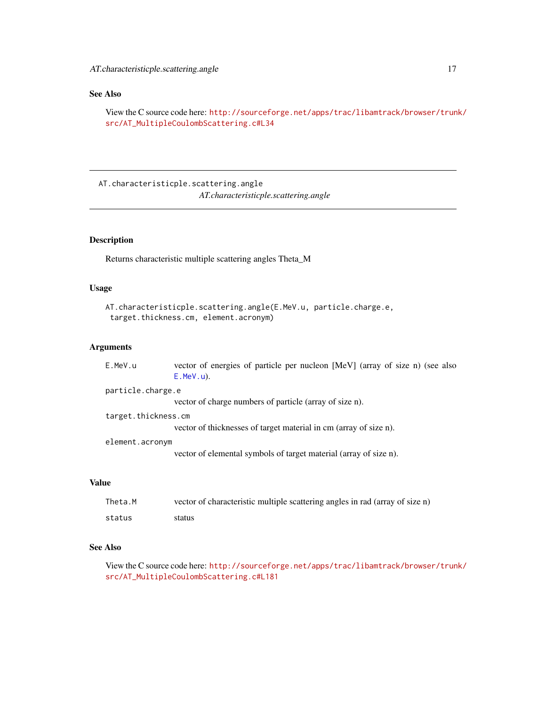# <span id="page-16-0"></span>See Also

View the C source code here: [http://sourceforge.net/apps/trac/libamtrack/browser/trun](http://sourceforge.net/apps/trac/libamtrack/browser/trunk/src/AT_MultipleCoulombScattering.c#L34)k/ [src/AT\\_MultipleCoulombScattering.c#L34](http://sourceforge.net/apps/trac/libamtrack/browser/trunk/src/AT_MultipleCoulombScattering.c#L34)

AT.characteristicple.scattering.angle *AT.characteristicple.scattering.angle*

# Description

Returns characteristic multiple scattering angles Theta\_M

# Usage

```
AT.characteristicple.scattering.angle(E.MeV.u, particle.charge.e,
target.thickness.cm, element.acronym)
```
# Arguments

| E.MeV.u             | vector of energies of particle per nucleon [MeV] (array of size n) (see also<br>$E.MeV.u$ ). |
|---------------------|----------------------------------------------------------------------------------------------|
| particle.charge.e   |                                                                                              |
|                     | vector of charge numbers of particle (array of size n).                                      |
| target.thickness.cm |                                                                                              |
|                     | vector of thicknesses of target material in cm (array of size n).                            |
| element.acronym     |                                                                                              |
|                     | vector of elemental symbols of target material (array of size n).                            |

#### Value

| Theta.M | vector of characteristic multiple scattering angles in rad (array of size n) |
|---------|------------------------------------------------------------------------------|
| status  | status                                                                       |

# See Also

View the C source code here: [http://sourceforge.net/apps/trac/libamtrack/browser/trun](http://sourceforge.net/apps/trac/libamtrack/browser/trunk/src/AT_MultipleCoulombScattering.c#L181)k/ [src/AT\\_MultipleCoulombScattering.c#L181](http://sourceforge.net/apps/trac/libamtrack/browser/trunk/src/AT_MultipleCoulombScattering.c#L181)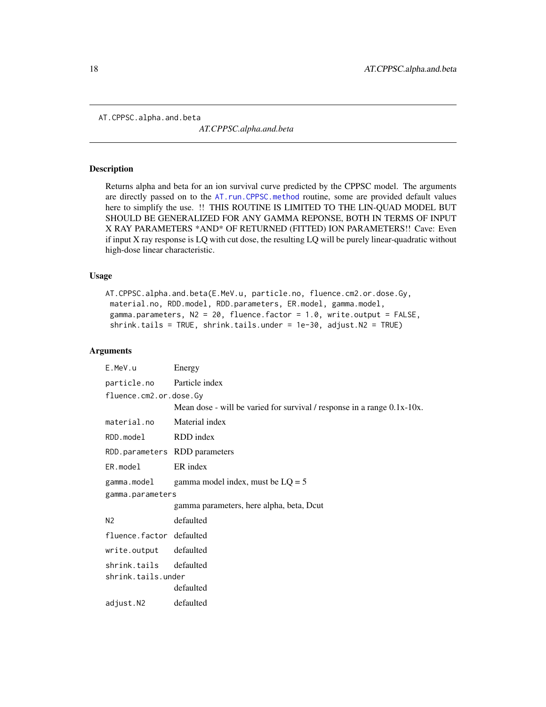<span id="page-17-1"></span><span id="page-17-0"></span>AT.CPPSC.alpha.and.beta

*AT.CPPSC.alpha.and.beta*

#### Description

Returns alpha and beta for an ion survival curve predicted by the CPPSC model. The arguments are directly passed on to the [AT.run.CPPSC.method](#page-59-1) routine, some are provided default values here to simplify the use. !! THIS ROUTINE IS LIMITED TO THE LIN-QUAD MODEL BUT SHOULD BE GENERALIZED FOR ANY GAMMA REPONSE, BOTH IN TERMS OF INPUT X RAY PARAMETERS \*AND\* OF RETURNED (FITTED) ION PARAMETERS!! Cave: Even if input X ray response is LQ with cut dose, the resulting LQ will be purely linear-quadratic without high-dose linear characteristic.

#### Usage

```
AT.CPPSC.alpha.and.beta(E.MeV.u, particle.no, fluence.cm2.or.dose.Gy,
material.no, RDD.model, RDD.parameters, ER.model, gamma.model,
gamma.parameters, N2 = 20, fluence.factor = 1.0, write.output = FALSE,
shrink.tails = TRUE, shrink.tails.under = 1e-30, adjust.N2 = TRUE)
```
#### Arguments

| E.MeV.u                       | Energy                                                                  |  |
|-------------------------------|-------------------------------------------------------------------------|--|
| particle.no Particle index    |                                                                         |  |
| fluence.cm2.or.dose.Gy        |                                                                         |  |
|                               | Mean dose - will be varied for survival / response in a range 0.1x-10x. |  |
| material.no                   | Material index                                                          |  |
| RDD.model                     | RDD index                                                               |  |
| RDD.parameters RDD parameters |                                                                         |  |
| ER.model                      | ER index                                                                |  |
| gamma.model                   | gamma model index, must be $LQ = 5$                                     |  |
| gamma.parameters              |                                                                         |  |
|                               | gamma parameters, here alpha, beta, Dcut                                |  |
| N <sub>2</sub>                | defaulted                                                               |  |
| fluence.factor defaulted      |                                                                         |  |
| write.output defaulted        |                                                                         |  |
| shrink.tails defaulted        |                                                                         |  |
| shrink.tails.under            |                                                                         |  |
|                               | defaulted                                                               |  |
| adjust.N2                     | defaulted                                                               |  |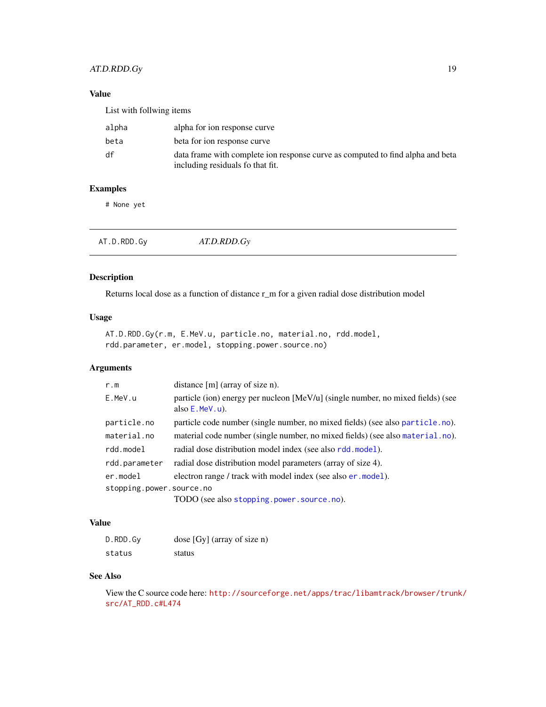# <span id="page-18-0"></span>AT.D.RDD.Gy 19

# Value

| List with follwing items |                                                                                                                    |
|--------------------------|--------------------------------------------------------------------------------------------------------------------|
| alpha                    | alpha for ion response curve                                                                                       |
| beta                     | beta for ion response curve                                                                                        |
| df                       | data frame with complete ion response curve as computed to find alpha and beta<br>including residuals fo that fit. |

# Examples

# None yet

<span id="page-18-1"></span>

| AT.D.RDD.Gy | AT.D.RDD.Gy |  |  |
|-------------|-------------|--|--|
|-------------|-------------|--|--|

# Description

Returns local dose as a function of distance r\_m for a given radial dose distribution model

# Usage

```
AT.D.RDD.Gy(r.m, E.MeV.u, particle.no, material.no, rdd.model,
rdd.parameter, er.model, stopping.power.source.no)
```
# Arguments

| distance $[m]$ (array of size n).                                                                    |
|------------------------------------------------------------------------------------------------------|
| particle (ion) energy per nucleon [MeV/u] (single number, no mixed fields) (see<br>also $E.MeV.u$ ). |
| particle code number (single number, no mixed fields) (see also particle.no).                        |
| material code number (single number, no mixed fields) (see also material.no).                        |
| radial dose distribution model index (see also rdd.model).                                           |
| radial dose distribution model parameters (array of size 4).                                         |
| electron range / track with model index (see also er model).                                         |
| stopping.power.source.no                                                                             |
| TODO (see also stopping.power.source.no).                                                            |
|                                                                                                      |

# Value

| D.RDD.Gy | dose [Gy] (array of size n) |
|----------|-----------------------------|
| status   | status                      |

#### See Also

View the C source code here: [http://sourceforge.net/apps/trac/libamtrack/browser/trun](http://sourceforge.net/apps/trac/libamtrack/browser/trunk/src/AT_RDD.c#L474)k/ [src/AT\\_RDD.c#L474](http://sourceforge.net/apps/trac/libamtrack/browser/trunk/src/AT_RDD.c#L474)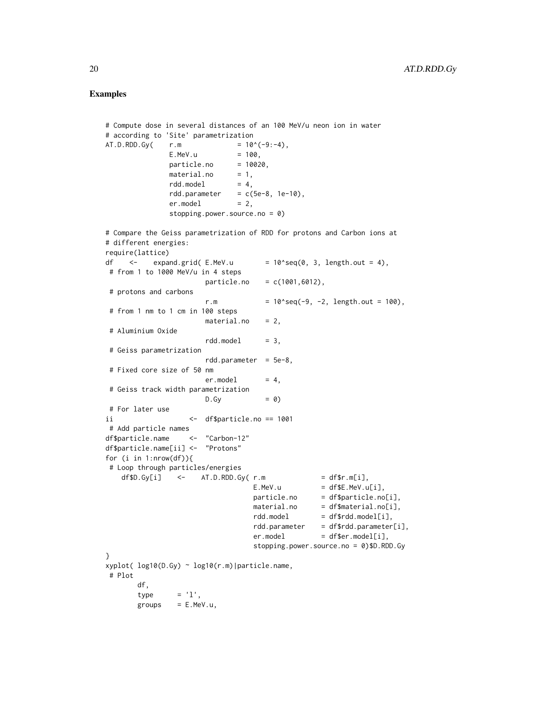# Examples

```
# Compute dose in several distances of an 100 MeV/u neon ion in water
# according to 'Site' parametrization
AT.D.RDD.Gy( r.m = 10^(-9:-4),
              E.MeV.u = 100,particle.no = 10020,material.no = 1,rdd.model = 4.
              rdd.parameter = c(5e-8, 1e-10),er.model = 2,
              stopping.power.source.no = 0)
# Compare the Geiss parametrization of RDD for protons and Carbon ions at
# different energies:
require(lattice)
df \langle - expand.grid(E.MeV.u = 10^seq(0, 3, length.out = 4),
# from 1 to 1000 MeV/u in 4 steps
                      particle.no = c(1001,6012),
# protons and carbons
                      r.m = 10 \text{~seq(-9, -2, length.out = 100)},
# from 1 nm to 1 cm in 100 steps
                     material.no = 2# Aluminium Oxide
                      rdd.model = 3,# Geiss parametrization
                      rdd.parameter = 5e-8,
 # Fixed core size of 50 nm
                      er.model = 4,# Geiss track width parametrization
                     D.Gy = 0)# For later use
ii <- df$particle.no == 1001
# Add particle names
df$particle.name <- "Carbon-12"
df$particle.name[ii] <- "Protons"
for (i in 1:nrow(df)){
# Loop through particles/energies
   df$D.Gy[i] <- AT.D.RDD.Gy( r.m = df$r.m[i],
                                E.MeV.u = dfE.MeV.u[i],particle.no = df$particle.no[i],
                                material.no = df$material.no[i],
                                rdd.model = df$rdd.model[i],
                                rdd.parameter = df$rdd.parameter[i],
                                er.model = df$er.model[i],
                                stopping.power.source.no = 0)$D.RDD.Gy
}
xyplot( log10(D.Gy) ~ log10(r.m)|particle.name,
# Plot
       df,
       type = 'l',groups = E.MeV.u,
```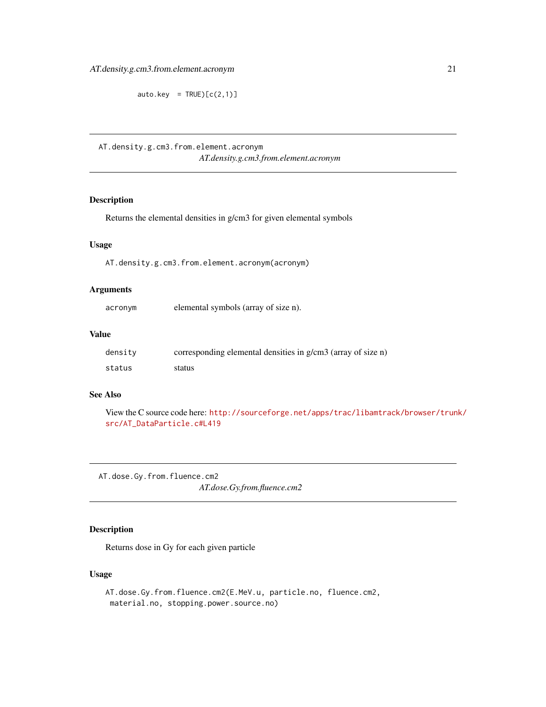<span id="page-20-0"></span> $auto.key = TRUE)[c(2,1)]$ 

AT.density.g.cm3.from.element.acronym *AT.density.g.cm3.from.element.acronym*

# Description

Returns the elemental densities in g/cm3 for given elemental symbols

# Usage

AT.density.g.cm3.from.element.acronym(acronym)

# Arguments

acronym elemental symbols (array of size n).

#### Value

| density | corresponding elemental densities in g/cm3 (array of size n) |
|---------|--------------------------------------------------------------|
| status  | status                                                       |

# See Also

View the C source code here: [http://sourceforge.net/apps/trac/libamtrack/browser/trun](http://sourceforge.net/apps/trac/libamtrack/browser/trunk/src/AT_DataParticle.c#L419)k/ [src/AT\\_DataParticle.c#L419](http://sourceforge.net/apps/trac/libamtrack/browser/trunk/src/AT_DataParticle.c#L419)

<span id="page-20-1"></span>AT.dose.Gy.from.fluence.cm2 *AT.dose.Gy.from.fluence.cm2*

# Description

Returns dose in Gy for each given particle

# Usage

AT.dose.Gy.from.fluence.cm2(E.MeV.u, particle.no, fluence.cm2, material.no, stopping.power.source.no)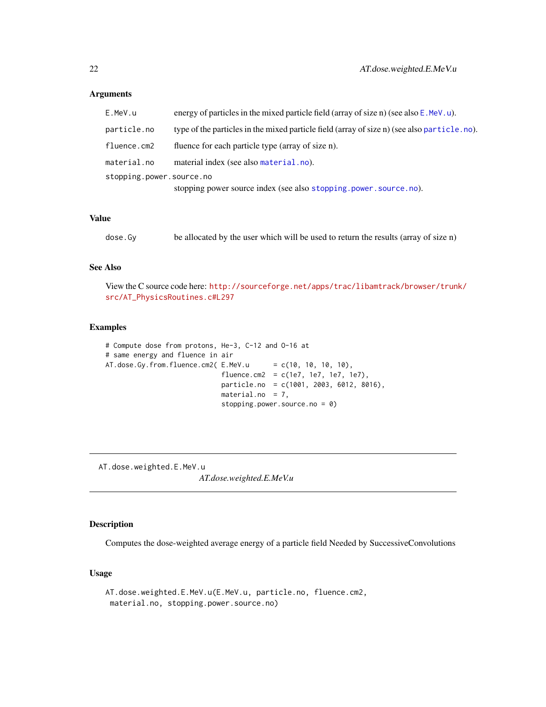| E.MeV.u                  | energy of particles in the mixed particle field (array of size n) (see also $E$ . MeV. u).  |
|--------------------------|---------------------------------------------------------------------------------------------|
| particle.no              | type of the particles in the mixed particle field (array of size n) (see also particle.no). |
| fluence.cm2              | fluence for each particle type (array of size n).                                           |
| material.no              | material index (see also material.no).                                                      |
| stopping.power.source.no |                                                                                             |
|                          | stopping power source index (see also stopping.power.source.no).                            |

#### Value

| dose.Gy |  | be allocated by the user which will be used to return the results (array of size n) |  |  |
|---------|--|-------------------------------------------------------------------------------------|--|--|
|---------|--|-------------------------------------------------------------------------------------|--|--|

#### See Also

View the C source code here: [http://sourceforge.net/apps/trac/libamtrack/browser/trun](http://sourceforge.net/apps/trac/libamtrack/browser/trunk/src/AT_PhysicsRoutines.c#L297)k/ [src/AT\\_PhysicsRoutines.c#L297](http://sourceforge.net/apps/trac/libamtrack/browser/trunk/src/AT_PhysicsRoutines.c#L297)

#### Examples

```
# Compute dose from protons, He-3, C-12 and O-16 at
# same energy and fluence in air
AT.dose.Gy.from.fluence.cm2(E.MeV.u = c(10, 10, 10, 10),
                            fluence.cm2 = c(1e7, 1e7, 1e7, 1e7),
                            particle.no = c(1001, 2003, 6012, 8016),
                            material.no = 7,
                            stopping.power.source.no = 0)
```
<span id="page-21-1"></span>AT.dose.weighted.E.MeV.u

*AT.dose.weighted.E.MeV.u*

# Description

Computes the dose-weighted average energy of a particle field Needed by SuccessiveConvolutions

# Usage

```
AT.dose.weighted.E.MeV.u(E.MeV.u, particle.no, fluence.cm2,
material.no, stopping.power.source.no)
```
<span id="page-21-0"></span>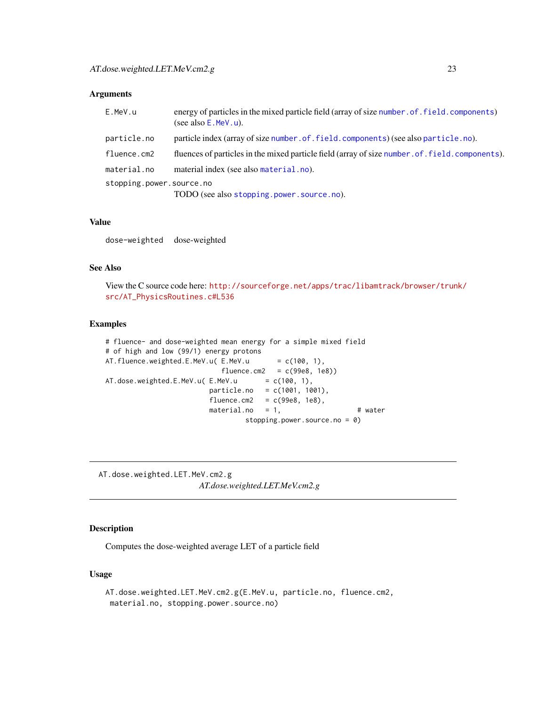<span id="page-22-0"></span>

| E.MeV.u                  | energy of particles in the mixed particle field (array of size number . of . field. components)<br>(see also $E$ . MeV. u). |
|--------------------------|-----------------------------------------------------------------------------------------------------------------------------|
| particle.no              | particle index (array of size number of field components) (see also particle .no).                                          |
| fluence.cm2              | fluences of particles in the mixed particle field (array of size number of field components).                               |
| material.no              | material index (see also material.no).                                                                                      |
| stopping.power.source.no |                                                                                                                             |
|                          | TODO (see also stopping.power.source.no).                                                                                   |

#### Value

dose-weighted dose-weighted

# See Also

View the C source code here: [http://sourceforge.net/apps/trac/libamtrack/browser/trun](http://sourceforge.net/apps/trac/libamtrack/browser/trunk/src/AT_PhysicsRoutines.c#L536)k/ [src/AT\\_PhysicsRoutines.c#L536](http://sourceforge.net/apps/trac/libamtrack/browser/trunk/src/AT_PhysicsRoutines.c#L536)

# Examples

```
# fluence- and dose-weighted mean energy for a simple mixed field
# of high and low (99/1) energy protons
AT.fluence.weighted.E.MeV.u(E.MeV.u = c(100, 1),
                                                          fluence.cm2 = c(99e8, 1e8))AT.dose.weighted.E.MeV.u( E.MeV.u = c(100, 1),particle.no = c(1001, 1001),
                                                    fluence.cm2 = c(99e8, 1e8),
                                                    \begin{array}{lll}\n\text{matrix} & \text{if} & \text{if} & \text{if} & \text{if} & \text{if} & \text{if} & \text{if} & \text{if} & \text{if} & \text{if} & \text{if} & \text{if} & \text{if} & \text{if} & \text{if} & \text{if} & \text{if} & \text{if} & \text{if} & \text{if} & \text{if} & \text{if} & \text{if} & \text{if} & \text{if} & \text{if} & \text{if} & \text{if} & \text{if} & \text{if} & \text{if} & \text{if} & \text{if} & \text{if} & \stopping.power.source.no = 0)
```
<span id="page-22-1"></span>AT.dose.weighted.LET.MeV.cm2.g *AT.dose.weighted.LET.MeV.cm2.g*

#### Description

Computes the dose-weighted average LET of a particle field

# Usage

```
AT.dose.weighted.LET.MeV.cm2.g(E.MeV.u, particle.no, fluence.cm2,
material.no, stopping.power.source.no)
```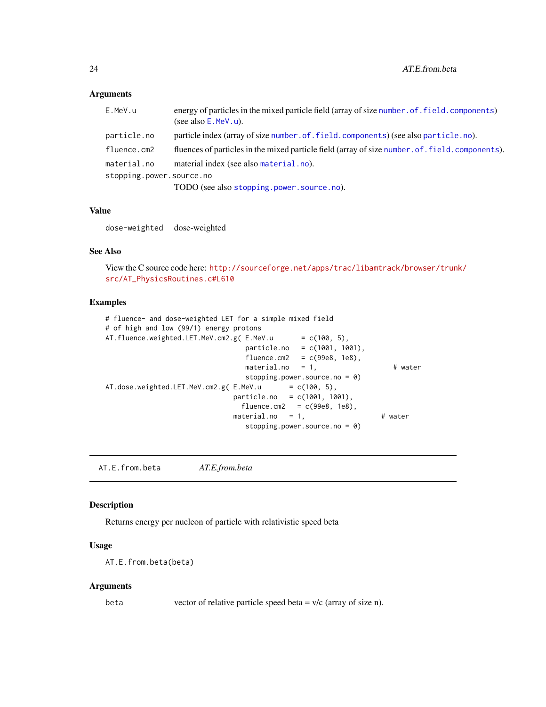<span id="page-23-0"></span>

| E.MeV.u                  | energy of particles in the mixed particle field (array of size number of field. components)<br>(see also $E$ . MeV. u). |
|--------------------------|-------------------------------------------------------------------------------------------------------------------------|
| particle.no              | particle index (array of size number of field components) (see also particle .no).                                      |
| fluence.cm2              | fluences of particles in the mixed particle field (array of size number. of. field. components).                        |
| material.no              | material index (see also material.no).                                                                                  |
| stopping.power.source.no |                                                                                                                         |
|                          | TODO (see also stopping.power.source.no).                                                                               |

#### Value

dose-weighted dose-weighted

# See Also

View the C source code here: [http://sourceforge.net/apps/trac/libamtrack/browser/trun](http://sourceforge.net/apps/trac/libamtrack/browser/trunk/src/AT_PhysicsRoutines.c#L610)k/ [src/AT\\_PhysicsRoutines.c#L610](http://sourceforge.net/apps/trac/libamtrack/browser/trunk/src/AT_PhysicsRoutines.c#L610)

#### Examples

```
# fluence- and dose-weighted LET for a simple mixed field
# of high and low (99/1) energy protons
AT.fluence.weighted.LET.MeV.cm2.g(E.MeV.u = c(100, 5),
                              particle.no = c(1001, 1001),
                              fluence.cm2 = c(99e8, 1e8),
                              material.no = 1, # water
                              stopping.power.source.no = 0)
AT.dose.weighted.LET.MeV.cm2.g(E.MeV.u = c(100, 5),
                            particle.no = c(1001, 1001),
                             fluence.cm2 = c(99e8, 1e8),
                            material.no = 1, # water
                               stopping.power.source.no = 0)
```
<span id="page-23-1"></span>AT.E.from.beta *AT.E.from.beta*

# Description

Returns energy per nucleon of particle with relativistic speed beta

# Usage

```
AT.E.from.beta(beta)
```
#### Arguments

beta vector of relative particle speed beta = v/c (array of size n).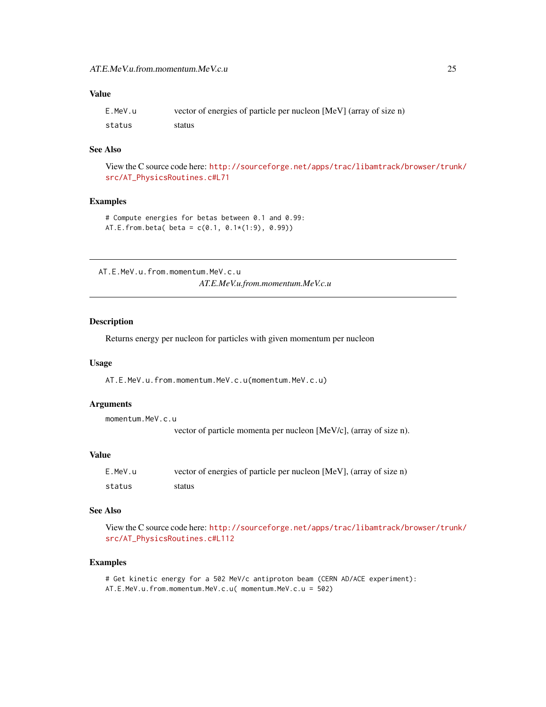# <span id="page-24-0"></span>Value

| E.MeV.u | vector of energies of particle per nucleon [MeV] (array of size n) |
|---------|--------------------------------------------------------------------|
| status  | status                                                             |

# See Also

View the C source code here: [http://sourceforge.net/apps/trac/libamtrack/browser/trun](http://sourceforge.net/apps/trac/libamtrack/browser/trunk/src/AT_PhysicsRoutines.c#L71)k/ [src/AT\\_PhysicsRoutines.c#L71](http://sourceforge.net/apps/trac/libamtrack/browser/trunk/src/AT_PhysicsRoutines.c#L71)

# Examples

# Compute energies for betas between 0.1 and 0.99: AT.E.from.beta( beta =  $c(0.1, 0.1*(1:9), 0.99)$ )

<span id="page-24-1"></span>AT.E.MeV.u.from.momentum.MeV.c.u *AT.E.MeV.u.from.momentum.MeV.c.u*

#### Description

Returns energy per nucleon for particles with given momentum per nucleon

#### Usage

AT.E.MeV.u.from.momentum.MeV.c.u(momentum.MeV.c.u)

#### Arguments

```
momentum.MeV.c.u
                  vector of particle momenta per nucleon [MeV/c], (array of size n).
```
#### Value

| E.MeV.u | vector of energies of particle per nucleon [MeV], (array of size n) |
|---------|---------------------------------------------------------------------|
| status  | status                                                              |

#### See Also

View the C source code here: [http://sourceforge.net/apps/trac/libamtrack/browser/trun](http://sourceforge.net/apps/trac/libamtrack/browser/trunk/src/AT_PhysicsRoutines.c#L112)k/ [src/AT\\_PhysicsRoutines.c#L112](http://sourceforge.net/apps/trac/libamtrack/browser/trunk/src/AT_PhysicsRoutines.c#L112)

#### Examples

# Get kinetic energy for a 502 MeV/c antiproton beam (CERN AD/ACE experiment): AT.E.MeV.u.from.momentum.MeV.c.u( momentum.MeV.c.u = 502)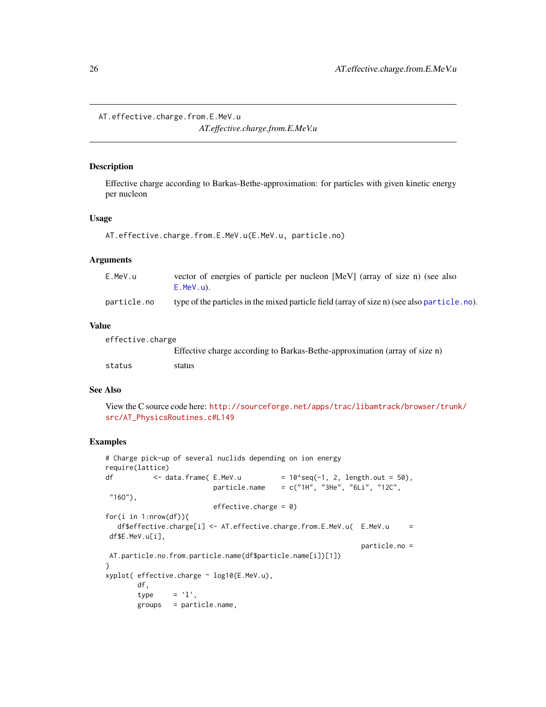<span id="page-25-1"></span><span id="page-25-0"></span>AT.effective.charge.from.E.MeV.u *AT.effective.charge.from.E.MeV.u*

#### Description

Effective charge according to Barkas-Bethe-approximation: for particles with given kinetic energy per nucleon

#### Usage

```
AT.effective.charge.from.E.MeV.u(E.MeV.u, particle.no)
```
# Arguments

| E.MeV.u     | vector of energies of particle per nucleon [MeV] (array of size n) (see also                |
|-------------|---------------------------------------------------------------------------------------------|
|             | $E.MeV.u$ ).                                                                                |
| particle.no | type of the particles in the mixed particle field (array of size n) (see also particle.no). |

# Value

| effective.charge |                                                                            |
|------------------|----------------------------------------------------------------------------|
|                  | Effective charge according to Barkas-Bethe-approximation (array of size n) |
| status           | status                                                                     |

#### See Also

View the C source code here: [http://sourceforge.net/apps/trac/libamtrack/browser/trun](http://sourceforge.net/apps/trac/libamtrack/browser/trunk/src/AT_PhysicsRoutines.c#L149)k/ [src/AT\\_PhysicsRoutines.c#L149](http://sourceforge.net/apps/trac/libamtrack/browser/trunk/src/AT_PhysicsRoutines.c#L149)

# Examples

```
# Charge pick-up of several nuclids depending on ion energy
require(lattice)
df \leftarrow data.frame(E.MeV.u = 10^seq(-1, 2, length.out = 50),
                         particle.name = c("1H", "3He", "6Li", "12C","160",
                         effective.charge = 0)
for(i in 1:nrow(df)){
  df$effective.charge[i] <- AT.effective.charge.from.E.MeV.u( E.MeV.u =
df$E.MeV.u[i],
                                                            particle.no =
AT.particle.no.from.particle.name(df$particle.name[i])[1])
}
xyplot( effective.charge ~ log10(E.MeV.u),
       df,
       type = 'l',groups = particle.name,
```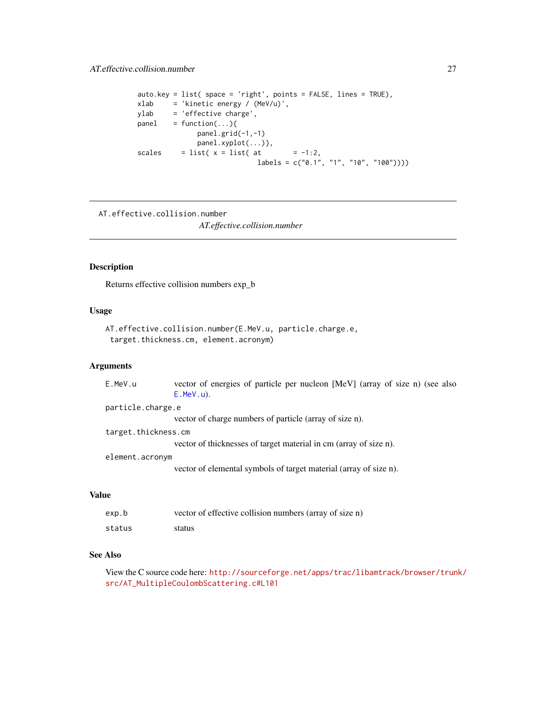```
auto.key = list( space = 'right', points = FALSE, lines = TRUE),
xlab = 'kinetic energy / (MeV/u)',
ylab = 'effective charge',
panel = function(...)panel.grid(-1,-1)
             panel.xyplot(...)},
scales = list(x = list(at = -1:2,
                           labeleds = c("0.1", "1", "10", "100")
```

```
AT.effective.collision.number
```
*AT.effective.collision.number*

#### Description

Returns effective collision numbers exp\_b

# Usage

```
AT.effective.collision.number(E.MeV.u, particle.charge.e,
 target.thickness.cm, element.acronym)
```
# Arguments

| E.MeV.u             | vector of energies of particle per nucleon [MeV] (array of size n) (see also<br>$E.MeV.u$ ). |
|---------------------|----------------------------------------------------------------------------------------------|
| particle.charge.e   |                                                                                              |
|                     | vector of charge numbers of particle (array of size n).                                      |
| target.thickness.cm |                                                                                              |
|                     | vector of thicknesses of target material in cm (array of size n).                            |
| element.acronym     |                                                                                              |
|                     | vector of elemental symbols of target material (array of size n).                            |
|                     |                                                                                              |

# Value

| exp.b  | vector of effective collision numbers (array of size n) |
|--------|---------------------------------------------------------|
| status | status                                                  |

# See Also

View the C source code here: [http://sourceforge.net/apps/trac/libamtrack/browser/trun](http://sourceforge.net/apps/trac/libamtrack/browser/trunk/src/AT_MultipleCoulombScattering.c#L101)k/ [src/AT\\_MultipleCoulombScattering.c#L101](http://sourceforge.net/apps/trac/libamtrack/browser/trunk/src/AT_MultipleCoulombScattering.c#L101)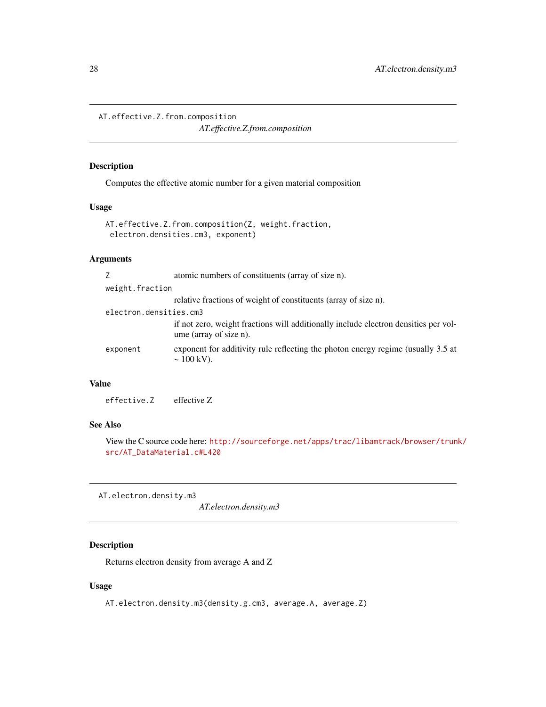<span id="page-27-2"></span><span id="page-27-0"></span>AT.effective.Z.from.composition

*AT.effective.Z.from.composition*

# Description

Computes the effective atomic number for a given material composition

# Usage

```
AT.effective.Z.from.composition(Z, weight.fraction,
 electron.densities.cm3, exponent)
```
# Arguments

| atomic numbers of constituents (array of size n).                                                             |
|---------------------------------------------------------------------------------------------------------------|
|                                                                                                               |
| relative fractions of weight of constituents (array of size n).                                               |
|                                                                                                               |
| if not zero, weight fractions will additionally include electron densities per vol-<br>ume (array of size n). |
| exponent for additivity rule reflecting the photon energy regime (usually 3.5 at<br>$\sim 100 \text{ kV}$ ).  |
|                                                                                                               |

# Value

effective.Z effective Z

# See Also

View the C source code here: [http://sourceforge.net/apps/trac/libamtrack/browser/trun](http://sourceforge.net/apps/trac/libamtrack/browser/trunk/src/AT_DataMaterial.c#L420)k/ [src/AT\\_DataMaterial.c#L420](http://sourceforge.net/apps/trac/libamtrack/browser/trunk/src/AT_DataMaterial.c#L420)

<span id="page-27-1"></span>AT.electron.density.m3

*AT.electron.density.m3*

# Description

Returns electron density from average A and Z

# Usage

AT.electron.density.m3(density.g.cm3, average.A, average.Z)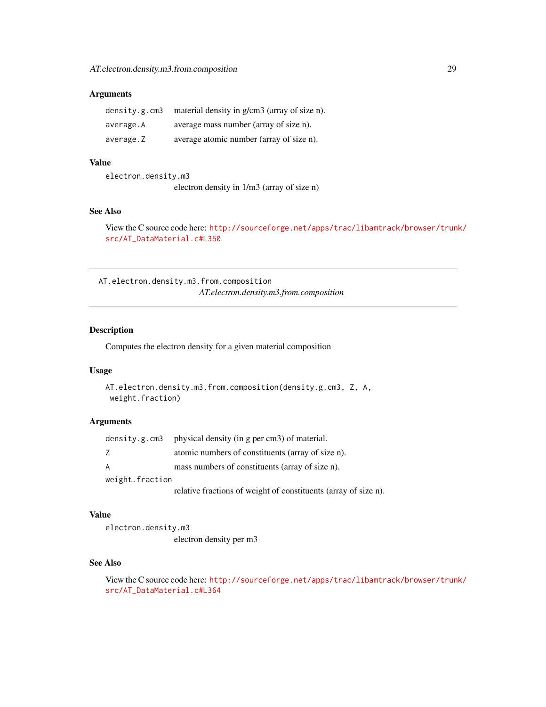<span id="page-28-0"></span>

| density.g.cm3 | material density in g/cm3 (array of size n). |
|---------------|----------------------------------------------|
| average.A     | average mass number (array of size n).       |
| average.Z     | average atomic number (array of size n).     |

# Value

electron.density.m3 electron density in 1/m3 (array of size n)

# See Also

View the C source code here: [http://sourceforge.net/apps/trac/libamtrack/browser/trun](http://sourceforge.net/apps/trac/libamtrack/browser/trunk/src/AT_DataMaterial.c#L350)k/ [src/AT\\_DataMaterial.c#L350](http://sourceforge.net/apps/trac/libamtrack/browser/trunk/src/AT_DataMaterial.c#L350)

<span id="page-28-1"></span>AT.electron.density.m3.from.composition *AT.electron.density.m3.from.composition*

# Description

Computes the electron density for a given material composition

#### Usage

```
AT.electron.density.m3.from.composition(density.g.cm3, Z, A,
weight.fraction)
```
#### Arguments

|                 | density.g.cm3 physical density (in g per cm3) of material.      |
|-----------------|-----------------------------------------------------------------|
| 7               | atomic numbers of constituents (array of size n).               |
| A               | mass numbers of constituents (array of size n).                 |
| weight.fraction |                                                                 |
|                 | relative fractions of weight of constituents (array of size n). |

#### Value

electron.density.m3 electron density per m3

# See Also

View the C source code here: [http://sourceforge.net/apps/trac/libamtrack/browser/trun](http://sourceforge.net/apps/trac/libamtrack/browser/trunk/src/AT_DataMaterial.c#L364)k/ [src/AT\\_DataMaterial.c#L364](http://sourceforge.net/apps/trac/libamtrack/browser/trunk/src/AT_DataMaterial.c#L364)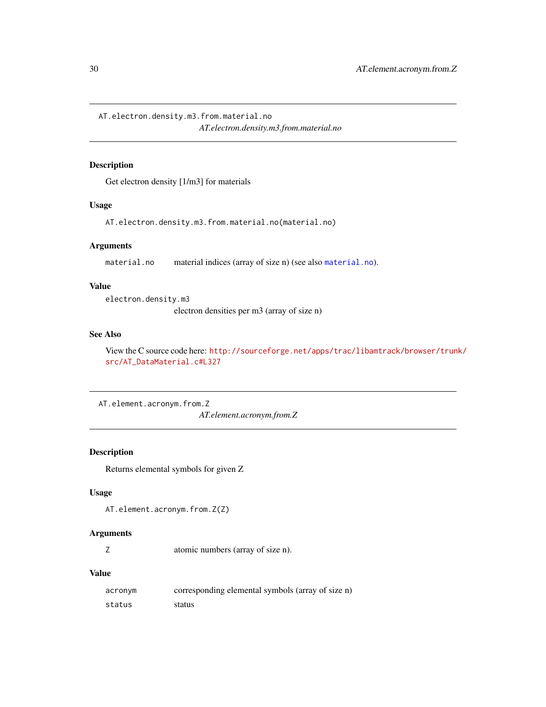<span id="page-29-1"></span><span id="page-29-0"></span>AT.electron.density.m3.from.material.no *AT.electron.density.m3.from.material.no*

# Description

Get electron density [1/m3] for materials

# Usage

AT.electron.density.m3.from.material.no(material.no)

# Arguments

[material.no](#page-93-1) material indices (array of size n) (see also material.no).

# Value

electron.density.m3

electron densities per m3 (array of size n)

#### See Also

View the C source code here: [http://sourceforge.net/apps/trac/libamtrack/browser/trun](http://sourceforge.net/apps/trac/libamtrack/browser/trunk/src/AT_DataMaterial.c#L327)k/ [src/AT\\_DataMaterial.c#L327](http://sourceforge.net/apps/trac/libamtrack/browser/trunk/src/AT_DataMaterial.c#L327)

AT.element.acronym.from.Z

*AT.element.acronym.from.Z*

# Description

Returns elemental symbols for given Z

#### Usage

```
AT.element.acronym.from.Z(Z)
```
#### Arguments

Z atomic numbers (array of size n).

# Value

| acronym | corresponding elemental symbols (array of size n) |
|---------|---------------------------------------------------|
| status  | status                                            |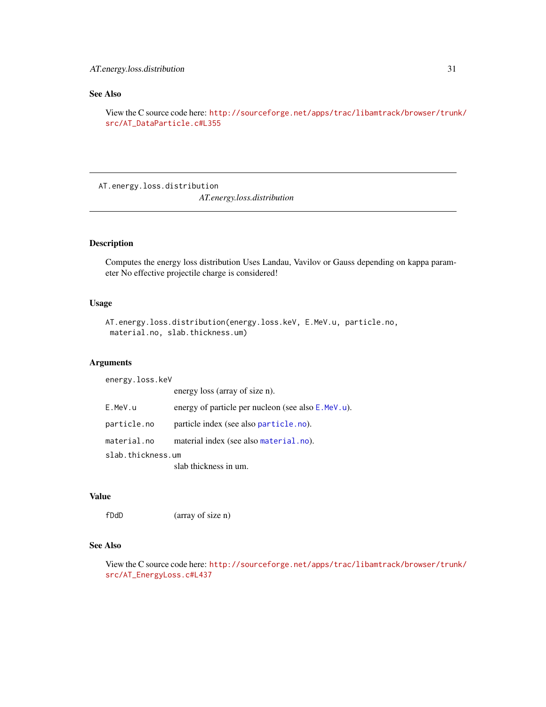# <span id="page-30-0"></span>See Also

View the C source code here: [http://sourceforge.net/apps/trac/libamtrack/browser/trun](http://sourceforge.net/apps/trac/libamtrack/browser/trunk/src/AT_DataParticle.c#L355)k/ [src/AT\\_DataParticle.c#L355](http://sourceforge.net/apps/trac/libamtrack/browser/trunk/src/AT_DataParticle.c#L355)

AT.energy.loss.distribution *AT.energy.loss.distribution*

#### Description

Computes the energy loss distribution Uses Landau, Vavilov or Gauss depending on kappa parameter No effective projectile charge is considered!

#### Usage

```
AT.energy.loss.distribution(energy.loss.keV, E.MeV.u, particle.no,
material.no, slab.thickness.um)
```
# Arguments

energy.loss.keV energy loss (array of size n). E.MeV.u energy of particle per nucleon (see also [E.MeV.u](#page-90-2)). particle.no particle index (see also [particle.no](#page-95-1)). material.no material index (see also [material.no](#page-93-1)). slab.thickness.um slab thickness in um.

# Value

fDdD (array of size n)

# See Also

View the C source code here: [http://sourceforge.net/apps/trac/libamtrack/browser/trun](http://sourceforge.net/apps/trac/libamtrack/browser/trunk/src/AT_EnergyLoss.c#L437)k/ [src/AT\\_EnergyLoss.c#L437](http://sourceforge.net/apps/trac/libamtrack/browser/trunk/src/AT_EnergyLoss.c#L437)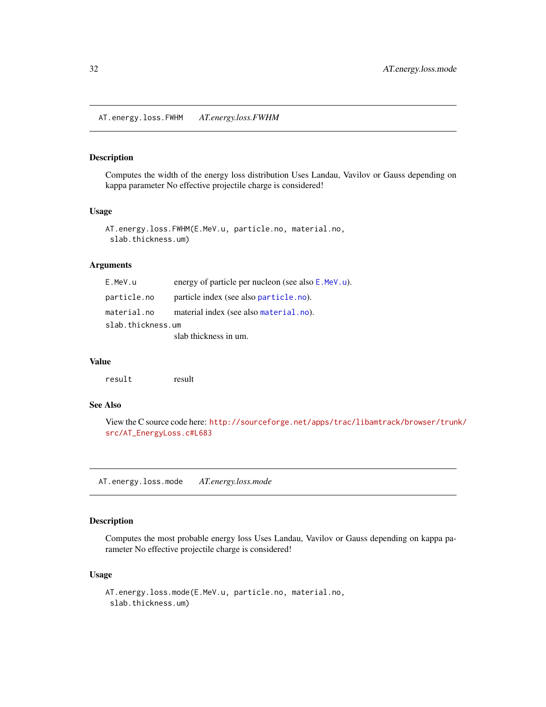<span id="page-31-0"></span>AT.energy.loss.FWHM *AT.energy.loss.FWHM*

#### Description

Computes the width of the energy loss distribution Uses Landau, Vavilov or Gauss depending on kappa parameter No effective projectile charge is considered!

# Usage

```
AT.energy.loss.FWHM(E.MeV.u, particle.no, material.no,
 slab.thickness.um)
```
# Arguments

| E.MeV.u           | energy of particle per nucleon (see also E.MeV.u). |
|-------------------|----------------------------------------------------|
| particle.no       | particle index (see also particle.no).             |
| material.no       | material index (see also material.no).             |
| slab.thickness.um |                                                    |
|                   | slab thickness in um.                              |

#### Value

result result

# See Also

View the C source code here: [http://sourceforge.net/apps/trac/libamtrack/browser/trun](http://sourceforge.net/apps/trac/libamtrack/browser/trunk/src/AT_EnergyLoss.c#L683)k/ [src/AT\\_EnergyLoss.c#L683](http://sourceforge.net/apps/trac/libamtrack/browser/trunk/src/AT_EnergyLoss.c#L683)

AT.energy.loss.mode *AT.energy.loss.mode*

#### Description

Computes the most probable energy loss Uses Landau, Vavilov or Gauss depending on kappa parameter No effective projectile charge is considered!

#### Usage

```
AT.energy.loss.mode(E.MeV.u, particle.no, material.no,
 slab.thickness.um)
```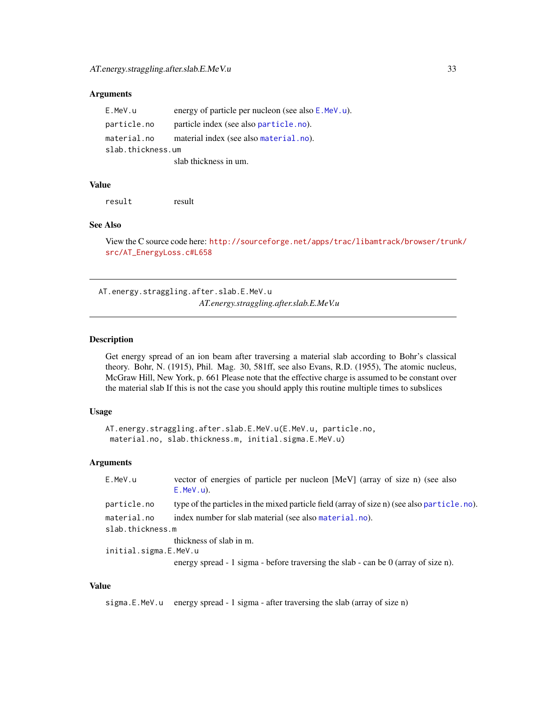<span id="page-32-0"></span>

| E.MeV.u           | energy of particle per nucleon (see also E.MeV.u). |
|-------------------|----------------------------------------------------|
| particle.no       | particle index (see also particle.no).             |
| material.no       | material index (see also material.no).             |
| slab.thickness.um |                                                    |
|                   | slab thickness in um.                              |

#### Value

result result

#### See Also

View the C source code here: [http://sourceforge.net/apps/trac/libamtrack/browser/trun](http://sourceforge.net/apps/trac/libamtrack/browser/trunk/src/AT_EnergyLoss.c#L658)k/ [src/AT\\_EnergyLoss.c#L658](http://sourceforge.net/apps/trac/libamtrack/browser/trunk/src/AT_EnergyLoss.c#L658)

AT.energy.straggling.after.slab.E.MeV.u *AT.energy.straggling.after.slab.E.MeV.u*

# Description

Get energy spread of an ion beam after traversing a material slab according to Bohr's classical theory. Bohr, N. (1915), Phil. Mag. 30, 581ff, see also Evans, R.D. (1955), The atomic nucleus, McGraw Hill, New York, p. 661 Please note that the effective charge is assumed to be constant over the material slab If this is not the case you should apply this routine multiple times to subslices

#### Usage

```
AT.energy.straggling.after.slab.E.MeV.u(E.MeV.u, particle.no,
material.no, slab.thickness.m, initial.sigma.E.MeV.u)
```
# Arguments

| E.MeV.u               | vector of energies of particle per nucleon [MeV] (array of size n) (see also<br>$E.MeV.u$ ). |
|-----------------------|----------------------------------------------------------------------------------------------|
| particle.no           | type of the particles in the mixed particle field (array of size n) (see also particle.no).  |
| material.no           | index number for slab material (see also material, no).                                      |
| slab.thickness.m      |                                                                                              |
|                       | thickness of slab in m.                                                                      |
| initial.sigma.E.MeV.u |                                                                                              |
|                       | energy spread - 1 sigma - before traversing the slab - can be $0$ (array of size n).         |

# Value

sigma.E.MeV.u energy spread - 1 sigma - after traversing the slab (array of size n)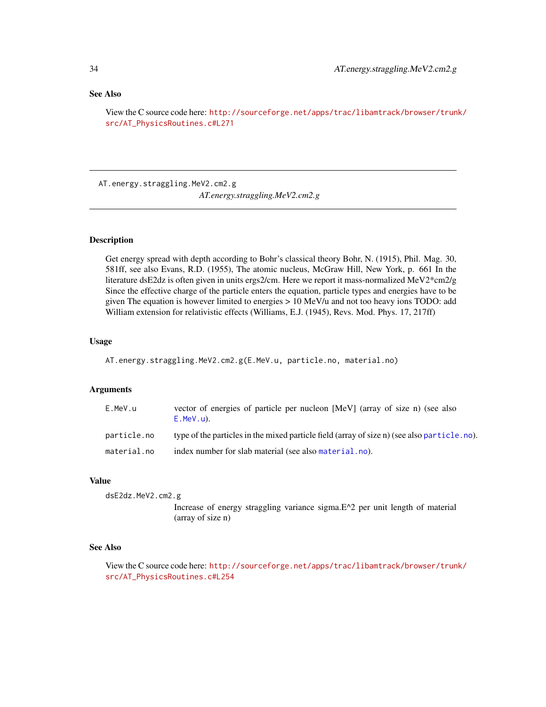#### <span id="page-33-0"></span>See Also

View the C source code here: [http://sourceforge.net/apps/trac/libamtrack/browser/trun](http://sourceforge.net/apps/trac/libamtrack/browser/trunk/src/AT_PhysicsRoutines.c#L271)k/ [src/AT\\_PhysicsRoutines.c#L271](http://sourceforge.net/apps/trac/libamtrack/browser/trunk/src/AT_PhysicsRoutines.c#L271)

AT.energy.straggling.MeV2.cm2.g *AT.energy.straggling.MeV2.cm2.g*

# **Description**

Get energy spread with depth according to Bohr's classical theory Bohr, N. (1915), Phil. Mag. 30, 581ff, see also Evans, R.D. (1955), The atomic nucleus, McGraw Hill, New York, p. 661 In the literature dsE2dz is often given in units ergs2/cm. Here we report it mass-normalized MeV2\*cm2/g Since the effective charge of the particle enters the equation, particle types and energies have to be given The equation is however limited to energies > 10 MeV/u and not too heavy ions TODO: add William extension for relativistic effects (Williams, E.J. (1945), Revs. Mod. Phys. 17, 217ff)

#### Usage

AT.energy.straggling.MeV2.cm2.g(E.MeV.u, particle.no, material.no)

#### Arguments

| E.MeV.u     | vector of energies of particle per nucleon [MeV] (array of size n) (see also<br>$E.MeV.u$ ). |
|-------------|----------------------------------------------------------------------------------------------|
| particle.no | type of the particles in the mixed particle field (array of size n) (see also particle.no).  |
| material.no | index number for slab material (see also material, no).                                      |

#### Value

dsE2dz.MeV2.cm2.g

Increase of energy straggling variance sigma.E^2 per unit length of material (array of size n)

# See Also

View the C source code here: [http://sourceforge.net/apps/trac/libamtrack/browser/trun](http://sourceforge.net/apps/trac/libamtrack/browser/trunk/src/AT_PhysicsRoutines.c#L254)k/ [src/AT\\_PhysicsRoutines.c#L254](http://sourceforge.net/apps/trac/libamtrack/browser/trunk/src/AT_PhysicsRoutines.c#L254)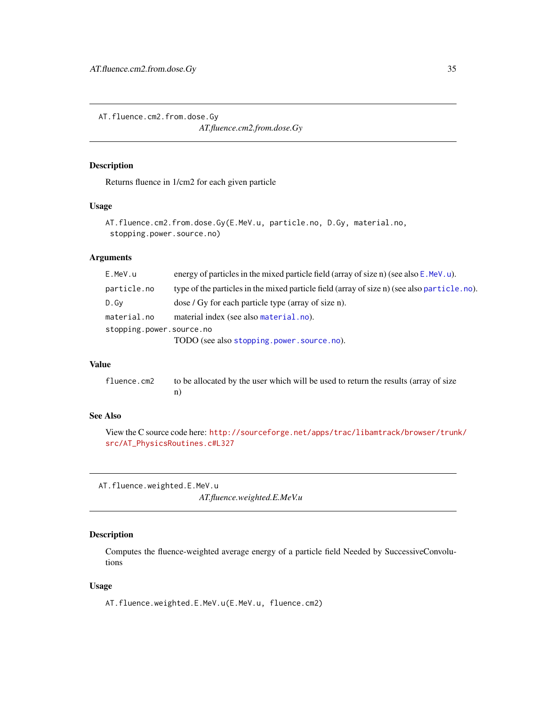<span id="page-34-2"></span><span id="page-34-0"></span>AT.fluence.cm2.from.dose.Gy

*AT.fluence.cm2.from.dose.Gy*

#### Description

Returns fluence in 1/cm2 for each given particle

#### Usage

```
AT.fluence.cm2.from.dose.Gy(E.MeV.u, particle.no, D.Gy, material.no,
 stopping.power.source.no)
```
# Arguments

| E.MeV.u                  | energy of particles in the mixed particle field (array of size n) (see also $E$ . MeV. u).  |
|--------------------------|---------------------------------------------------------------------------------------------|
| particle.no              | type of the particles in the mixed particle field (array of size n) (see also particle.no). |
| D.Gv                     | dose / Gy for each particle type (array of size n).                                         |
| material.no              | material index (see also material.no).                                                      |
| stopping.power.source.no |                                                                                             |
|                          | TODO (see also stopping.power.source.no).                                                   |

# Value

fluence.cm2 to be allocated by the user which will be used to return the results (array of size n)

# See Also

View the C source code here: [http://sourceforge.net/apps/trac/libamtrack/browser/trun](http://sourceforge.net/apps/trac/libamtrack/browser/trunk/src/AT_PhysicsRoutines.c#L327)k/ [src/AT\\_PhysicsRoutines.c#L327](http://sourceforge.net/apps/trac/libamtrack/browser/trunk/src/AT_PhysicsRoutines.c#L327)

<span id="page-34-1"></span>AT.fluence.weighted.E.MeV.u *AT.fluence.weighted.E.MeV.u*

# Description

Computes the fluence-weighted average energy of a particle field Needed by SuccessiveConvolutions

#### Usage

AT.fluence.weighted.E.MeV.u(E.MeV.u, fluence.cm2)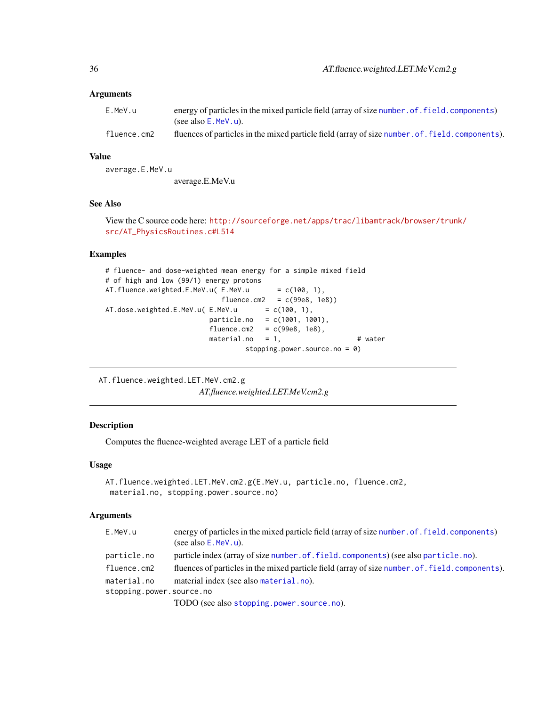<span id="page-35-0"></span>

| E.MeV.u     | energy of particles in the mixed particle field (array of size number, of, field, components)    |
|-------------|--------------------------------------------------------------------------------------------------|
|             | (see also $E$ . MeV. u).                                                                         |
| fluence.cm2 | fluences of particles in the mixed particle field (array of size number. of. field. components). |

# Value

average.E.MeV.u average.E.MeV.u

# See Also

View the C source code here: [http://sourceforge.net/apps/trac/libamtrack/browser/trun](http://sourceforge.net/apps/trac/libamtrack/browser/trunk/src/AT_PhysicsRoutines.c#L514)k/ [src/AT\\_PhysicsRoutines.c#L514](http://sourceforge.net/apps/trac/libamtrack/browser/trunk/src/AT_PhysicsRoutines.c#L514)

# Examples

```
# fluence- and dose-weighted mean energy for a simple mixed field
# of high and low (99/1) energy protons
AT.fluence.weighted.E.MeV.u(E.MeV.u = c(100, 1),
                           fluence.cm2 = c(99e8, 1e8))AT.dose.weighted.E.MeV.u( E.MeV.u = c(100, 1),particle.no = c(1001, 1001),
                        \text{fluence.cm2} = c(99e8, 1e8),material.no = 1, \qquad # water
                                stopping.power.source.no = 0)
```
<span id="page-35-1"></span>AT.fluence.weighted.LET.MeV.cm2.g

*AT.fluence.weighted.LET.MeV.cm2.g*

#### Description

Computes the fluence-weighted average LET of a particle field

#### Usage

```
AT.fluence.weighted.LET.MeV.cm2.g(E.MeV.u, particle.no, fluence.cm2,
material.no, stopping.power.source.no)
```
# Arguments

| E.MeV.u                  | energy of particles in the mixed particle field (array of size number. of . field. components)   |
|--------------------------|--------------------------------------------------------------------------------------------------|
|                          | (see also $E$ . MeV. u).                                                                         |
| particle.no              | particle index (array of size number of field components) (see also particle .no).               |
| fluence.cm2              | fluences of particles in the mixed particle field (array of size number. of. field. components). |
| material.no              | material index (see also material.no).                                                           |
| stopping.power.source.no |                                                                                                  |
|                          | $TODO$ (see also stopping power source $PQ$ )                                                    |

TODO (see also [stopping.power.source.no](#page-96-1)).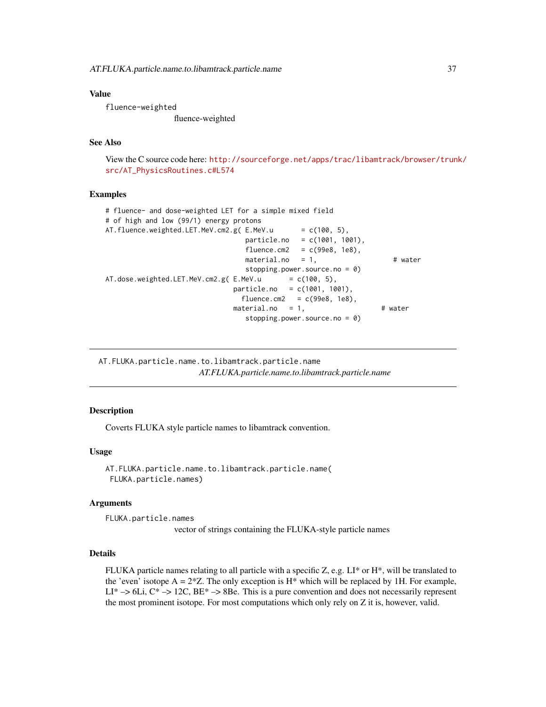#### Value

fluence-weighted fluence-weighted

# See Also

View the C source code here: [http://sourceforge.net/apps/trac/libamtrack/browser/trun](http://sourceforge.net/apps/trac/libamtrack/browser/trunk/src/AT_PhysicsRoutines.c#L574)k/ [src/AT\\_PhysicsRoutines.c#L574](http://sourceforge.net/apps/trac/libamtrack/browser/trunk/src/AT_PhysicsRoutines.c#L574)

### Examples

```
# fluence- and dose-weighted LET for a simple mixed field
# of high and low (99/1) energy protons
AT.fluence.weighted.LET.MeV.cm2.g(E.MeV.u = c(100, 5),
                               particle.no = c(1001, 1001),
                                fluence.cm2 = c(99e8, 1e8),\text{material.no} = 1, \text{# water}stopping.power.source.no = 0)
AT.dose.weighted.LET.MeV.cm2.g(E.MeV.u = c(100, 5),
                             particle.no = c(1001, 1001),
                               fluence.cm2 = c(99e8, 1e8),
                             material.no = 1, # water
                               stopping.power.source.no = 0)
```
AT.FLUKA.particle.name.to.libamtrack.particle.name *AT.FLUKA.particle.name.to.libamtrack.particle.name*

### Description

Coverts FLUKA style particle names to libamtrack convention.

#### Usage

```
AT.FLUKA.particle.name.to.libamtrack.particle.name(
FLUKA.particle.names)
```
#### Arguments

FLUKA.particle.names

vector of strings containing the FLUKA-style particle names

#### Details

FLUKA particle names relating to all particle with a specific Z, e.g.  $LI^*$  or  $H^*$ , will be translated to the 'even' isotope  $A = 2 \times Z$ . The only exception is H<sup>\*</sup> which will be replaced by 1H. For example,  $LI^* \rightarrow 6Li$ ,  $C^* \rightarrow 12C$ ,  $BE^* \rightarrow 8Be$ . This is a pure convention and does not necessarily represent the most prominent isotope. For most computations which only rely on Z it is, however, valid.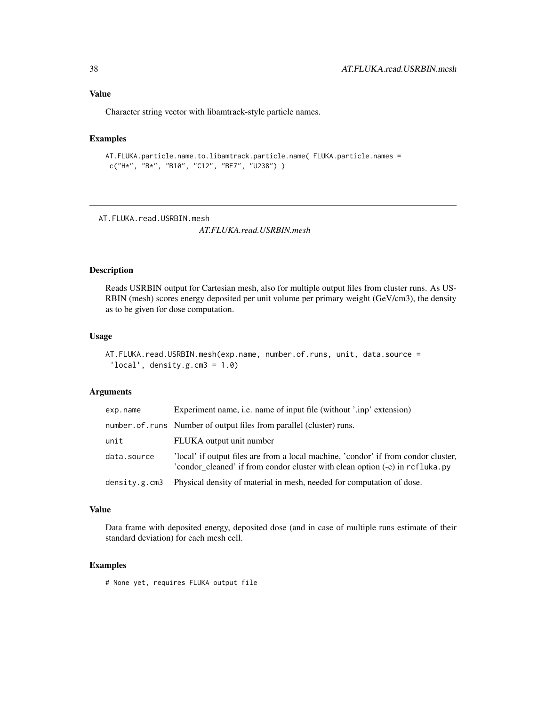# Value

Character string vector with libamtrack-style particle names.

### Examples

```
AT.FLUKA.particle.name.to.libamtrack.particle.name( FLUKA.particle.names =
c("H*", "B*", "B10", "C12", "BE7", "U238") )
```
AT.FLUKA.read.USRBIN.mesh

*AT.FLUKA.read.USRBIN.mesh*

# Description

Reads USRBIN output for Cartesian mesh, also for multiple output files from cluster runs. As US-RBIN (mesh) scores energy deposited per unit volume per primary weight (GeV/cm3), the density as to be given for dose computation.

#### Usage

AT.FLUKA.read.USRBIN.mesh(exp.name, number.of.runs, unit, data.source = 'local', density.g.cm $3 = 1.0$ )

### Arguments

| exp.name      | Experiment name, i.e. name of input file (without '.inp' extension)                                                                                                |  |
|---------------|--------------------------------------------------------------------------------------------------------------------------------------------------------------------|--|
|               | number. of. runs Number of output files from parallel (cluster) runs.                                                                                              |  |
| unit          | FLUKA output unit number                                                                                                                                           |  |
| data.source   | 'local' if output files are from a local machine, 'condor' if from condor cluster,<br>'condor cleaned' if from condor cluster with clean option (-c) in rcfluka.py |  |
| density.g.cm3 | Physical density of material in mesh, needed for computation of dose.                                                                                              |  |

#### Value

Data frame with deposited energy, deposited dose (and in case of multiple runs estimate of their standard deviation) for each mesh cell.

## Examples

# None yet, requires FLUKA output file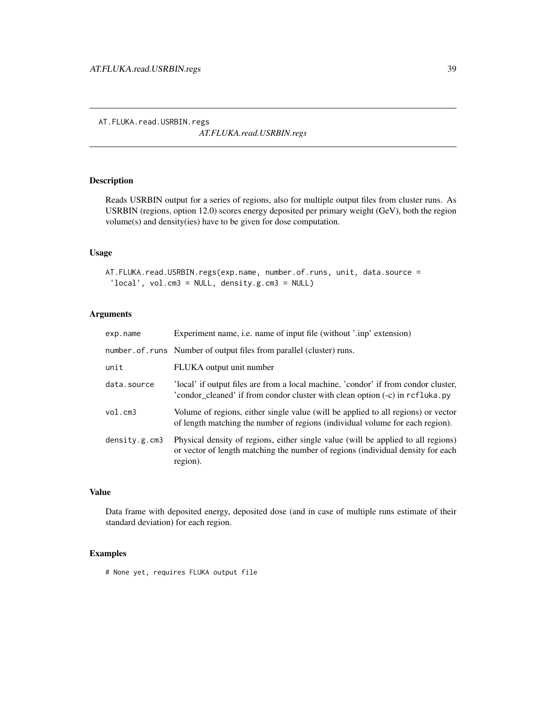*AT.FLUKA.read.USRBIN.regs*

# Description

Reads USRBIN output for a series of regions, also for multiple output files from cluster runs. As USRBIN (regions, option 12.0) scores energy deposited per primary weight (GeV), both the region volume(s) and density(ies) have to be given for dose computation.

## Usage

```
AT. FLUKA.read.USRBIN.regs(exp.name, number.of.runs, unit, data.source =
 'local', vol.cm3 = NULL, density.g.cm3 = NULL)
```
# Arguments

| exp.name      | Experiment name, <i>i.e.</i> name of input file (without '.inp' extension)                                                                                                       |
|---------------|----------------------------------------------------------------------------------------------------------------------------------------------------------------------------------|
|               | number.of.runs Number of output files from parallel (cluster) runs.                                                                                                              |
| unit          | FLUKA output unit number                                                                                                                                                         |
| data.source   | 'local' if output files are from a local machine, 'condor' if from condor cluster,<br>'condor_cleaned' if from condor cluster with clean option (-c) in rcfluka.py               |
| vol.cm3       | Volume of regions, either single value (will be applied to all regions) or vector<br>of length matching the number of regions (individual volume for each region).               |
| density.g.cm3 | Physical density of regions, either single value (will be applied to all regions)<br>or vector of length matching the number of regions (individual density for each<br>region). |

### Value

Data frame with deposited energy, deposited dose (and in case of multiple runs estimate of their standard deviation) for each region.

### Examples

# None yet, requires FLUKA output file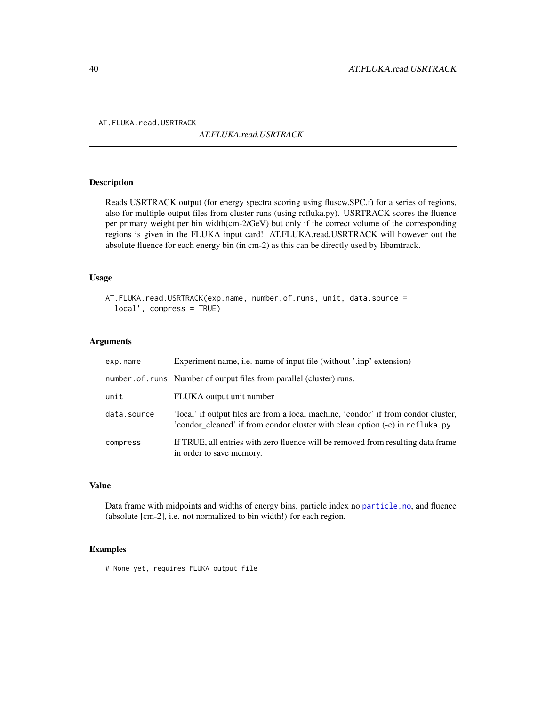AT. FLUKA.read.USRTRACK

*AT.FLUKA.read.USRTRACK*

### Description

Reads USRTRACK output (for energy spectra scoring using fluscw.SPC.f) for a series of regions, also for multiple output files from cluster runs (using rcfluka.py). USRTRACK scores the fluence per primary weight per bin width(cm-2/GeV) but only if the correct volume of the corresponding regions is given in the FLUKA input card! AT.FLUKA.read.USRTRACK will however out the absolute fluence for each energy bin (in cm-2) as this can be directly used by libamtrack.

#### Usage

```
AT.FLUKA.read.USRTRACK(exp.name, number.of.runs, unit, data.source =
 'local', compress = TRUE)
```
### Arguments

| exp.name    | Experiment name, <i>i.e.</i> name of input file (without '.inp' extension)                                                                                         |
|-------------|--------------------------------------------------------------------------------------------------------------------------------------------------------------------|
|             | number. of. runs Number of output files from parallel (cluster) runs.                                                                                              |
| unit        | FLUKA output unit number                                                                                                                                           |
| data.source | 'local' if output files are from a local machine, 'condor' if from condor cluster,<br>'condor_cleaned' if from condor cluster with clean option (-c) in rcfluka.py |
| compress    | If TRUE, all entries with zero fluence will be removed from resulting data frame<br>in order to save memory.                                                       |

### Value

Data frame with midpoints and widths of energy bins, particle index no [particle.no](#page-95-0), and fluence (absolute [cm-2], i.e. not normalized to bin width!) for each region.

### Examples

# None yet, requires FLUKA output file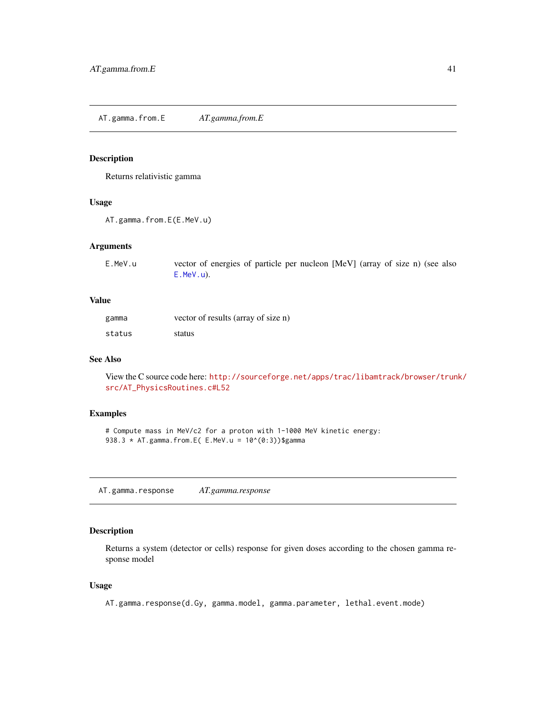AT.gamma.from.E *AT.gamma.from.E*

### Description

Returns relativistic gamma

### Usage

```
AT.gamma.from.E(E.MeV.u)
```
### Arguments

| E.MeV.u | vector of energies of particle per nucleon [MeV] (array of size n) (see also |
|---------|------------------------------------------------------------------------------|
|         | $E.MeV.u$ ).                                                                 |

## Value

| gamma  | vector of results (array of size n) |
|--------|-------------------------------------|
| status | status                              |

# See Also

View the C source code here: [http://sourceforge.net/apps/trac/libamtrack/browser/trun](http://sourceforge.net/apps/trac/libamtrack/browser/trunk/src/AT_PhysicsRoutines.c#L52)k/ [src/AT\\_PhysicsRoutines.c#L52](http://sourceforge.net/apps/trac/libamtrack/browser/trunk/src/AT_PhysicsRoutines.c#L52)

### Examples

# Compute mass in MeV/c2 for a proton with 1-1000 MeV kinetic energy: 938.3  $*$  AT.gamma.from.E( E.MeV.u = 10^(0:3))\$gamma

AT.gamma.response *AT.gamma.response*

## Description

Returns a system (detector or cells) response for given doses according to the chosen gamma response model

## Usage

AT.gamma.response(d.Gy, gamma.model, gamma.parameter, lethal.event.mode)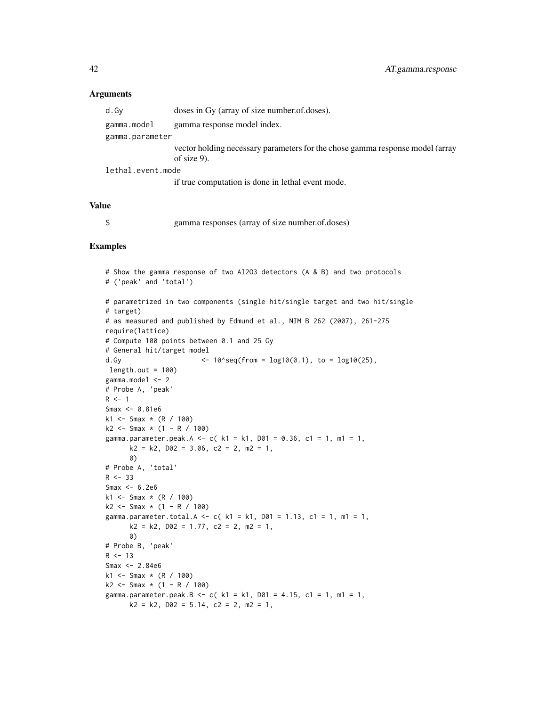#### Arguments

| d.Gv              | doses in Gy (array of size number.of.doses).                                                    |  |
|-------------------|-------------------------------------------------------------------------------------------------|--|
| gamma.model       | gamma response model index.                                                                     |  |
| gamma.parameter   |                                                                                                 |  |
|                   | vector holding necessary parameters for the chose gamma response model (array<br>of size $9$ ). |  |
| lethal.event.mode |                                                                                                 |  |
|                   | if true computation is done in lethal event mode.                                               |  |

#### Value

S gamma responses (array of size number.of.doses)

#### Examples

```
# Show the gamma response of two Al2O3 detectors (A & B) and two protocols
# ('peak' and 'total')
# parametrized in two components (single hit/single target and two hit/single
# target)
# as measured and published by Edmund et al., NIM B 262 (2007), 261-275
require(lattice)
# Compute 100 points between 0.1 and 25 Gy
# General hit/target model
d.Gy \langle -10^x \text{seq}(\text{from } = \text{log}10(0.1), \text{ to } = \text{log}10(25), \text{)}length.out = 100gamma.model <- 2
# Probe A, 'peak'
R <- 1
Smax <- 0.81e6
k1 <- Smax * (R / 100)
k2 \leq - Smax * (1 - R / 100)
gamma.parameter.peak.A <- c( k1 = k1, D01 = 0.36, c1 = 1, m1 = 1,
      k2 = k2, D02 = 3.06, C2 = 2, m2 = 1,
      0)
# Probe A, 'total'
R < -33Smax <-6.2e6k1 <- Smax * (R / 100)
k2 \leq -5max * (1 - R / 100)
gamma.parameter.total.A <- c( k1 = k1, D01 = 1.13, c1 = 1, m1 = 1,
      k2 = k2, D02 = 1.77, c2 = 2, m2 = 1,
      0)
# Probe B, 'peak'
R < -13Smax <-2.84e6k1 <- Smax * (R / 100)
k2 \leq - Smax * (1 - R / 100)
gamma.parameter.peak.B <- c(k1 = k1, D01 = 4.15, c1 = 1, m1 = 1,
      k2 = k2, D02 = 5.14, C2 = 2, m2 = 1,
```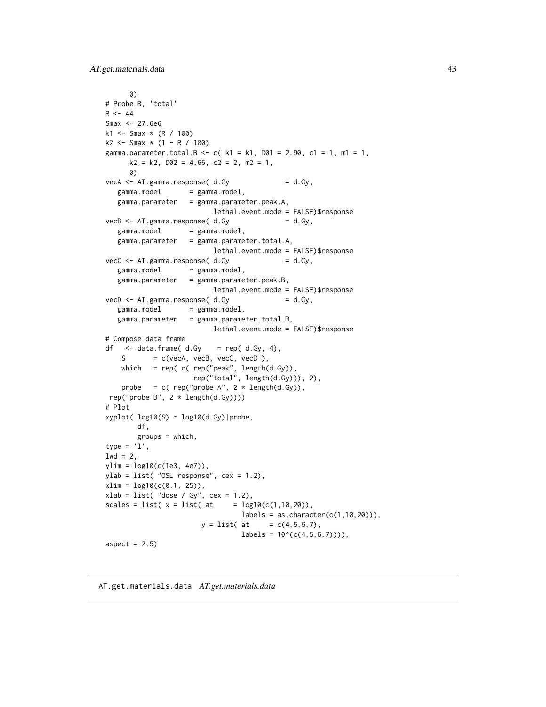AT.get.materials.data 43

```
0)
# Probe B, 'total'
R < -44Smax <- 27.6e6
k1 <- Smax * (R / 100)
k2 \leq -5max * (1 - R / 100)gamma.parameter.total.B <- c( k1 = k1, D01 = 2.90, c1 = 1, m1 = 1,
      k2 = k2, D02 = 4.66, C2 = 2, m2 = 1,
      0)
\text{vecA} \leq \text{AT}.\text{gamma}.\text{response}(\text{d}.G\text{y}) = d.G\text{y},gamma.model = gamma.model,
   gamma.parameter = gamma.parameter.peak.A,
                            lethal.event.mode = FALSE)$response
vecB \leq -AT \cdot gamma \cdot response(d.Gy = d.Gy,
   gamma.model = gamma.model,
   gamma.parameter = gamma.parameter.total.A,
                            lethal.event.mode = FALSE)$response
\text{vecC} \leq -AT \cdot \text{gamma} \cdot \text{response} and \text{c} \cdot \text{Gy} = d \cdot \text{Gy},
   gamma.model = gamma.model,
   gamma.parameter = gamma.parameter.peak.B,
                            lethal.event.mode = FALSE)$response
vecD \leftarrow AT.gamma.res్posse(d.Gy \qquad \qquad = d.Gy,gamma.model = gamma.model,
   gamma.parameter = gamma.parameter.total.B,
                            lethal.event.mode = FALSE)$response
# Compose data frame
df \le data.frame( d.Gy = rep( d.Gy, 4),
    S = c(vecA, vecB, vecC, vecD),
    which = rep( c( rep("peak", length(d.Gy)),rep("total", length(d.Gy))), 2),
    probe = c( rep("probe A'', 2 * length(d.Gy)),
 rep("probe B", 2 * length(d.Gy))))
# Plot
xyplot( log10(S) ~ log10(d.Gy)|probe,
        df,
        groups = which,
type = '1',
1wd = 2,
ylim = log10(c(1e3, 4e7)),
ylab = list( "OSL response", cex = 1.2),
xlim = log10(c(0.1, 25)),xlab = list('dose / Gy", cex = 1.2),scales = list(x = list(data = log10(c(1, 10, 20)),labels = as.charAt(c(1, 10, 20))),
                         y = list( at = c(4, 5, 6, 7),labels = 10^(c(4,5,6,7)))),
aspect = 2.5)
```
AT.get.materials.data *AT.get.materials.data*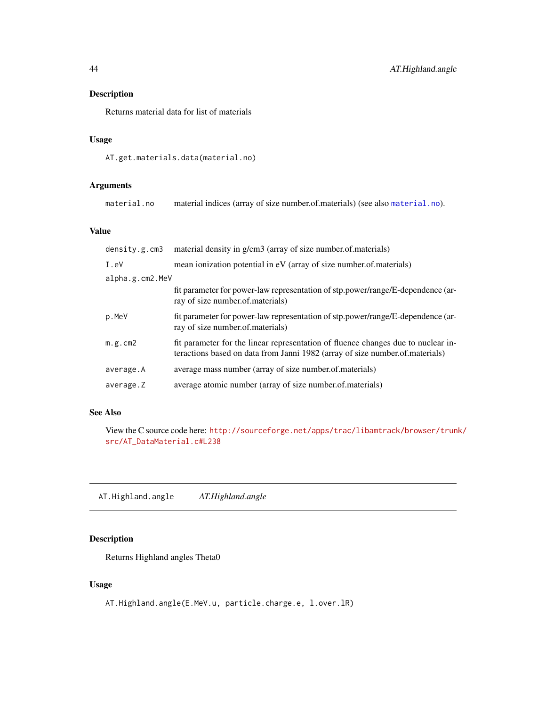# Description

Returns material data for list of materials

## Usage

```
AT.get.materials.data(material.no)
```
# Arguments

```
material.no material indices (array of size number.of.materials) (see also material.no).
```
# Value

| density.g.cm3   | material density in g/cm3 (array of size number.of.materials)                                                                                                     |  |
|-----------------|-------------------------------------------------------------------------------------------------------------------------------------------------------------------|--|
| I.eV            | mean ionization potential in eV (array of size number of materials)                                                                                               |  |
| alpha.g.cm2.MeV |                                                                                                                                                                   |  |
|                 | fit parameter for power-law representation of stp.power/range/E-dependence (ar-<br>ray of size number of materials)                                               |  |
| p.MeV           | fit parameter for power-law representation of stp.power/range/E-dependence (ar-<br>ray of size number of materials)                                               |  |
| m.g.cm2         | fit parameter for the linear representation of fluence changes due to nuclear in-<br>teractions based on data from Janni 1982 (array of size number.of.materials) |  |
| average.A       | average mass number (array of size number of materials)                                                                                                           |  |
| average.Z       | average atomic number (array of size number of materials)                                                                                                         |  |

# See Also

View the C source code here: [http://sourceforge.net/apps/trac/libamtrack/browser/trun](http://sourceforge.net/apps/trac/libamtrack/browser/trunk/src/AT_DataMaterial.c#L238)k/ [src/AT\\_DataMaterial.c#L238](http://sourceforge.net/apps/trac/libamtrack/browser/trunk/src/AT_DataMaterial.c#L238)

AT.Highland.angle *AT.Highland.angle*

# Description

Returns Highland angles Theta0

# Usage

AT.Highland.angle(E.MeV.u, particle.charge.e, l.over.lR)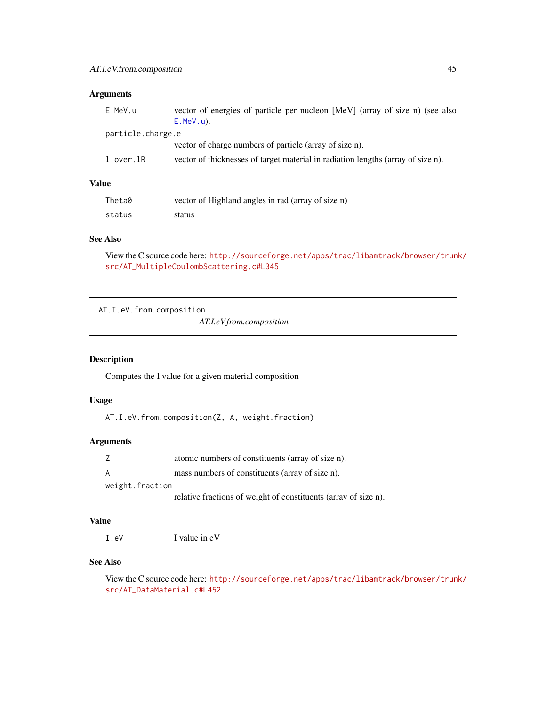# Arguments

| E.MeV.u           | vector of energies of particle per nucleon [MeV] (array of size n) (see also<br>$E.MeV.u$ ). |
|-------------------|----------------------------------------------------------------------------------------------|
| particle.charge.e |                                                                                              |
|                   | vector of charge numbers of particle (array of size n).                                      |
| l.over.lR         | vector of thicknesses of target material in radiation lengths (array of size n).             |
|                   |                                                                                              |

# Value

| Theta0 | vector of Highland angles in rad (array of size n) |
|--------|----------------------------------------------------|
| status | status                                             |

# See Also

View the C source code here: [http://sourceforge.net/apps/trac/libamtrack/browser/trun](http://sourceforge.net/apps/trac/libamtrack/browser/trunk/src/AT_MultipleCoulombScattering.c#L345)k/ [src/AT\\_MultipleCoulombScattering.c#L345](http://sourceforge.net/apps/trac/libamtrack/browser/trunk/src/AT_MultipleCoulombScattering.c#L345)

AT.I.eV.from.composition

*AT.I.eV.from.composition*

# Description

Computes the I value for a given material composition

### Usage

AT.I.eV.from.composition(Z, A, weight.fraction)

# Arguments

|                 | atomic numbers of constituents (array of size n).               |
|-----------------|-----------------------------------------------------------------|
| A               | mass numbers of constituents (array of size n).                 |
| weight.fraction |                                                                 |
|                 | relative fractions of weight of constituents (array of size n). |

#### Value

I.eV I value in eV

### See Also

View the C source code here: [http://sourceforge.net/apps/trac/libamtrack/browser/trun](http://sourceforge.net/apps/trac/libamtrack/browser/trunk/src/AT_DataMaterial.c#L452)k/ [src/AT\\_DataMaterial.c#L452](http://sourceforge.net/apps/trac/libamtrack/browser/trunk/src/AT_DataMaterial.c#L452)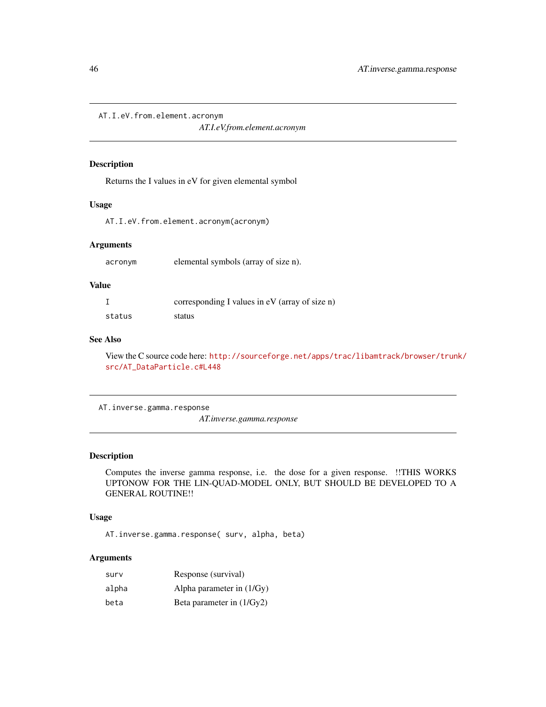AT.I.eV.from.element.acronym

*AT.I.eV.from.element.acronym*

#### Description

Returns the I values in eV for given elemental symbol

#### Usage

AT.I.eV.from.element.acronym(acronym)

### Arguments

acronym elemental symbols (array of size n).

### Value

|        | corresponding I values in eV (array of size n) |
|--------|------------------------------------------------|
| status | status                                         |

# See Also

View the C source code here: [http://sourceforge.net/apps/trac/libamtrack/browser/trun](http://sourceforge.net/apps/trac/libamtrack/browser/trunk/src/AT_DataParticle.c#L448)k/ [src/AT\\_DataParticle.c#L448](http://sourceforge.net/apps/trac/libamtrack/browser/trunk/src/AT_DataParticle.c#L448)

AT.inverse.gamma.response

*AT.inverse.gamma.response*

# Description

Computes the inverse gamma response, i.e. the dose for a given response. !!THIS WORKS UPTONOW FOR THE LIN-QUAD-MODEL ONLY, BUT SHOULD BE DEVELOPED TO A GENERAL ROUTINE!!

# Usage

AT.inverse.gamma.response( surv, alpha, beta)

# Arguments

| surv  | Response (survival)         |
|-------|-----------------------------|
| alpha | Alpha parameter in $(1/Gy)$ |
| beta  | Beta parameter in $(1/Gy2)$ |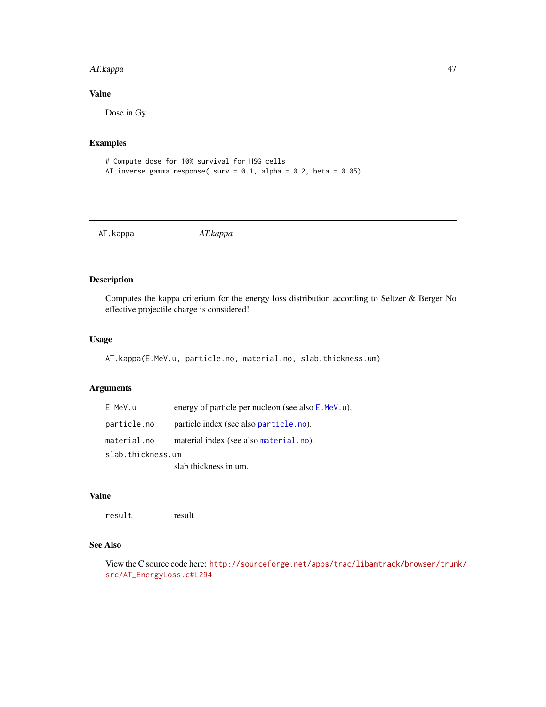#### AT.kappa 47

# Value

Dose in Gy

# Examples

```
# Compute dose for 10% survival for HSG cells
AT.inverse.gamma.response( surv = 0.1, alpha = 0.2, beta = 0.05)
```
AT.kappa *AT.kappa*

# Description

Computes the kappa criterium for the energy loss distribution according to Seltzer & Berger No effective projectile charge is considered!

## Usage

```
AT.kappa(E.MeV.u, particle.no, material.no, slab.thickness.um)
```
# Arguments

| E.MeV.u           | energy of particle per nucleon (see also E.MeV.u). |  |
|-------------------|----------------------------------------------------|--|
| particle.no       | particle index (see also particle.no).             |  |
| material.no       | material index (see also material.no).             |  |
| slab.thickness.um |                                                    |  |
|                   | slab thickness in um.                              |  |

# Value

result result

# See Also

View the C source code here: [http://sourceforge.net/apps/trac/libamtrack/browser/trun](http://sourceforge.net/apps/trac/libamtrack/browser/trunk/src/AT_EnergyLoss.c#L294)k/ [src/AT\\_EnergyLoss.c#L294](http://sourceforge.net/apps/trac/libamtrack/browser/trunk/src/AT_EnergyLoss.c#L294)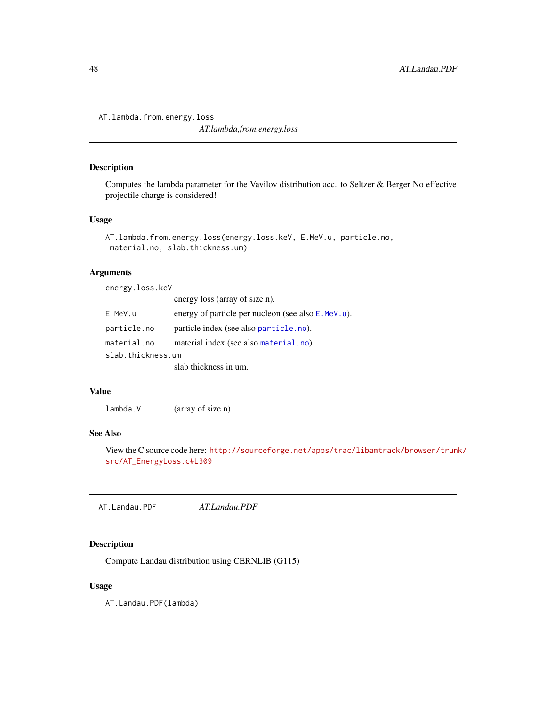```
AT.lambda.from.energy.loss
```
*AT.lambda.from.energy.loss*

## Description

Computes the lambda parameter for the Vavilov distribution acc. to Seltzer & Berger No effective projectile charge is considered!

## Usage

```
AT.lambda.from.energy.loss(energy.loss.keV, E.MeV.u, particle.no,
material.no, slab.thickness.um)
```
# Arguments

energy.loss.keV

|                   | energy loss (array of size n).                          |
|-------------------|---------------------------------------------------------|
| E.MeV.u           | energy of particle per nucleon (see also $E$ . MeV. u). |
| particle.no       | particle index (see also particle.no).                  |
| material.no       | material index (see also material.no).                  |
| slab.thickness.um |                                                         |
|                   | slab thickness in um.                                   |

### Value

lambda.V (array of size n)

### See Also

View the C source code here: [http://sourceforge.net/apps/trac/libamtrack/browser/trun](http://sourceforge.net/apps/trac/libamtrack/browser/trunk/src/AT_EnergyLoss.c#L309)k/ [src/AT\\_EnergyLoss.c#L309](http://sourceforge.net/apps/trac/libamtrack/browser/trunk/src/AT_EnergyLoss.c#L309)

AT.Landau.PDF *AT.Landau.PDF*

# Description

Compute Landau distribution using CERNLIB (G115)

### Usage

AT.Landau.PDF(lambda)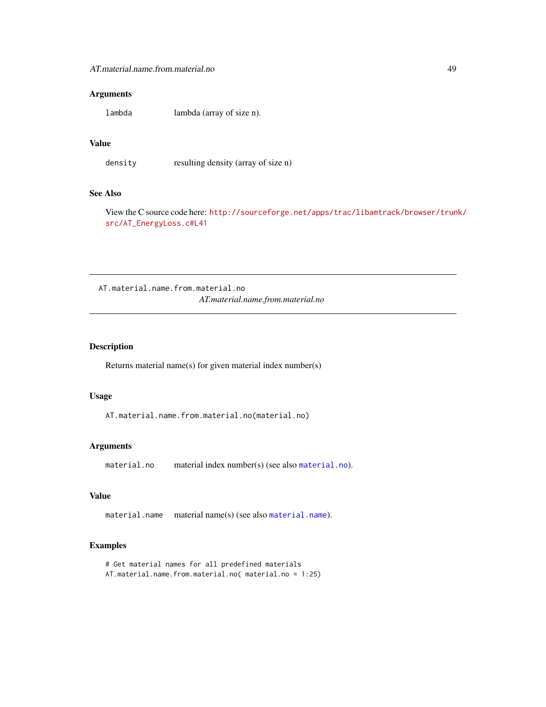### Arguments

lambda lambda (array of size n).

### Value

density resulting density (array of size n)

### See Also

View the C source code here: [http://sourceforge.net/apps/trac/libamtrack/browser/trun](http://sourceforge.net/apps/trac/libamtrack/browser/trunk/src/AT_EnergyLoss.c#L41)k/ [src/AT\\_EnergyLoss.c#L41](http://sourceforge.net/apps/trac/libamtrack/browser/trunk/src/AT_EnergyLoss.c#L41)

AT.material.name.from.material.no *AT.material.name.from.material.no*

### Description

Returns material name(s) for given material index number(s)

#### Usage

AT.material.name.from.material.no(material.no)

### Arguments

material.no material index number(s) (see also [material.no](#page-93-0)).

# Value

material.name material name(s) (see also [material.name](#page-92-0)).

### Examples

```
# Get material names for all predefined materials
AT.material.name.from.material.no( material.no = 1:25)
```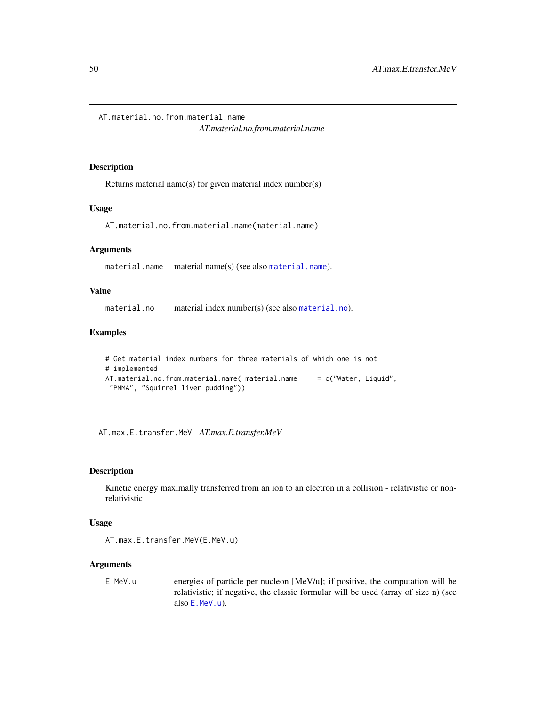AT.material.no.from.material.name

*AT.material.no.from.material.name*

### Description

Returns material name(s) for given material index number(s)

#### Usage

AT.material.no.from.material.name(material.name)

#### Arguments

[material.name](#page-92-0) material name(s) (see also material.name).

# Value

[material.no](#page-93-0) material index number(s) (see also material.no).

#### Examples

```
# Get material index numbers for three materials of which one is not
# implemented
AT.material.no.from.material.name( material.name = c("Water, Liquid",
"PMMA", "Squirrel liver pudding"))
```
AT.max.E.transfer.MeV *AT.max.E.transfer.MeV*

### Description

Kinetic energy maximally transferred from an ion to an electron in a collision - relativistic or nonrelativistic

#### Usage

AT.max.E.transfer.MeV(E.MeV.u)

#### Arguments

E.MeV.u energies of particle per nucleon [MeV/u]; if positive, the computation will be relativistic; if negative, the classic formular will be used (array of size n) (see also [E.MeV.u](#page-90-0)).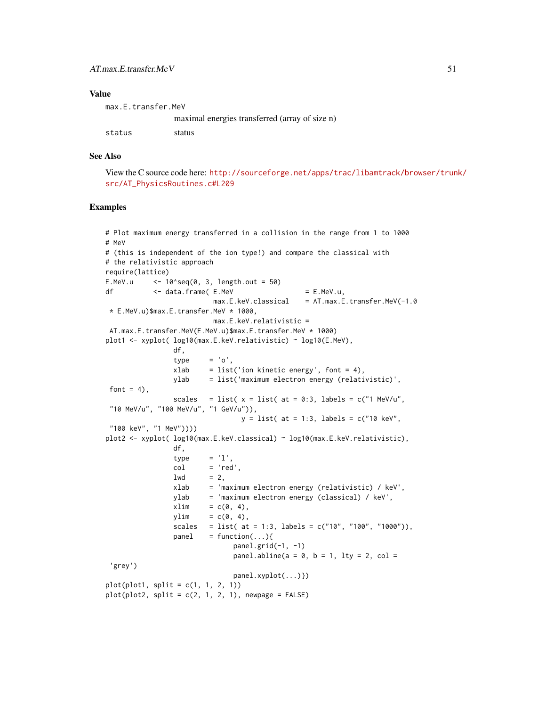### Value

| max.E.transfer.MeV |                                                |
|--------------------|------------------------------------------------|
|                    | maximal energies transferred (array of size n) |
| status             | status                                         |

#### See Also

View the C source code here: [http://sourceforge.net/apps/trac/libamtrack/browser/trun](http://sourceforge.net/apps/trac/libamtrack/browser/trunk/src/AT_PhysicsRoutines.c#L209)k/ [src/AT\\_PhysicsRoutines.c#L209](http://sourceforge.net/apps/trac/libamtrack/browser/trunk/src/AT_PhysicsRoutines.c#L209)

### Examples

```
# Plot maximum energy transferred in a collision in the range from 1 to 1000
# MeV
# (this is independent of the ion type!) and compare the classical with
# the relativistic approach
require(lattice)
E.MeV.u \leq 10^seq(0, 3, length.out = 50)
df < data.frame(E.MeV = E.MeV.u,
                         max.E.keV. classical = AT.max.E.transfer.MeV(-1.0* E.MeV.u)$max.E.transfer.MeV * 1000,
                         max.E.keV.relativistic =
AT.max.E.transfer.MeV(E.MeV.u)$max.E.transfer.MeV * 1000)
plot1 <- xyplot( log10(max.E.keV.relativistic) ~ log10(E.MeV),
                df,
                type = 'o',xlab = list('ion kinetic energy', font = 4),
                ylab = list('maximum electron energy (relativistic)',
font = 4),
                scales = list(x =list(at = 0:3, labels = c("1 MeV/u",
 "10 MeV/u", "100 MeV/u", "1 GeV/u")),
                                y = 1ist( at = 1:3, labels = c("10 keV",
 "100 keV", "1 MeV"))))
plot2 <- xyplot( log10(max.E.keV.classical) ~ log10(max.E.keV.relativistic),
                df,
                type = 'l',col = 'red',1wd = 2,
                xlab = 'maximum electron energy (relativistic) / keV',
                ylab = 'maximum electron energy (classical) / keV',
                xlim = c(0, 4),ylim = c(\emptyset, 4),
                scales = list( at = 1:3, labels = c("10", "100", "1000")),
                panel = function(...)panel.grid(-1, -1)panel.abline(a = 0, b = 1, lty = 2, col =
 'grey')
                              panel.xyplot(...)})
plot(plot1, split = c(1, 1, 2, 1))plot(plot2, split = c(2, 1, 2, 1), newpage = FALSE)
```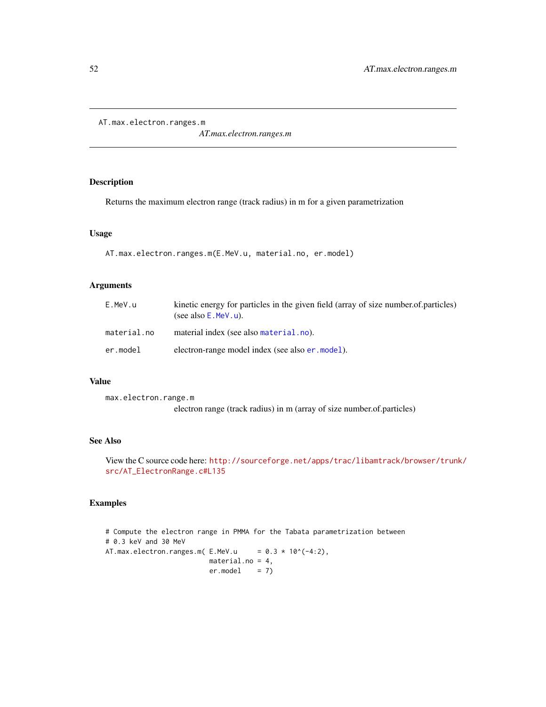AT.max.electron.ranges.m

*AT.max.electron.ranges.m*

# Description

Returns the maximum electron range (track radius) in m for a given parametrization

### Usage

```
AT.max.electron.ranges.m(E.MeV.u, material.no, er.model)
```
# Arguments

| E.MeV.u     | kinetic energy for particles in the given field (array of size number.of.particles)<br>(see also $E$ . MeV. u). |
|-------------|-----------------------------------------------------------------------------------------------------------------|
| material.no | material index (see also material.no).                                                                          |
| er.model    | electron-range model index (see also er, model).                                                                |

#### Value

max.electron.range.m electron range (track radius) in m (array of size number.of.particles)

#### See Also

View the C source code here: [http://sourceforge.net/apps/trac/libamtrack/browser/trun](http://sourceforge.net/apps/trac/libamtrack/browser/trunk/src/AT_ElectronRange.c#L135)k/ [src/AT\\_ElectronRange.c#L135](http://sourceforge.net/apps/trac/libamtrack/browser/trunk/src/AT_ElectronRange.c#L135)

# Examples

# Compute the electron range in PMMA for the Tabata parametrization between # 0.3 keV and 30 MeV AT.max.electron.ranges.m( $E.MeV.u$  = 0.3 \* 10^(-4:2), material.no = 4,  $er.model = 7)$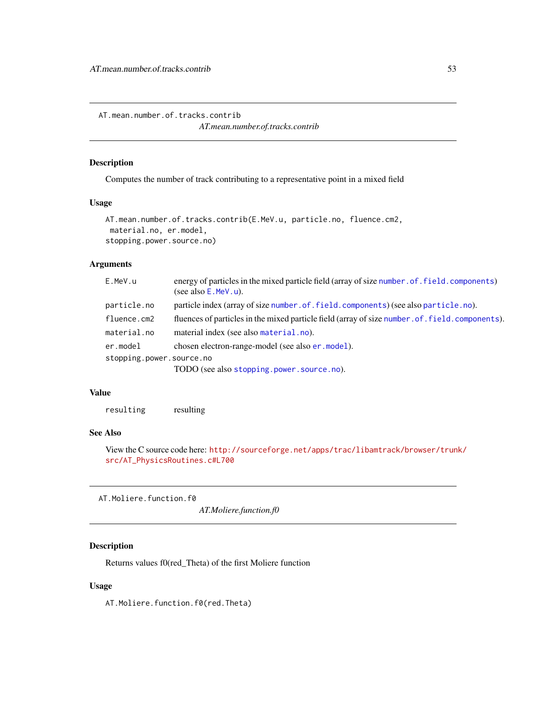AT.mean.number.of.tracks.contrib

*AT.mean.number.of.tracks.contrib*

### Description

Computes the number of track contributing to a representative point in a mixed field

### Usage

```
AT.mean.number.of.tracks.contrib(E.MeV.u, particle.no, fluence.cm2,
material.no, er.model,
stopping.power.source.no)
```
# Arguments

| E.MeV.u                  | energy of particles in the mixed particle field (array of size number of field, components)<br>(see also $E$ . MeV. u). |
|--------------------------|-------------------------------------------------------------------------------------------------------------------------|
| particle.no              | particle index (array of size number of field components) (see also particle .no).                                      |
| fluence.cm2              | fluences of particles in the mixed particle field (array of size number. of. field. components).                        |
| material.no              | material index (see also material.no).                                                                                  |
| er.model                 | chosen electron-range-model (see also er . model).                                                                      |
| stopping.power.source.no |                                                                                                                         |
|                          | TODO (see also stopping.power.source.no).                                                                               |

# Value

resulting resulting

# See Also

View the C source code here: [http://sourceforge.net/apps/trac/libamtrack/browser/trun](http://sourceforge.net/apps/trac/libamtrack/browser/trunk/src/AT_PhysicsRoutines.c#L700)k/ [src/AT\\_PhysicsRoutines.c#L700](http://sourceforge.net/apps/trac/libamtrack/browser/trunk/src/AT_PhysicsRoutines.c#L700)

AT.Moliere.function.f0

*AT.Moliere.function.f0*

# Description

Returns values f0(red\_Theta) of the first Moliere function

#### Usage

AT.Moliere.function.f0(red.Theta)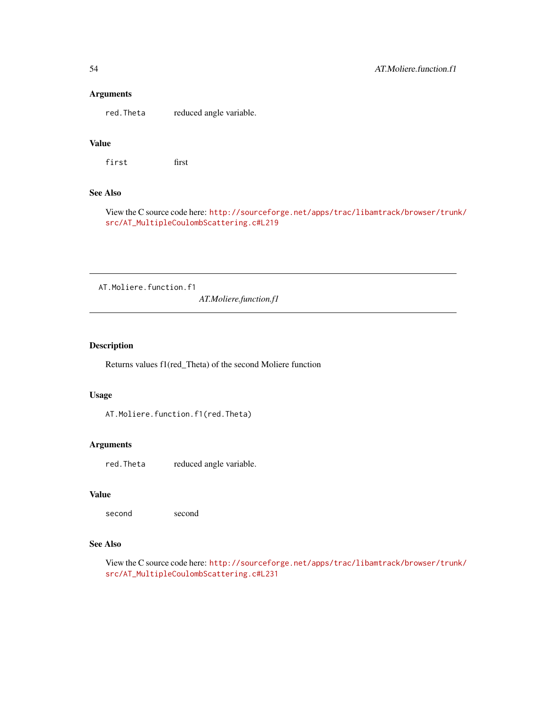## Arguments

red.Theta reduced angle variable.

# Value

first first

### See Also

View the C source code here: [http://sourceforge.net/apps/trac/libamtrack/browser/trun](http://sourceforge.net/apps/trac/libamtrack/browser/trunk/src/AT_MultipleCoulombScattering.c#L219)k/ [src/AT\\_MultipleCoulombScattering.c#L219](http://sourceforge.net/apps/trac/libamtrack/browser/trunk/src/AT_MultipleCoulombScattering.c#L219)

AT.Moliere.function.f1

*AT.Moliere.function.f1*

# Description

Returns values f1(red\_Theta) of the second Moliere function

#### Usage

AT.Moliere.function.f1(red.Theta)

#### Arguments

red.Theta reduced angle variable.

### Value

second second

### See Also

View the C source code here: [http://sourceforge.net/apps/trac/libamtrack/browser/trun](http://sourceforge.net/apps/trac/libamtrack/browser/trunk/src/AT_MultipleCoulombScattering.c#L231)k/ [src/AT\\_MultipleCoulombScattering.c#L231](http://sourceforge.net/apps/trac/libamtrack/browser/trunk/src/AT_MultipleCoulombScattering.c#L231)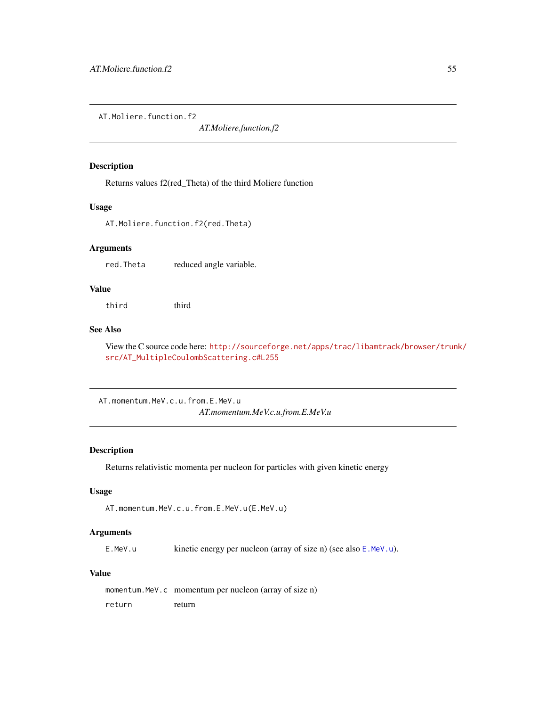AT.Moliere.function.f2

*AT.Moliere.function.f2*

### Description

Returns values f2(red\_Theta) of the third Moliere function

#### Usage

AT.Moliere.function.f2(red.Theta)

### Arguments

red.Theta reduced angle variable.

## Value

third third

# See Also

View the C source code here: [http://sourceforge.net/apps/trac/libamtrack/browser/trun](http://sourceforge.net/apps/trac/libamtrack/browser/trunk/src/AT_MultipleCoulombScattering.c#L255)k/ [src/AT\\_MultipleCoulombScattering.c#L255](http://sourceforge.net/apps/trac/libamtrack/browser/trunk/src/AT_MultipleCoulombScattering.c#L255)

AT.momentum.MeV.c.u.from.E.MeV.u *AT.momentum.MeV.c.u.from.E.MeV.u*

#### Description

Returns relativistic momenta per nucleon for particles with given kinetic energy

# Usage

AT.momentum.MeV.c.u.from.E.MeV.u(E.MeV.u)

#### Arguments

E.MeV.u kinetic energy per nucleon (array of size n) (see also [E.MeV.u](#page-90-0)).

#### Value

momentum.MeV.c momentum per nucleon (array of size n) return return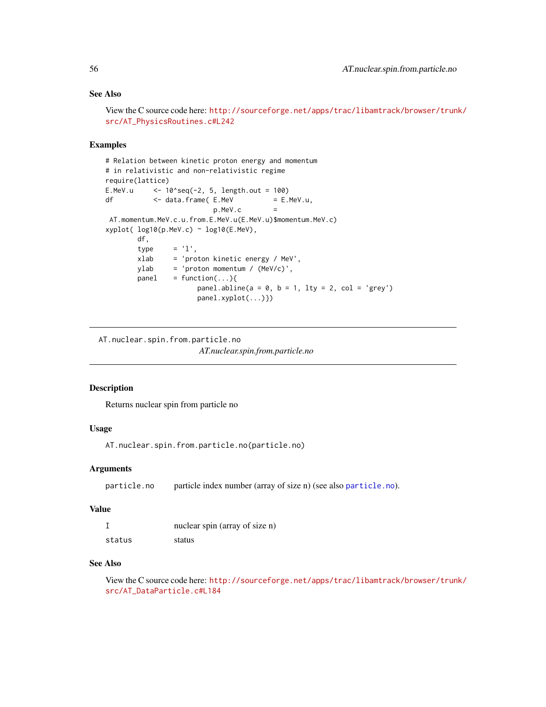# See Also

```
View the C source code here: http://sourceforge.net/apps/trac/libamtrack/browser/trunk/
src/AT_PhysicsRoutines.c#L242
```
### Examples

```
# Relation between kinetic proton energy and momentum
# in relativistic and non-relativistic regime
require(lattice)
E.MeV.u \leq -10<sup>s</sup>seq(-2, 5, length.out = 100)
df <- data.frame(E.MeV = E.MeV.u,
                         p.MeV.c =AT.momentum.MeV.c.u.from.E.MeV.u(E.MeV.u)$momentum.MeV.c)
xyplot( log10(p.MeV.c) ~ log10(E.MeV),
       df,
       type = 'l',xlab = 'proton kinetic energy / MeV',
       ylab = 'proton momentum / (MeV/c)',
       panel = function(...){}panel.abline(a = 0, b = 1, lty = 2, col = 'grey')
                     panel.xyplot(...)})
```
AT.nuclear.spin.from.particle.no *AT.nuclear.spin.from.particle.no*

### Description

Returns nuclear spin from particle no

### Usage

AT.nuclear.spin.from.particle.no(particle.no)

### **Arguments**

particle.no particle index number (array of size n) (see also [particle.no](#page-95-0)).

#### Value

|        | nuclear spin (array of size n) |
|--------|--------------------------------|
| status | status                         |

### See Also

View the C source code here: [http://sourceforge.net/apps/trac/libamtrack/browser/trun](http://sourceforge.net/apps/trac/libamtrack/browser/trunk/src/AT_DataParticle.c#L184)k/ [src/AT\\_DataParticle.c#L184](http://sourceforge.net/apps/trac/libamtrack/browser/trunk/src/AT_DataParticle.c#L184)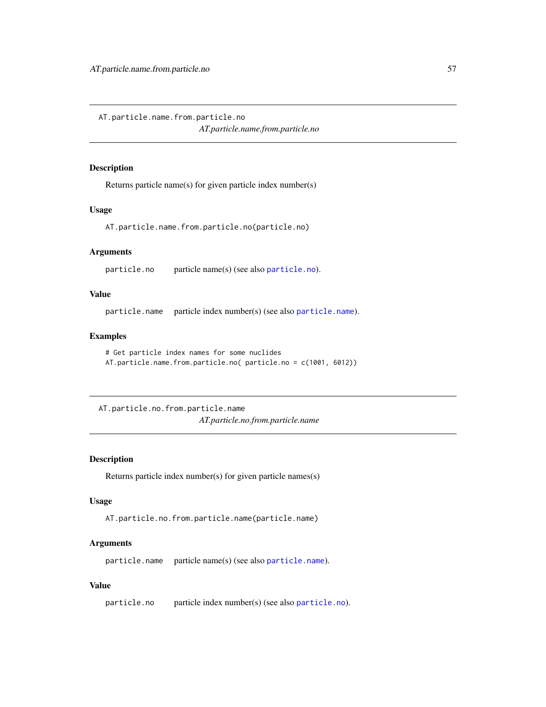AT.particle.name.from.particle.no

*AT.particle.name.from.particle.no*

## Description

Returns particle name(s) for given particle index number(s)

### Usage

AT.particle.name.from.particle.no(particle.no)

### Arguments

particle.no particle name(s) (see also [particle.no](#page-95-0)).

## Value

particle.name particle index number(s) (see also [particle.name](#page-94-1)).

### Examples

```
# Get particle index names for some nuclides
AT.particle.name.from.particle.no( particle.no = c(1001, 6012))
```
AT.particle.no.from.particle.name *AT.particle.no.from.particle.name*

# Description

Returns particle index number(s) for given particle names(s)

# Usage

AT.particle.no.from.particle.name(particle.name)

### Arguments

particle.name particle name(s) (see also [particle.name](#page-94-1)).

# Value

particle.no particle index number(s) (see also [particle.no](#page-95-0)).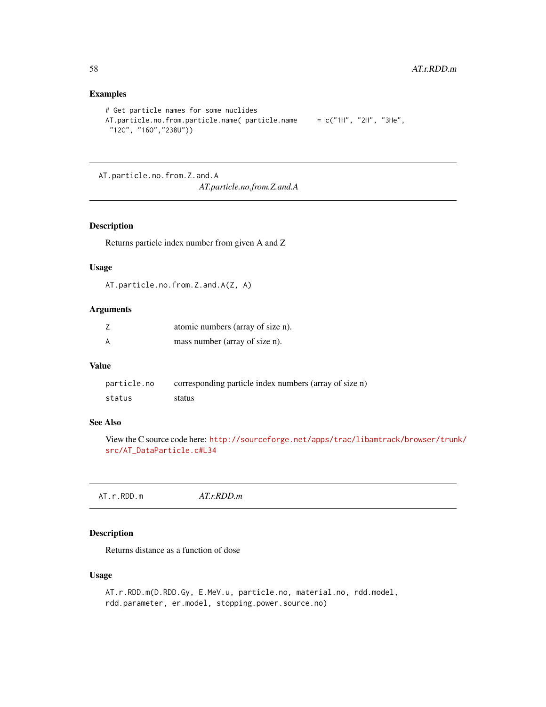# Examples

```
# Get particle names for some nuclides
AT.particle.no.from.particle.name( particle.name = c("1H", "2H", "3He","12C", "16O","238U"))
```
AT.particle.no.from.Z.and.A *AT.particle.no.from.Z.and.A*

### Description

Returns particle index number from given A and Z

### Usage

AT.particle.no.from.Z.and.A(Z, A)

## Arguments

| atomic numbers (array of size n). |
|-----------------------------------|
| mass number (array of size n).    |

## Value

| particle.no | corresponding particle index numbers (array of size n) |
|-------------|--------------------------------------------------------|
| status      | status                                                 |

# See Also

View the C source code here: [http://sourceforge.net/apps/trac/libamtrack/browser/trun](http://sourceforge.net/apps/trac/libamtrack/browser/trunk/src/AT_DataParticle.c#L34)k/ [src/AT\\_DataParticle.c#L34](http://sourceforge.net/apps/trac/libamtrack/browser/trunk/src/AT_DataParticle.c#L34)

AT.r.RDD.m *AT.r.RDD.m*

# Description

Returns distance as a function of dose

# Usage

```
AT.r.RDD.m(D.RDD.Gy, E.MeV.u, particle.no, material.no, rdd.model,
rdd.parameter, er.model, stopping.power.source.no)
```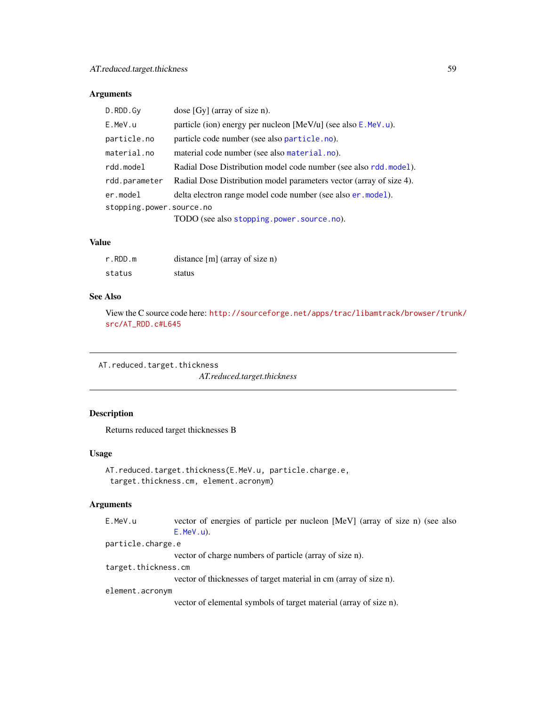# Arguments

| D.RDD.Gy                 | dose $[Gy]$ (array of size n).                                      |
|--------------------------|---------------------------------------------------------------------|
| E.MeV.u                  | particle (ion) energy per nucleon [MeV/u] (see also E.MeV.u).       |
| particle.no              | particle code number (see also particle.no).                        |
| material.no              | material code number (see also material.no).                        |
| rdd.model                | Radial Dose Distribution model code number (see also rdd.model).    |
| rdd.parameter            | Radial Dose Distribution model parameters vector (array of size 4). |
| er.model                 | delta electron range model code number (see also er . model).       |
| stopping.power.source.no |                                                                     |
|                          | TODO (see also stopping.power.source.no).                           |

## Value

| r.RDD.m | distance $[m]$ (array of size n) |
|---------|----------------------------------|
| status  | status                           |

### See Also

View the C source code here: [http://sourceforge.net/apps/trac/libamtrack/browser/trun](http://sourceforge.net/apps/trac/libamtrack/browser/trunk/src/AT_RDD.c#L645)k/ [src/AT\\_RDD.c#L645](http://sourceforge.net/apps/trac/libamtrack/browser/trunk/src/AT_RDD.c#L645)

AT.reduced.target.thickness

*AT.reduced.target.thickness*

# Description

Returns reduced target thicknesses B

## Usage

```
AT.reduced.target.thickness(E.MeV.u, particle.charge.e,
target.thickness.cm, element.acronym)
```
#### Arguments

E.MeV.u vector of energies of particle per nucleon [MeV] (array of size n) (see also [E.MeV.u](#page-90-0)).

particle.charge.e

vector of charge numbers of particle (array of size n).

target.thickness.cm

vector of thicknesses of target material in cm (array of size n).

#### element.acronym

vector of elemental symbols of target material (array of size n).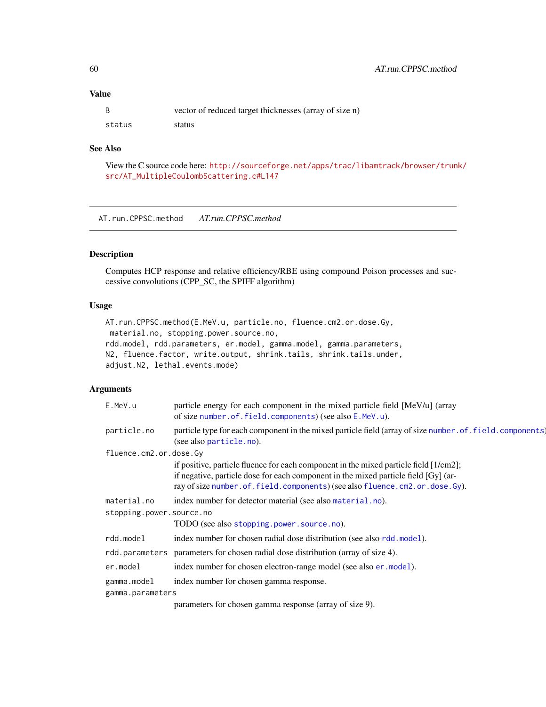# Value

|        | vector of reduced target thicknesses (array of size n) |
|--------|--------------------------------------------------------|
| status | status                                                 |

## See Also

View the C source code here: [http://sourceforge.net/apps/trac/libamtrack/browser/trun](http://sourceforge.net/apps/trac/libamtrack/browser/trunk/src/AT_MultipleCoulombScattering.c#L147)k/ [src/AT\\_MultipleCoulombScattering.c#L147](http://sourceforge.net/apps/trac/libamtrack/browser/trunk/src/AT_MultipleCoulombScattering.c#L147)

AT.run.CPPSC.method *AT.run.CPPSC.method*

### Description

Computes HCP response and relative efficiency/RBE using compound Poison processes and successive convolutions (CPP\_SC, the SPIFF algorithm)

### Usage

```
AT.run.CPPSC.method(E.MeV.u, particle.no, fluence.cm2.or.dose.Gy,
material.no, stopping.power.source.no,
rdd.model, rdd.parameters, er.model, gamma.model, gamma.parameters,
N2, fluence.factor, write.output, shrink.tails, shrink.tails.under,
adjust.N2, lethal.events.mode)
```
### Arguments

| E.MeV.u                  | particle energy for each component in the mixed particle field [MeV/u] (array<br>of size number.of.field.components) (see also E.MeV.u).                                                                                                                   |
|--------------------------|------------------------------------------------------------------------------------------------------------------------------------------------------------------------------------------------------------------------------------------------------------|
| particle.no              | particle type for each component in the mixed particle field (array of size number . of . field. components)<br>(see also particle.no).                                                                                                                    |
| fluence.cm2.or.dose.Gy   |                                                                                                                                                                                                                                                            |
|                          | if positive, particle fluence for each component in the mixed particle field [1/cm2];<br>if negative, particle dose for each component in the mixed particle field [Gy] (ar-<br>ray of size number.of.field.components) (see also fluence.cm2.or.dose.Gy). |
| material.no              | index number for detector material (see also material.no).                                                                                                                                                                                                 |
| stopping.power.source.no |                                                                                                                                                                                                                                                            |
|                          | TODO (see also stopping.power.source.no).                                                                                                                                                                                                                  |
| rdd.model                | index number for chosen radial dose distribution (see also rdd.model).                                                                                                                                                                                     |
| rdd.parameters           | parameters for chosen radial dose distribution (array of size 4).                                                                                                                                                                                          |
| er.model                 | index number for chosen electron-range model (see also er . model).                                                                                                                                                                                        |
| gamma.model              | index number for chosen gamma response.                                                                                                                                                                                                                    |
| gamma.parameters         |                                                                                                                                                                                                                                                            |
|                          | negative for opening commo general (equation of $q = 0$ )                                                                                                                                                                                                  |

parameters for chosen gamma response (array of size 9).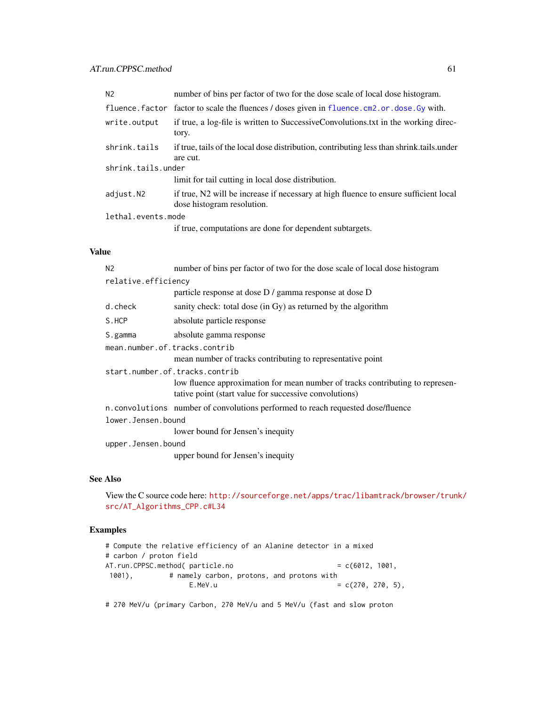| N <sub>2</sub>     | number of bins per factor of two for the dose scale of local dose histogram.                                       |  |
|--------------------|--------------------------------------------------------------------------------------------------------------------|--|
|                    | fluence. factor factor to scale the fluences / doses given in fluence. cm2. or. dose. Gy with.                     |  |
| write.output       | if true, a log-file is written to SuccessiveConvolutions.txt in the working direc-<br>tory.                        |  |
| shrink.tails       | if true, tails of the local dose distribution, contributing less than shrink tails under<br>are cut.               |  |
| shrink.tails.under |                                                                                                                    |  |
|                    | limit for tail cutting in local dose distribution.                                                                 |  |
| adjust.N2          | if true, N2 will be increase if necessary at high fluence to ensure sufficient local<br>dose histogram resolution. |  |
| lethal.events.mode |                                                                                                                    |  |
|                    | if true, computations are done for dependent subtargets.                                                           |  |
|                    |                                                                                                                    |  |

# Value

| number of bins per factor of two for the dose scale of local dose histogram                                                             |  |  |
|-----------------------------------------------------------------------------------------------------------------------------------------|--|--|
| relative.efficiency                                                                                                                     |  |  |
| particle response at dose D / gamma response at dose D                                                                                  |  |  |
| sanity check: total dose (in Gy) as returned by the algorithm                                                                           |  |  |
| absolute particle response                                                                                                              |  |  |
| absolute gamma response                                                                                                                 |  |  |
| mean.number.of.tracks.contrib                                                                                                           |  |  |
| mean number of tracks contributing to representative point                                                                              |  |  |
| start.number.of.tracks.contrib                                                                                                          |  |  |
| low fluence approximation for mean number of tracks contributing to represen-<br>tative point (start value for successive convolutions) |  |  |
| n.convolutions number of convolutions performed to reach requested dose/fluence                                                         |  |  |
| lower.Jensen.bound                                                                                                                      |  |  |
| lower bound for Jensen's inequity                                                                                                       |  |  |
| upper.Jensen.bound                                                                                                                      |  |  |
| upper bound for Jensen's inequity                                                                                                       |  |  |
|                                                                                                                                         |  |  |

# See Also

View the C source code here: [http://sourceforge.net/apps/trac/libamtrack/browser/trun](http://sourceforge.net/apps/trac/libamtrack/browser/trunk/src/AT_Algorithms_CPP.c#L34)k/ [src/AT\\_Algorithms\\_CPP.c#L34](http://sourceforge.net/apps/trac/libamtrack/browser/trunk/src/AT_Algorithms_CPP.c#L34)

# Examples

```
# Compute the relative efficiency of an Alanine detector in a mixed
# carbon / proton field
AT.run.CPPSC.method( particle.no = c(6012, 1001,1001), # namely carbon, protons, and protons with
               E.MeV.u = c(270, 270, 5),
```
# 270 MeV/u (primary Carbon, 270 MeV/u and 5 MeV/u (fast and slow proton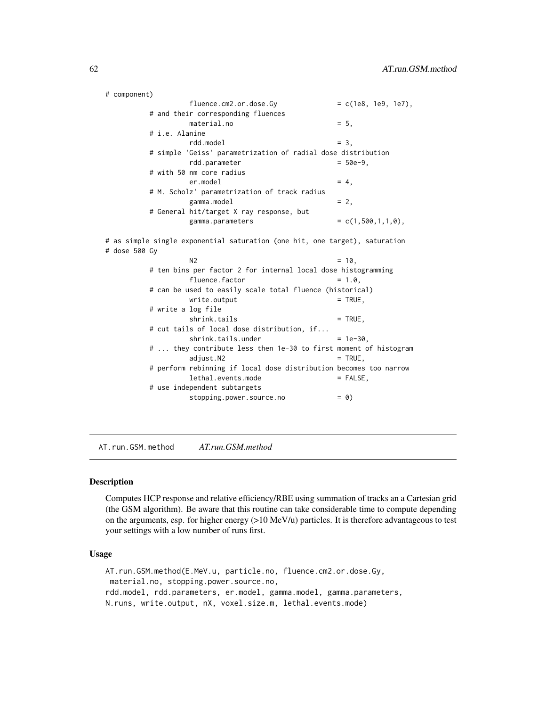```
# component)
                fluence.cm2. or.dose.Gy = c(1e8, 1e9, 1e7),# and their corresponding fluences
               material.no = 5,
        # i.e. Alanine
                rdd.model = 3,
        # simple 'Geiss' parametrization of radial dose distribution
                rdd.parameter = 50e-9,
        # with 50 nm core radius
                er.model = 4,
        # M. Scholz' parametrization of track radius
                gamma.model = 2,
        # General hit/target X ray response, but
               gamma.parrowers = c(1,500,1,1,0),
# as simple single exponential saturation (one hit, one target), saturation
# dose 500 Gy
                N2 = 10,
        # ten bins per factor 2 for internal local dose histogramming
                fluence.factor = 1.0,# can be used to easily scale total fluence (historical)
               write.output = TRUE,
        # write a log file
                shrink.tails = TRUE,
        # cut tails of local dose distribution, if...
                shrink.tails.under = <math>1e-30</math>,# ... they contribute less then 1e-30 to first moment of histogram
                adjust.N2 = TRUE,
        # perform rebinning if local dose distribution becomes too narrow
               lethal.events.mode = FALSE,
        # use independent subtargets
                stopping.power.source.no = 0)
```
AT.run.GSM.method *AT.run.GSM.method*

#### **Description**

Computes HCP response and relative efficiency/RBE using summation of tracks an a Cartesian grid (the GSM algorithm). Be aware that this routine can take considerable time to compute depending on the arguments, esp. for higher energy (>10 MeV/u) particles. It is therefore advantageous to test your settings with a low number of runs first.

### Usage

```
AT.run.GSM.method(E.MeV.u, particle.no, fluence.cm2.or.dose.Gy,
material.no, stopping.power.source.no,
rdd.model, rdd.parameters, er.model, gamma.model, gamma.parameters,
N.runs, write.output, nX, voxel.size.m, lethal.events.mode)
```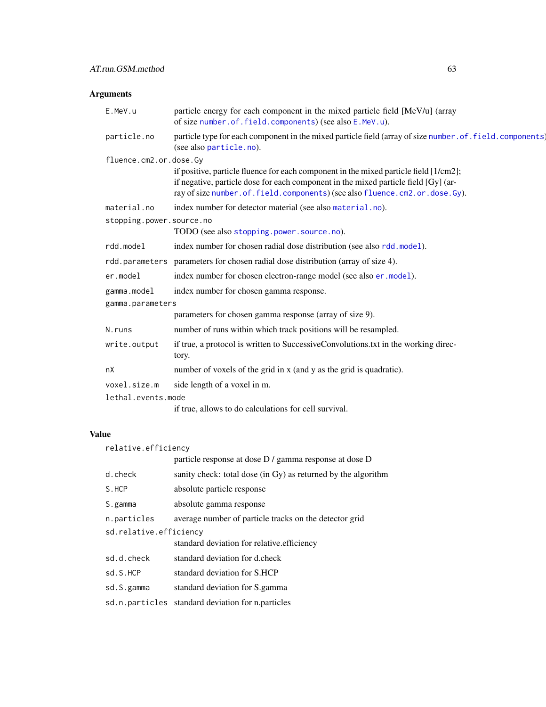# Arguments

| E.MeV.u                  | particle energy for each component in the mixed particle field [MeV/u] (array<br>of size number.of.field.components) (see also E.MeV.u).                                                                                                                   |
|--------------------------|------------------------------------------------------------------------------------------------------------------------------------------------------------------------------------------------------------------------------------------------------------|
| particle.no              | particle type for each component in the mixed particle field (array of size number . of . field. components)<br>(see also particle.no).                                                                                                                    |
| fluence.cm2.or.dose.Gy   |                                                                                                                                                                                                                                                            |
|                          | if positive, particle fluence for each component in the mixed particle field [1/cm2];<br>if negative, particle dose for each component in the mixed particle field [Gy] (ar-<br>ray of size number.of.field.components) (see also fluence.cm2.or.dose.Gy). |
| material.no              | index number for detector material (see also material.no).                                                                                                                                                                                                 |
| stopping.power.source.no |                                                                                                                                                                                                                                                            |
|                          | TODO (see also stopping.power.source.no).                                                                                                                                                                                                                  |
| rdd.model                | index number for chosen radial dose distribution (see also rdd.model).                                                                                                                                                                                     |
| rdd.parameters           | parameters for chosen radial dose distribution (array of size 4).                                                                                                                                                                                          |
| er.model                 | index number for chosen electron-range model (see also er . model).                                                                                                                                                                                        |
| gamma.model              | index number for chosen gamma response.                                                                                                                                                                                                                    |
| gamma.parameters         |                                                                                                                                                                                                                                                            |
|                          | parameters for chosen gamma response (array of size 9).                                                                                                                                                                                                    |
| N.runs                   | number of runs within which track positions will be resampled.                                                                                                                                                                                             |
| write.output             | if true, a protocol is written to SuccessiveConvolutions.txt in the working direc-<br>tory.                                                                                                                                                                |
| nX                       | number of voxels of the grid in x (and y as the grid is quadratic).                                                                                                                                                                                        |
| voxel.size.m             | side length of a voxel in m.                                                                                                                                                                                                                               |
| lethal.events.mode       |                                                                                                                                                                                                                                                            |
|                          | if true, allows to do calculations for cell survival.                                                                                                                                                                                                      |
|                          |                                                                                                                                                                                                                                                            |

# Value

| relative.efficiency    |                                                               |
|------------------------|---------------------------------------------------------------|
|                        | particle response at dose D / gamma response at dose D        |
| d.check                | sanity check: total dose (in Gy) as returned by the algorithm |
| S.HCP                  | absolute particle response                                    |
| S.gamma                | absolute gamma response                                       |
| n.particles            | average number of particle tracks on the detector grid        |
| sd.relative.efficiency |                                                               |
|                        | standard deviation for relative.efficiency                    |
| sd.d.check             | standard deviation for d.check                                |
| sd.S.HCP               | standard deviation for S.HCP                                  |
| sd.S.gamma             | standard deviation for S.gamma                                |
| sd.n.particles         | standard deviation for n.particles                            |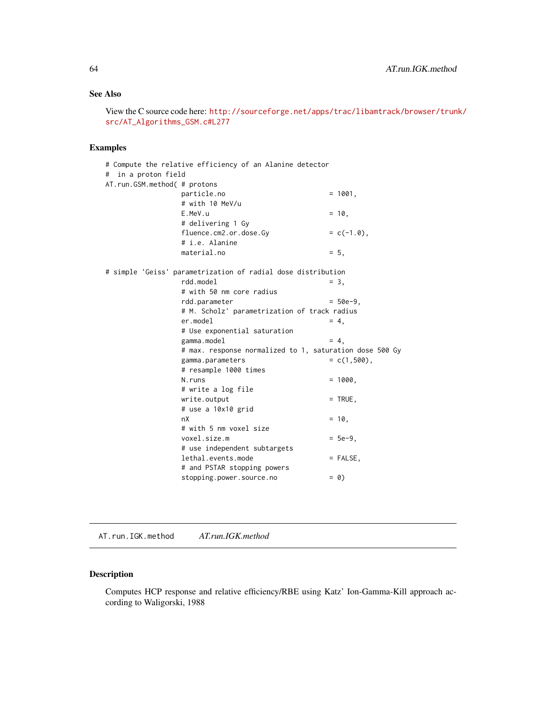# See Also

View the C source code here: [http://sourceforge.net/apps/trac/libamtrack/browser/trun](http://sourceforge.net/apps/trac/libamtrack/browser/trunk/src/AT_Algorithms_GSM.c#L277)k/ [src/AT\\_Algorithms\\_GSM.c#L277](http://sourceforge.net/apps/trac/libamtrack/browser/trunk/src/AT_Algorithms_GSM.c#L277)

# Examples

|                              | # Compute the relative efficiency of an Alanine detector     |                 |
|------------------------------|--------------------------------------------------------------|-----------------|
| in a proton field<br>#       |                                                              |                 |
| AT.run.GSM.method( # protons |                                                              |                 |
|                              | particle.no                                                  | $= 1001,$       |
|                              | # with 10 MeV/u                                              |                 |
|                              | E.MeV.u                                                      | $= 10.$         |
|                              | # delivering 1 Gy                                            |                 |
|                              | fluence.cm2.or.dose.Gy                                       | $= c(-1.0),$    |
|                              | # i.e. Alanine                                               |                 |
|                              | material.no                                                  | $= 5.$          |
|                              | # simple 'Geiss' parametrization of radial dose distribution |                 |
|                              | rdd.model                                                    | $= 3.$          |
|                              | # with 50 nm core radius                                     |                 |
|                              | rdd.parameter                                                | $= 50e-9.$      |
|                              | # M. Scholz' parametrization of track radius                 |                 |
|                              | er.model                                                     | $= 4.$          |
|                              | # Use exponential saturation                                 |                 |
|                              | gamma.model                                                  | $= 4,$          |
|                              | # max. response normalized to 1, saturation dose 500 Gy      |                 |
|                              | gamma.parameters                                             | $= c(1, 500)$ , |
|                              | # resample 1000 times                                        |                 |
|                              | N.runs                                                       | $= 1000,$       |
|                              | # write a log file                                           |                 |
|                              | write.output                                                 | $=$ TRUE,       |
|                              | # use a 10x10 grid                                           |                 |
|                              | nX                                                           | $= 10$ .        |
|                              | # with 5 nm voxel size                                       |                 |
|                              | voxel.size.m                                                 | $= 5e-9.$       |
|                              | # use independent subtargets                                 |                 |
|                              | lethal.events.mode                                           | $=$ FALSE,      |
|                              | # and PSTAR stopping powers                                  |                 |
|                              | stopping.power.source.no                                     | $= 0)$          |
|                              |                                                              |                 |

AT.run.IGK.method *AT.run.IGK.method*

# Description

Computes HCP response and relative efficiency/RBE using Katz' Ion-Gamma-Kill approach according to Waligorski, 1988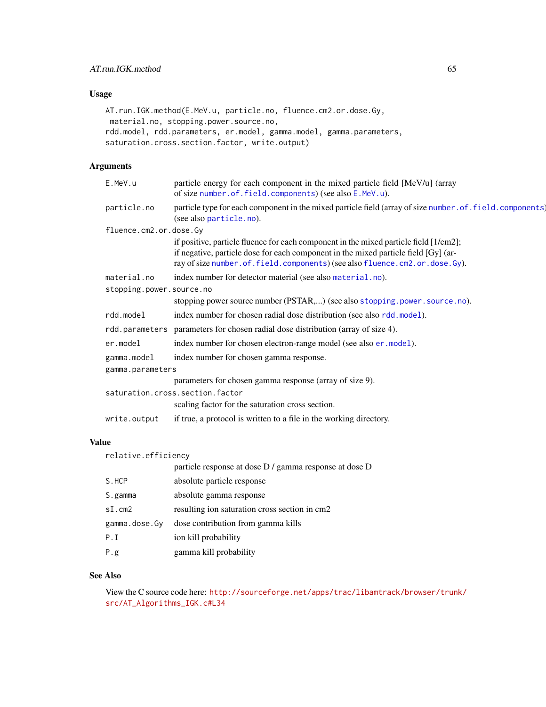# Usage

```
AT.run.IGK.method(E.MeV.u, particle.no, fluence.cm2.or.dose.Gy,
material.no, stopping.power.source.no,
rdd.model, rdd.parameters, er.model, gamma.model, gamma.parameters,
saturation.cross.section.factor, write.output)
```
# Arguments

| E.MeV.u                  | particle energy for each component in the mixed particle field [MeV/u] (array<br>of size number.of.field.components) (see also E.MeV.u).                                                                                                                   |
|--------------------------|------------------------------------------------------------------------------------------------------------------------------------------------------------------------------------------------------------------------------------------------------------|
| particle.no              | particle type for each component in the mixed particle field (array of size number . of . field. components)<br>(see also particle.no).                                                                                                                    |
| fluence.cm2.or.dose.Gy   |                                                                                                                                                                                                                                                            |
|                          | if positive, particle fluence for each component in the mixed particle field [1/cm2];<br>if negative, particle dose for each component in the mixed particle field [Gy] (ar-<br>ray of size number.of.field.components) (see also fluence.cm2.or.dose.Gy). |
| material.no              | index number for detector material (see also material.no).                                                                                                                                                                                                 |
| stopping.power.source.no |                                                                                                                                                                                                                                                            |
|                          | stopping power source number (PSTAR,) (see also stopping .power . source .no).                                                                                                                                                                             |
| rdd.model                | index number for chosen radial dose distribution (see also rdd.model).                                                                                                                                                                                     |
|                          | rdd. parameters parameters for chosen radial dose distribution (array of size 4).                                                                                                                                                                          |
| er.model                 | index number for chosen electron-range model (see also er . model).                                                                                                                                                                                        |
| gamma.model              | index number for chosen gamma response.                                                                                                                                                                                                                    |
| gamma.parameters         |                                                                                                                                                                                                                                                            |
|                          | parameters for chosen gamma response (array of size 9).                                                                                                                                                                                                    |
|                          | saturation.cross.section.factor                                                                                                                                                                                                                            |
|                          | scaling factor for the saturation cross section.                                                                                                                                                                                                           |
| write.output             | if true, a protocol is written to a file in the working directory.                                                                                                                                                                                         |

# Value

| relative.efficiency |                                                        |  |
|---------------------|--------------------------------------------------------|--|
|                     | particle response at dose D / gamma response at dose D |  |
| S.HCP               | absolute particle response                             |  |
| S.gamma             | absolute gamma response                                |  |
| sI.cm2              | resulting ion saturation cross section in cm2          |  |
| gamma.dose.Gy       | dose contribution from gamma kills                     |  |
| P.T                 | ion kill probability                                   |  |
| P.g.                | gamma kill probability                                 |  |

## See Also

View the C source code here: [http://sourceforge.net/apps/trac/libamtrack/browser/trun](http://sourceforge.net/apps/trac/libamtrack/browser/trunk/src/AT_Algorithms_IGK.c#L34)k/ [src/AT\\_Algorithms\\_IGK.c#L34](http://sourceforge.net/apps/trac/libamtrack/browser/trunk/src/AT_Algorithms_IGK.c#L34)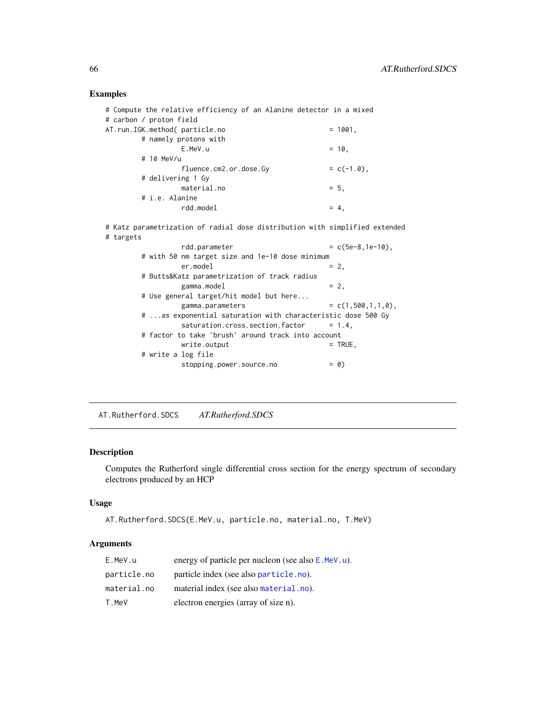# Examples

| # Compute the relative efficiency of an Alanine detector in a mixed |              |
|---------------------------------------------------------------------|--------------|
| # carbon / proton field                                             |              |
| AT.run.IGK.method( particle.no                                      | $= 1001.$    |
| # namely protons with                                               |              |
| E.MeV.u                                                             | $= 10.$      |
| # 10 MeV/u                                                          |              |
| fluence.cm2.or.dose.Gy                                              | $= c(-1.0),$ |
| # delivering 1 Gy                                                   |              |
| material.no                                                         | $= 5.$       |
| # i.e. Alanine                                                      |              |
| rdd.model                                                           | $= 4.$       |
|                                                                     |              |

# Katz parametrization of radial dose distribution with simplified extended # targets

| rdd.parameter                                               | $= c(5e-8, 1e-10)$ .     |
|-------------------------------------------------------------|--------------------------|
| # with 50 nm target size and 1e-10 dose minimum             |                          |
| er.model                                                    | $= 2$                    |
| # Butts&Katz parametrization of track radius                |                          |
| gamma.model                                                 | $= 2.$                   |
| # Use general target/hit model but here                     |                          |
| gamma.parameters                                            | $= c(1, 500, 1, 1, 0)$ . |
| # as exponential saturation with characteristic dose 500 Gy |                          |
| saturation.cross.section.factor                             | $= 1.4.$                 |
| # factor to take 'brush' around track into account          |                          |
| write.output                                                | $=$ TRUE,                |
| # write a log file                                          |                          |
| stopping.power.source.no                                    | $= 0)$                   |

AT.Rutherford.SDCS *AT.Rutherford.SDCS*

# Description

Computes the Rutherford single differential cross section for the energy spectrum of secondary electrons produced by an HCP

### Usage

```
AT.Rutherford.SDCS(E.MeV.u, particle.no, material.no, T.MeV)
```
# Arguments

| E.MeV.u     | energy of particle per nucleon (see also E.MeV.u). |
|-------------|----------------------------------------------------|
| particle.no | particle index (see also particle, no).            |
| material.no | material index (see also material, no).            |
| T.MeV       | electron energies (array of size n).               |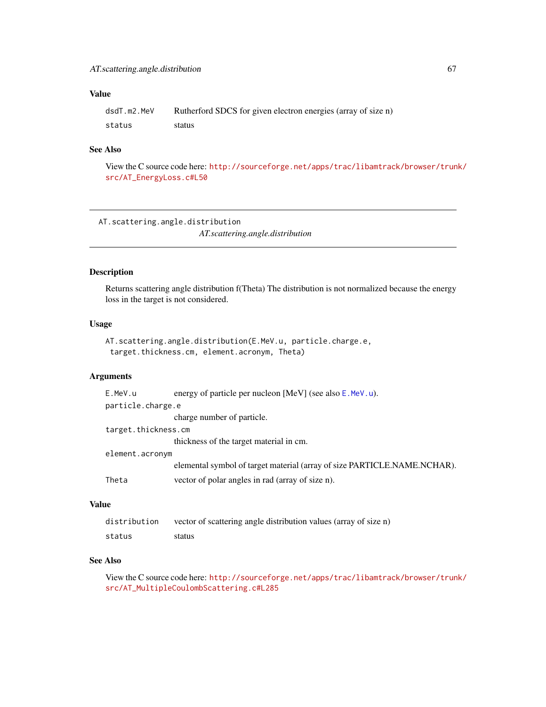# Value

| dsdT.m2.MeV | Rutherford SDCS for given electron energies (array of size n) |
|-------------|---------------------------------------------------------------|
| status      | status                                                        |

# See Also

View the C source code here: [http://sourceforge.net/apps/trac/libamtrack/browser/trun](http://sourceforge.net/apps/trac/libamtrack/browser/trunk/src/AT_EnergyLoss.c#L50)k/ [src/AT\\_EnergyLoss.c#L50](http://sourceforge.net/apps/trac/libamtrack/browser/trunk/src/AT_EnergyLoss.c#L50)

AT.scattering.angle.distribution *AT.scattering.angle.distribution*

# Description

Returns scattering angle distribution f(Theta) The distribution is not normalized because the energy loss in the target is not considered.

# Usage

```
AT.scattering.angle.distribution(E.MeV.u, particle.charge.e,
 target.thickness.cm, element.acronym, Theta)
```
# Arguments

| E.MeV.u             | energy of particle per nucleon [MeV] (see also $E$ . MeV. u).            |
|---------------------|--------------------------------------------------------------------------|
| particle.charge.e   |                                                                          |
|                     | charge number of particle.                                               |
| target.thickness.cm |                                                                          |
|                     | thickness of the target material in cm.                                  |
| element.acronym     |                                                                          |
|                     | elemental symbol of target material (array of size PARTICLE.NAME.NCHAR). |
| Theta               | vector of polar angles in rad (array of size n).                         |
|                     |                                                                          |

### Value

| distribution | vector of scattering angle distribution values (array of size n) |
|--------------|------------------------------------------------------------------|
| status       | status                                                           |

# See Also

View the C source code here: [http://sourceforge.net/apps/trac/libamtrack/browser/trun](http://sourceforge.net/apps/trac/libamtrack/browser/trunk/src/AT_MultipleCoulombScattering.c#L285)k/ [src/AT\\_MultipleCoulombScattering.c#L285](http://sourceforge.net/apps/trac/libamtrack/browser/trunk/src/AT_MultipleCoulombScattering.c#L285)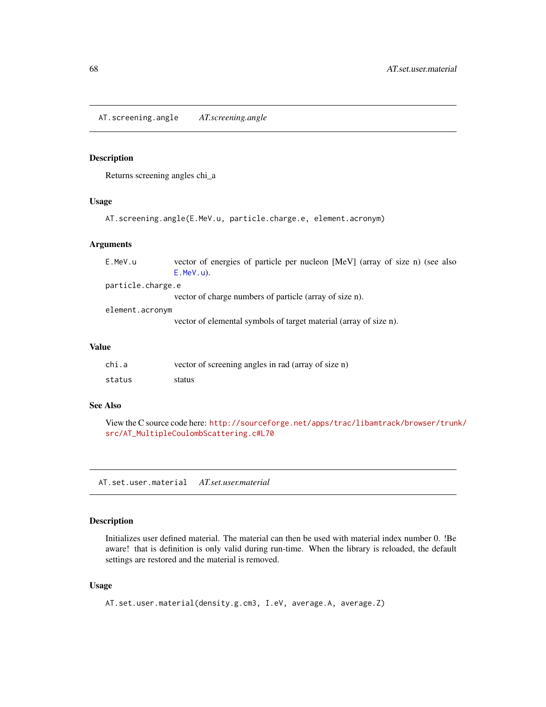AT.screening.angle *AT.screening.angle*

### Description

Returns screening angles chi\_a

## Usage

AT.screening.angle(E.MeV.u, particle.charge.e, element.acronym)

#### Arguments

| E.MeV.u           | vector of energies of particle per nucleon [MeV] (array of size n) (see also |
|-------------------|------------------------------------------------------------------------------|
|                   | $E.MeV.u$ ).                                                                 |
| particle.charge.e |                                                                              |
|                   | vector of charge numbers of particle (array of size n).                      |
| element.acronym   |                                                                              |
|                   | vector of elemental symbols of target material (array of size n).            |
|                   |                                                                              |

# Value

| chi.a  | vector of screening angles in rad (array of size n) |
|--------|-----------------------------------------------------|
| status | status                                              |

#### See Also

View the C source code here: [http://sourceforge.net/apps/trac/libamtrack/browser/trun](http://sourceforge.net/apps/trac/libamtrack/browser/trunk/src/AT_MultipleCoulombScattering.c#L70)k/ [src/AT\\_MultipleCoulombScattering.c#L70](http://sourceforge.net/apps/trac/libamtrack/browser/trunk/src/AT_MultipleCoulombScattering.c#L70)

AT.set.user.material *AT.set.user.material*

## Description

Initializes user defined material. The material can then be used with material index number 0. !Be aware! that is definition is only valid during run-time. When the library is reloaded, the default settings are restored and the material is removed.

## Usage

```
AT.set.user.material(density.g.cm3, I.eV, average.A, average.Z)
```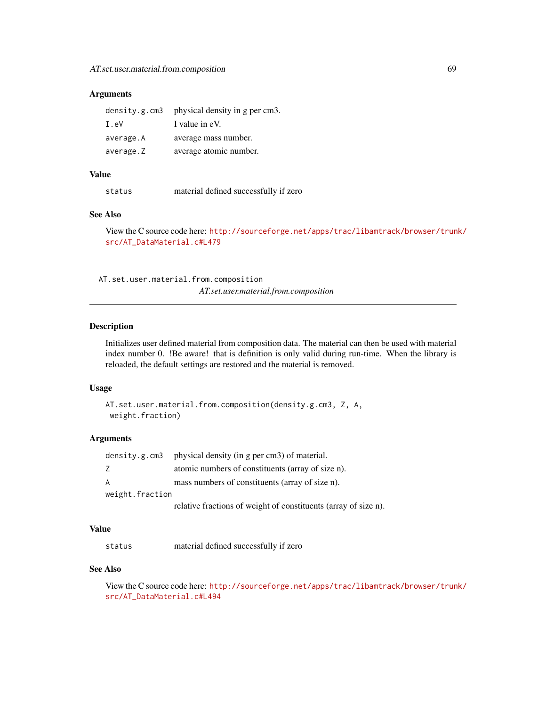### Arguments

|           | density.g.cm3 physical density in g per cm3. |
|-----------|----------------------------------------------|
| I.eV      | I value in eV.                               |
| average.A | average mass number.                         |
| average.Z | average atomic number.                       |

#### Value

status material defined successfully if zero

#### See Also

View the C source code here: [http://sourceforge.net/apps/trac/libamtrack/browser/trun](http://sourceforge.net/apps/trac/libamtrack/browser/trunk/src/AT_DataMaterial.c#L479)k/ [src/AT\\_DataMaterial.c#L479](http://sourceforge.net/apps/trac/libamtrack/browser/trunk/src/AT_DataMaterial.c#L479)

AT.set.user.material.from.composition *AT.set.user.material.from.composition*

### Description

Initializes user defined material from composition data. The material can then be used with material index number 0. !Be aware! that is definition is only valid during run-time. When the library is reloaded, the default settings are restored and the material is removed.

#### Usage

```
AT.set.user.material.from.composition(density.g.cm3, Z, A,
weight.fraction)
```
### Arguments

|                 | density.g.cm3 physical density (in $g$ per cm3) of material.    |
|-----------------|-----------------------------------------------------------------|
| Z               | atomic numbers of constituents (array of size n).               |
| A               | mass numbers of constituents (array of size n).                 |
| weight.fraction |                                                                 |
|                 | relative fractions of weight of constituents (array of size n). |

### Value

status material defined successfully if zero

# See Also

View the C source code here: [http://sourceforge.net/apps/trac/libamtrack/browser/trun](http://sourceforge.net/apps/trac/libamtrack/browser/trunk/src/AT_DataMaterial.c#L494)k/ [src/AT\\_DataMaterial.c#L494](http://sourceforge.net/apps/trac/libamtrack/browser/trunk/src/AT_DataMaterial.c#L494)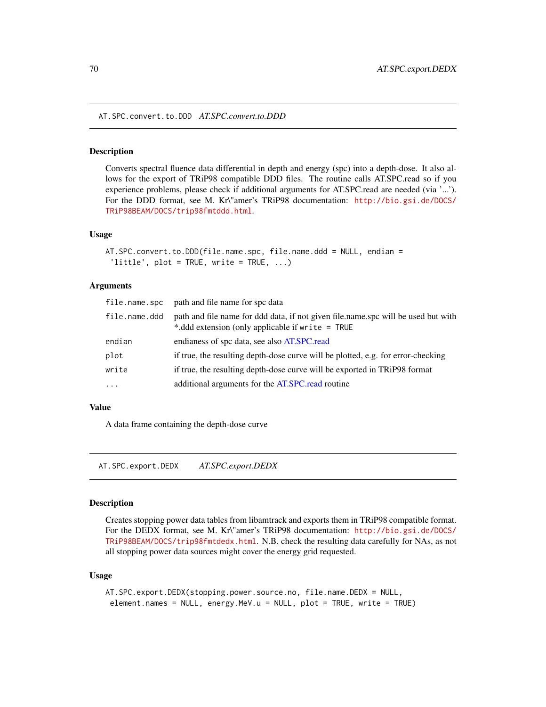AT.SPC.convert.to.DDD *AT.SPC.convert.to.DDD*

### **Description**

Converts spectral fluence data differential in depth and energy (spc) into a depth-dose. It also allows for the export of TRiP98 compatible DDD files. The routine calls AT.SPC.read so if you experience problems, please check if additional arguments for AT.SPC.read are needed (via '...'). For the DDD format, see M. Kr\"amer's TRiP98 documentation: [http://bio.gsi.de/DOCS/](http://bio.gsi.de/DOCS/TRiP98BEAM/DOCS/trip98fmtddd.html) [TRiP98BEAM/DOCS/trip98fmtddd.html](http://bio.gsi.de/DOCS/TRiP98BEAM/DOCS/trip98fmtddd.html).

### Usage

```
AT.SPC.convert.to.DDD(file.name.spc, file.name.ddd = NULL, endian =
 'little', plot = TRUE, write = TRUE, ...)
```
### Arguments

| file.name.spc | path and file name for spc data                                                                                                       |
|---------------|---------------------------------------------------------------------------------------------------------------------------------------|
| file.name.ddd | path and file name for ddd data, if not given file.name.spc will be used but with<br>*.ddd extension (only applicable if write = TRUE |
| endian        | endianess of spc data, see also AT.SPC.read                                                                                           |
| plot          | if true, the resulting depth-dose curve will be plotted, e.g. for error-checking                                                      |
| write         | if true, the resulting depth-dose curve will be exported in TRiP98 format                                                             |
| $\ddotsc$     | additional arguments for the AT.SPC.read routine                                                                                      |

#### Value

A data frame containing the depth-dose curve

AT.SPC.export.DEDX *AT.SPC.export.DEDX*

#### Description

Creates stopping power data tables from libamtrack and exports them in TRiP98 compatible format. For the DEDX format, see M. Kr\"amer's TRiP98 documentation: [http://bio.gsi.de/DOCS/](http://bio.gsi.de/DOCS/TRiP98BEAM/DOCS/trip98fmtdedx.html) [TRiP98BEAM/DOCS/trip98fmtdedx.html](http://bio.gsi.de/DOCS/TRiP98BEAM/DOCS/trip98fmtdedx.html). N.B. check the resulting data carefully for NAs, as not all stopping power data sources might cover the energy grid requested.

#### Usage

```
AT.SPC.export.DEDX(stopping.power.source.no, file.name.DEDX = NULL,
element.names = NULL, energy.MeV.u = NULL, plot = TRUE, write = TRUE)
```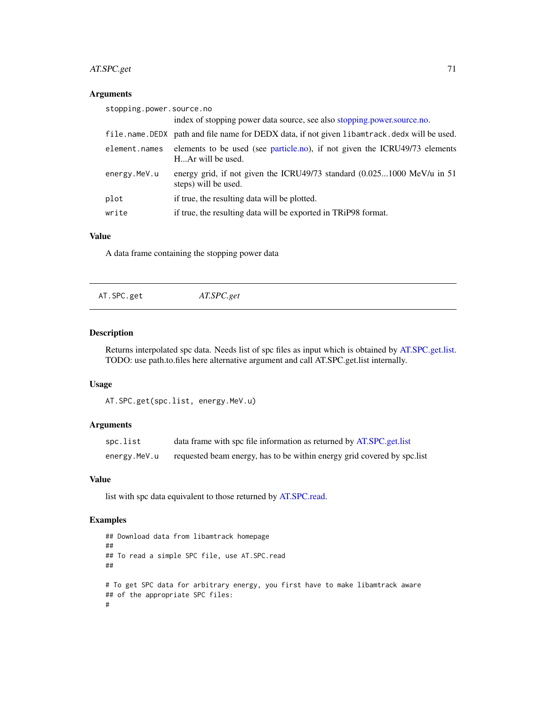# AT.SPC.get 71

# Arguments

| stopping.power.source.no |                                                                                                 |
|--------------------------|-------------------------------------------------------------------------------------------------|
|                          | index of stopping power data source, see also stopping power source no.                         |
|                          | file.name.DEDX path and file name for DEDX data, if not given libamtrack.dedx will be used.     |
| element.names            | elements to be used (see particle.no), if not given the ICRU49/73 elements<br>HAr will be used. |
| energy.MeV.u             | energy grid, if not given the ICRU49/73 standard (0.0251000 MeV/u in 51<br>steps) will be used. |
| plot                     | if true, the resulting data will be plotted.                                                    |
| write                    | if true, the resulting data will be exported in TRiP98 format.                                  |

# Value

A data frame containing the stopping power data

<span id="page-70-0"></span>

| AT.SPC.get | AT.SPC.get |  |
|------------|------------|--|
|            |            |  |

# Description

Returns interpolated spc data. Needs list of spc files as input which is obtained by [AT.SPC.get.list.](#page-71-0) TODO: use path.to.files here alternative argument and call AT.SPC.get.list internally.

### Usage

```
AT.SPC.get(spc.list, energy.MeV.u)
```
# Arguments

| spc.list     | data frame with spc file information as returned by AT.SPC.get.list      |
|--------------|--------------------------------------------------------------------------|
| energy.MeV.u | requested beam energy, has to be within energy grid covered by spc. list |

### Value

list with spc data equivalent to those returned by [AT.SPC.read.](#page-73-0)

# Examples

```
## Download data from libamtrack homepage
##
## To read a simple SPC file, use AT.SPC.read
##
# To get SPC data for arbitrary energy, you first have to make libamtrack aware
## of the appropriate SPC files:
#
```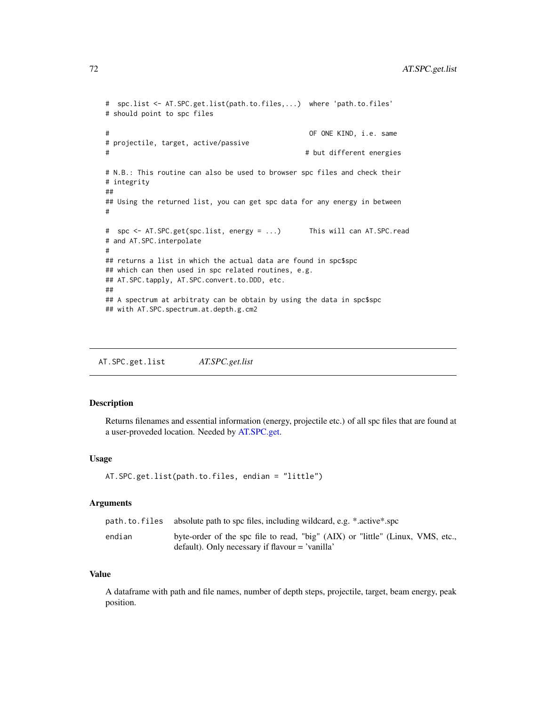```
# spc.list <- AT.SPC.get.list(path.to.files,...) where 'path.to.files'
# should point to spc files
# OF ONE KIND, i.e. same
# projectile, target, active/passive
# # but different energies
# N.B.: This routine can also be used to browser spc files and check their
# integrity
##
## Using the returned list, you can get spc data for any energy in between
#
# spc <- AT.SPC.get(spc.list, energy = ...) This will can AT.SPC.read
# and AT.SPC.interpolate
#
## returns a list in which the actual data are found in spc$spc
## which can then used in spc related routines, e.g.
## AT.SPC.tapply, AT.SPC.convert.to.DDD, etc.
##
## A spectrum at arbitraty can be obtain by using the data in spc$spc
## with AT.SPC.spectrum.at.depth.g.cm2
```
<span id="page-71-0"></span>AT.SPC.get.list *AT.SPC.get.list*

# Description

Returns filenames and essential information (energy, projectile etc.) of all spc files that are found at a user-proveded location. Needed by [AT.SPC.get.](#page-70-0)

#### Usage

```
AT.SPC.get.list(path.to.files, endian = "little")
```
### Arguments

|        | path, to, files absolute path to spc files, including wildcard, e.g. *.active*.spc                                                         |
|--------|--------------------------------------------------------------------------------------------------------------------------------------------|
| endian | byte-order of the spc file to read, "big" (AIX) or "little" (Linux, VMS, etc.,<br>$\alpha$ default). Only necessary if flavour = 'vanilla' |

# Value

A dataframe with path and file names, number of depth steps, projectile, target, beam energy, peak position.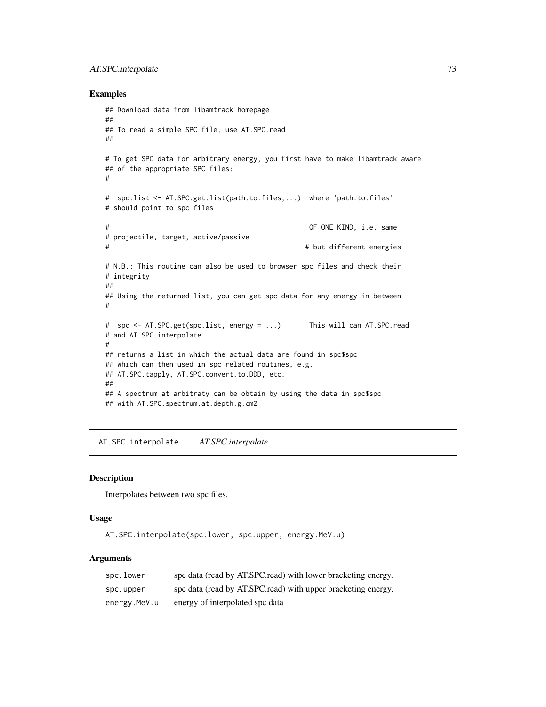# <span id="page-72-0"></span>AT.SPC.interpolate 73

#### Examples

```
## Download data from libamtrack homepage
##
## To read a simple SPC file, use AT.SPC.read
##
# To get SPC data for arbitrary energy, you first have to make libamtrack aware
## of the appropriate SPC files:
#
# spc.list <- AT.SPC.get.list(path.to.files,...) where 'path.to.files'
# should point to spc files
# OF ONE KIND, i.e. same
# projectile, target, active/passive
# # but different energies
# N.B.: This routine can also be used to browser spc files and check their
# integrity
##
## Using the returned list, you can get spc data for any energy in between
#
# spc <- AT.SPC.get(spc.list, energy = ...) This will can AT.SPC.read
# and AT.SPC.interpolate
#
## returns a list in which the actual data are found in spc$spc
## which can then used in spc related routines, e.g.
## AT.SPC.tapply, AT.SPC.convert.to.DDD, etc.
##
## A spectrum at arbitraty can be obtain by using the data in spc$spc
## with AT.SPC.spectrum.at.depth.g.cm2
```
AT.SPC.interpolate *AT.SPC.interpolate*

#### Description

Interpolates between two spc files.

#### Usage

AT.SPC.interpolate(spc.lower, spc.upper, energy.MeV.u)

#### Arguments

| spc.lower    | spc data (read by AT.SPC.read) with lower bracketing energy. |
|--------------|--------------------------------------------------------------|
| spc.upper    | spc data (read by AT.SPC.read) with upper bracketing energy. |
| energy.MeV.u | energy of interpolated spc data                              |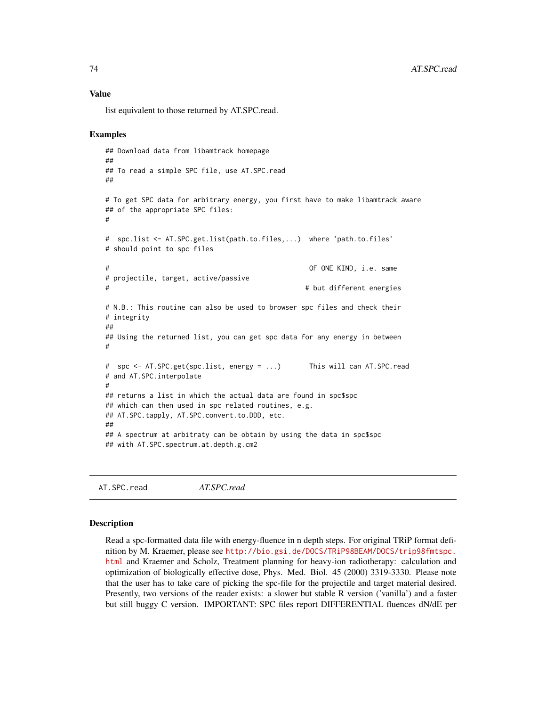list equivalent to those returned by AT.SPC.read.

#### Examples

```
## Download data from libamtrack homepage
##
## To read a simple SPC file, use AT.SPC.read
##
# To get SPC data for arbitrary energy, you first have to make libamtrack aware
## of the appropriate SPC files:
#
# spc.list <- AT.SPC.get.list(path.to.files,...) where 'path.to.files'
# should point to spc files
# OF ONE KIND, i.e. same
# projectile, target, active/passive
# # but different energies
# N.B.: This routine can also be used to browser spc files and check their
# integrity
##
## Using the returned list, you can get spc data for any energy in between
#
# spc <- AT.SPC.get(spc.list, energy = ...) This will can AT.SPC.read
# and AT.SPC.interpolate
#
## returns a list in which the actual data are found in spc$spc
## which can then used in spc related routines, e.g.
## AT.SPC.tapply, AT.SPC.convert.to.DDD, etc.
##
## A spectrum at arbitraty can be obtain by using the data in spc$spc
## with AT.SPC.spectrum.at.depth.g.cm2
```
<span id="page-73-0"></span>AT.SPC.read *AT.SPC.read*

#### **Description**

Read a spc-formatted data file with energy-fluence in n depth steps. For original TRiP format definition by M. Kraemer, please see [http://bio.gsi.de/DOCS/TRiP98BEAM/DOCS/trip98fmtspc.](http://bio.gsi.de/DOCS/TRiP98BEAM/DOCS/trip98fmtspc.html) [html](http://bio.gsi.de/DOCS/TRiP98BEAM/DOCS/trip98fmtspc.html) and Kraemer and Scholz, Treatment planning for heavy-ion radiotherapy: calculation and optimization of biologically effective dose, Phys. Med. Biol. 45 (2000) 3319-3330. Please note that the user has to take care of picking the spc-file for the projectile and target material desired. Presently, two versions of the reader exists: a slower but stable R version ('vanilla') and a faster but still buggy C version. IMPORTANT: SPC files report DIFFERENTIAL fluences dN/dE per

<span id="page-73-1"></span>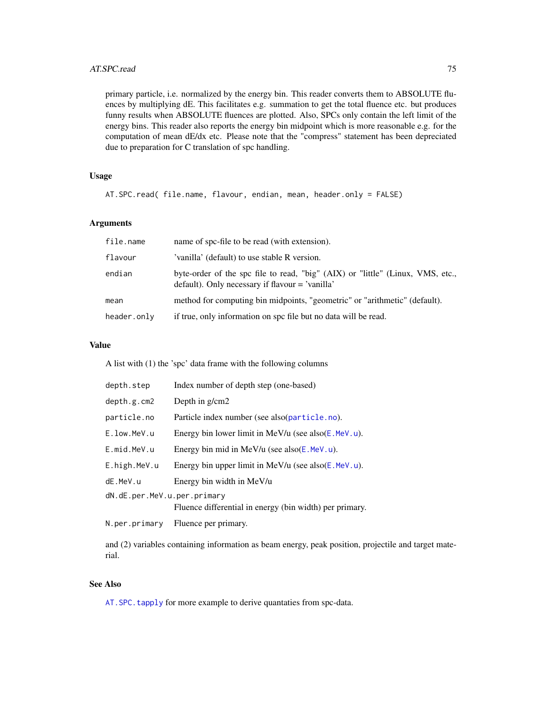<span id="page-74-0"></span>primary particle, i.e. normalized by the energy bin. This reader converts them to ABSOLUTE fluences by multiplying dE. This facilitates e.g. summation to get the total fluence etc. but produces funny results when ABSOLUTE fluences are plotted. Also, SPCs only contain the left limit of the energy bins. This reader also reports the energy bin midpoint which is more reasonable e.g. for the computation of mean dE/dx etc. Please note that the "compress" statement has been depreciated due to preparation for C translation of spc handling.

# Usage

AT.SPC.read( file.name, flavour, endian, mean, header.only = FALSE)

#### Arguments

| file.name   | name of spc-file to be read (with extension).                                                                                        |
|-------------|--------------------------------------------------------------------------------------------------------------------------------------|
| flavour     | 'vanilla' (default) to use stable R version.                                                                                         |
| endian      | byte-order of the spc file to read, "big" (AIX) or "little" (Linux, VMS, etc.,<br>$default)$ . Only necessary if flavour = 'vanilla' |
| mean        | method for computing bin midpoints, "geometric" or "arithmetic" (default).                                                           |
| header.only | if true, only information on spc file but no data will be read.                                                                      |

# Value

A list with (1) the 'spc' data frame with the following columns

| depth.step                  | Index number of depth step (one-based)                  |  |
|-----------------------------|---------------------------------------------------------|--|
| depth.g.cm2                 | Depth in $g/cm2$                                        |  |
| particle.no                 | Particle index number (see also(particle.no).           |  |
| E.low.MeV.u                 | Energy bin lower limit in MeV/u (see also $(E.MeV.u)$ . |  |
| E.mid.MeV.u                 | Energy bin mid in MeV/u (see also $(E.MeV.u)$ .         |  |
| E.high.MeV.u                | Energy bin upper limit in MeV/u (see also $(E.MeV.u)$ . |  |
| dE.MeV.u                    | Energy bin width in MeV/u                               |  |
| dN.dE.per.MeV.u.per.primary |                                                         |  |
|                             | Fluence differential in energy (bin width) per primary. |  |
| N.per.primary               | Fluence per primary.                                    |  |
|                             |                                                         |  |

and (2) variables containing information as beam energy, peak position, projectile and target material.

# See Also

[AT.SPC.tapply](#page-78-0) for more example to derive quantaties from spc-data.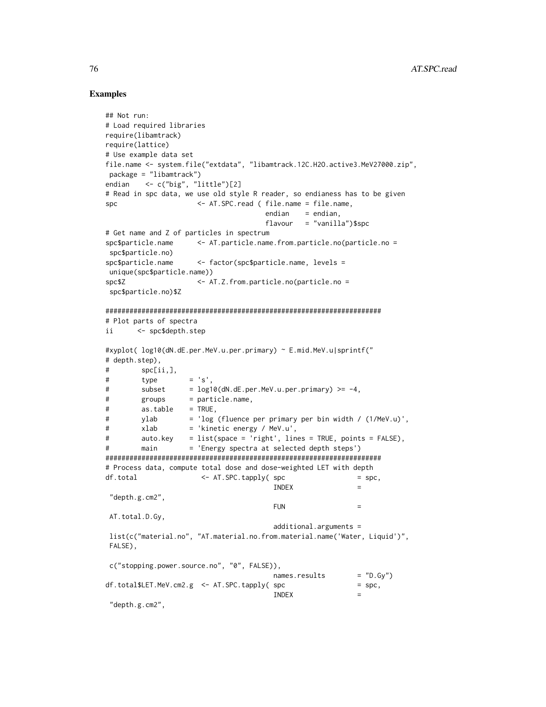# Examples

```
## Not run:
# Load required libraries
require(libamtrack)
require(lattice)
# Use example data set
file.name <- system.file("extdata", "libamtrack.12C.H2O.active3.MeV27000.zip",
package = "libamtrack")
endian <- c("big", "little")[2]
# Read in spc data, we use old style R reader, so endianess has to be given
spc <- AT.SPC.read ( file.name = file.name,
                                  endian = endian,
                                  flavour = "vanilla")$spc
# Get name and Z of particles in spectrum
spc$particle.name <- AT.particle.name.from.particle.no(particle.no =
spc$particle.no)
spc$particle.name <- factor(spc$particle.name, levels =
unique(spc$particle.name))
spc$Z <- AT.Z.from.particle.no(particle.no =
spc$particle.no)$Z
#####################################################################
# Plot parts of spectra
ii <- spc$depth.step
#xyplot( log10(dN.dE.per.MeV.u.per.primary) ~ E.mid.MeV.u|sprintf("
# depth.step),
# spc[ii,],
\# type = 's',
# subset = log10(dN.dE.per.MeV.u.per.prrimary) >= -4,
# groups = particle.name,
# as.table = TRUE,
# ylab = 'log (fluence per primary per bin width / (1/MeV.u)',
# xlab = 'kinetic energy / MeV.u',
# auto.key = list(space = 'right', lines = TRUE, points = FALSE),
# main = 'Energy spectra at selected depth steps')
#####################################################################
# Process data, compute total dose and dose-weighted LET with depth
df.total \leftarrow AT.SPC.tapply(spc = spc,
                                    INDEX ="depth.g.cm2",
                                    FUN =AT.total.D.Gy,
                                    additional.arguments =
list(c("material.no", "AT.material.no.from.material.name('Water, Liquid')",
FALSE),
c("stopping.power.source.no", "0", FALSE)),
                                    names. results = "D.Gy")df.total$LET.MeV.cm2.g \leq AT.SPC.tapply(spc = spc,
                                    INDEX ="depth.g.cm2",
```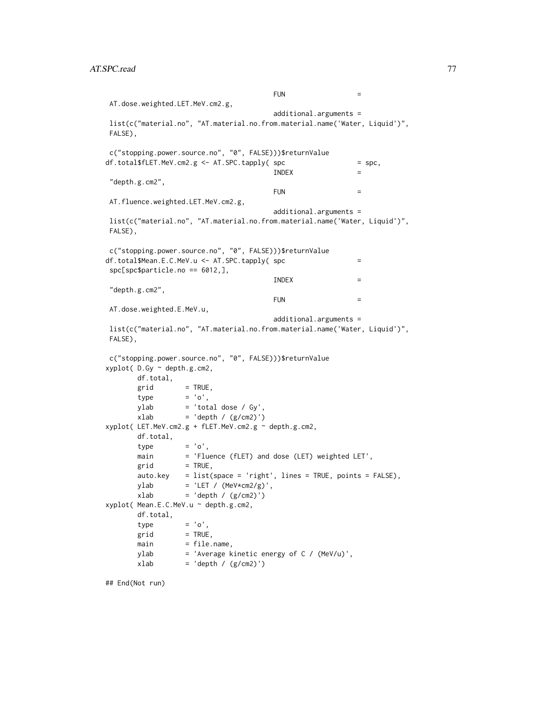```
FUN =AT.dose.weighted.LET.MeV.cm2.g,
                                    additional.arguments =
list(c("material.no", "AT.material.no.from.material.name('Water, Liquid')",
FALSE),
c("stopping.power.source.no", "0", FALSE)))$returnValue
df.total$fLET.MeV.cm2.g <- AT.SPC.tapply( spec == spec, )INDEX =
"depth.g.cm2",
                                    FUN =AT.fluence.weighted.LET.MeV.cm2.g,
                                    additional.arguments =
list(c("material.no", "AT.material.no.from.material.name('Water, Liquid')",
FALSE),
c("stopping.power.source.no", "0", FALSE)))$returnValue
df. total$Mean.E.C.MeV.u <- AT.SPC.tapply( spc =
spc[spc$particle.no == 6012,],
                                    INDEX ="depth.g.cm2",
                                    FUN =AT.dose.weighted.E.MeV.u,
                                    additional.arguments =
list(c("material.no", "AT.material.no.from.material.name('Water, Liquid')",
FALSE),
c("stopping.power.source.no", "0", FALSE)))$returnValue
xyplot( D.Gy ~ depth.g.cm2,
      df.total,
      grid = TRUE,type = 'o',ylab = 'total dose / Gy',
      xlab = 'depth / (g/cm2)')
xyplot( LET.MeV.cm2.g + fLET.MeV.cm2.g ~ depth.g.cm2,
      df.total,
      type = 'o',main = 'Fluence (fLET) and dose (LET) weighted LET',
      grid = TRUE,auto.key = list(space = 'right', lines = TRUE, points = FALSE),ylab = 'LET / (Mev*cm2/g)',
      xlab = 'depth / (g/cm2)')
xyplot( Mean.E.C.MeV.u ~ depth.g.cm2,
      df.total,
      type = 'o',grid = TRUE,main = file.name,
      ylab = 'Average kinetic energy of C / (MeV/u)',
      xlab = 'depth / (g/cm2)')
```
## End(Not run)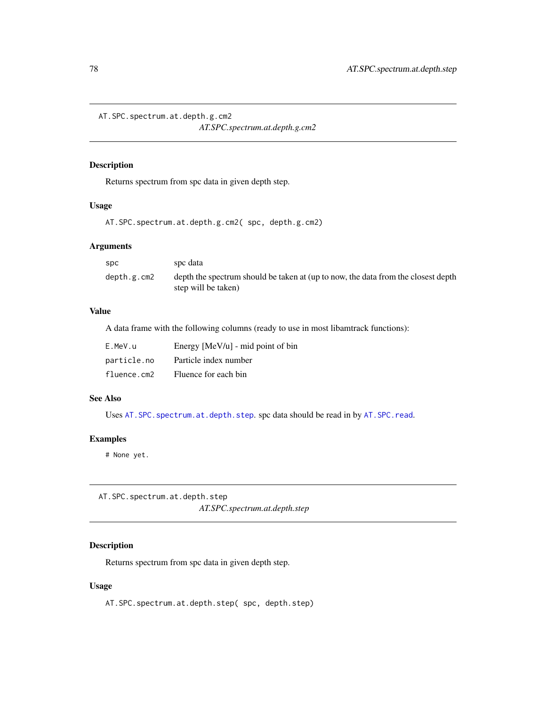<span id="page-77-2"></span><span id="page-77-1"></span>AT.SPC.spectrum.at.depth.g.cm2

*AT.SPC.spectrum.at.depth.g.cm2*

# Description

Returns spectrum from spc data in given depth step.

# Usage

AT.SPC.spectrum.at.depth.g.cm2( spc, depth.g.cm2)

# Arguments

| <b>SDC</b>  | spc data                                                                                                 |
|-------------|----------------------------------------------------------------------------------------------------------|
| depth.g.cm2 | depth the spectrum should be taken at (up to now, the data from the closest depth<br>step will be taken) |

# Value

A data frame with the following columns (ready to use in most libamtrack functions):

| E.MeV.u     | Energy $[MeV/u]$ - mid point of bin |
|-------------|-------------------------------------|
| particle.no | Particle index number               |
| fluence.cm2 | Fluence for each bin                |

# See Also

Uses AT. SPC. spectrum.at.depth.step. spc data should be read in by AT. SPC. read.

# Examples

# None yet.

<span id="page-77-0"></span>AT.SPC.spectrum.at.depth.step *AT.SPC.spectrum.at.depth.step*

# Description

Returns spectrum from spc data in given depth step.

# Usage

AT.SPC.spectrum.at.depth.step( spc, depth.step)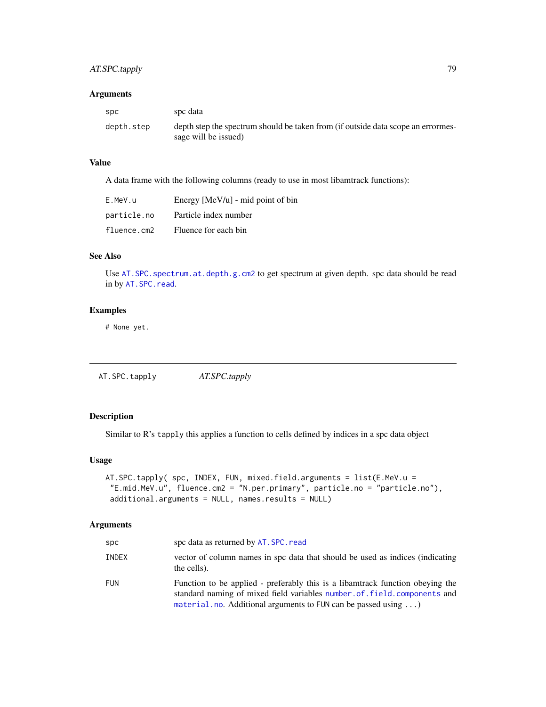# <span id="page-78-1"></span>AT.SPC.tapply 79

#### Arguments

| spc        | spc data                                                                                                 |
|------------|----------------------------------------------------------------------------------------------------------|
| depth.step | depth step the spectrum should be taken from (if outside data scope an errormes-<br>sage will be issued) |

# Value

A data frame with the following columns (ready to use in most libamtrack functions):

| E.MeV.u     | Energy $[MeV/u]$ - mid point of bin |
|-------------|-------------------------------------|
| particle.no | Particle index number               |
| fluence.cm2 | Fluence for each bin                |

# See Also

Use [AT.SPC.spectrum.at.depth.g.cm2](#page-77-1) to get spectrum at given depth. spc data should be read in by [AT.SPC.read](#page-73-0).

# Examples

# None yet.

<span id="page-78-0"></span>AT.SPC.tapply *AT.SPC.tapply*

# Description

Similar to R's tapply this applies a function to cells defined by indices in a spc data object

# Usage

```
AT.SPC.tapply( spc, INDEX, FUN, mixed.field.arguments = list(E.MeV.u =
 "E.mid.MeV.u", fluence.cm2 = "N.per.primary", particle.no = "particle.no"),
 additional.arguments = NULL, names.results = NULL)
```
# Arguments

| <b>SDC</b> | spc data as returned by AT. SPC. read                                                                                                                                                                                                   |
|------------|-----------------------------------------------------------------------------------------------------------------------------------------------------------------------------------------------------------------------------------------|
| INDEX      | vector of column names in spc data that should be used as indices (indicating<br>the cells).                                                                                                                                            |
| <b>FUN</b> | Function to be applied - preferably this is a libaratized function obeying the<br>standard naming of mixed field variables number, of, field, components and<br>material.no. Additional arguments to FUN can be passed using $\ldots$ ) |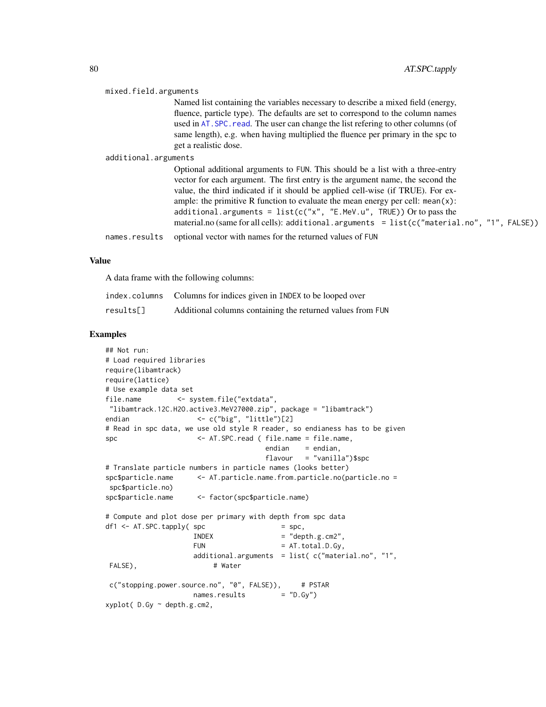<span id="page-79-0"></span>

| mixed.field.arguments |                                                                                                                                                                                                                                                                                                                                                                                                                                                                                                                  |
|-----------------------|------------------------------------------------------------------------------------------------------------------------------------------------------------------------------------------------------------------------------------------------------------------------------------------------------------------------------------------------------------------------------------------------------------------------------------------------------------------------------------------------------------------|
|                       | Named list containing the variables necessary to describe a mixed field (energy,                                                                                                                                                                                                                                                                                                                                                                                                                                 |
|                       | fluence, particle type). The defaults are set to correspond to the column names                                                                                                                                                                                                                                                                                                                                                                                                                                  |
|                       | used in AT. SPC. read. The user can change the list refering to other columns (of                                                                                                                                                                                                                                                                                                                                                                                                                                |
|                       | same length), e.g. when having multiplied the fluence per primary in the spc to<br>get a realistic dose.                                                                                                                                                                                                                                                                                                                                                                                                         |
| additional.arguments  |                                                                                                                                                                                                                                                                                                                                                                                                                                                                                                                  |
|                       | Optional additional arguments to FUN. This should be a list with a three-entry<br>vector for each argument. The first entry is the argument name, the second the<br>value, the third indicated if it should be applied cell-wise (if TRUE). For ex-<br>ample: the primitive R function to evaluate the mean energy per cell: $mean(x)$ :<br>additional.arguments = $list(c("x", "E.MeV.u", TRUE))$ Or to pass the<br>material.no (same for all cells): additional.arguments = list(c("material.no", "1", FALSE)) |
| names.results         | optional vector with names for the returned values of FUN                                                                                                                                                                                                                                                                                                                                                                                                                                                        |

A data frame with the following columns:

|           | index.columns Columns for indices given in INDEX to be looped over |
|-----------|--------------------------------------------------------------------|
| results[] | Additional columns containing the returned values from FUN         |

# Examples

```
## Not run:
# Load required libraries
require(libamtrack)
require(lattice)
# Use example data set
file.name <- system.file("extdata",
"libamtrack.12C.H2O.active3.MeV27000.zip", package = "libamtrack")
endian <- c("big", "little")[2]
# Read in spc data, we use old style R reader, so endianess has to be given
spc <- AT.SPC.read ( file.name = file.name,
                                   endian = endian,
                                   flavour = "vanilla")$spc
# Translate particle numbers in particle names (looks better)
spc$particle.name <- AT.particle.name.from.particle.no(particle.no =
spc$particle.no)
spc$particle.name <- factor(spc$particle.name)
# Compute and plot dose per primary with depth from spc data
df1 \leq AT.SPC.tapply( spec \qquad \qquad = spec,INDEX = "depth.g.cm2",
                   FUN = AT. total.D.Gy,additional.arguments = list( c("material.no", "1",
FALSE), # Water
c("stopping.power.source.no", "0", FALSE)), # PSTAR
                   names. results = "D.Gy")xyplot( D.Gy ~ depth.g.cm2,
```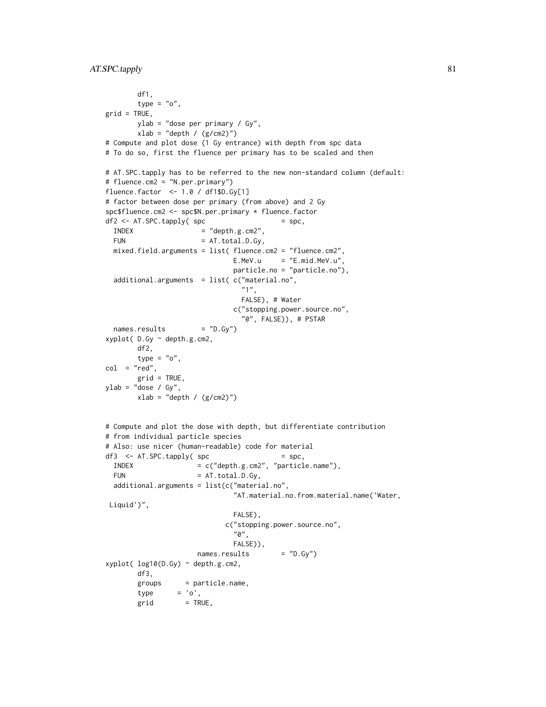```
df1,
       type = "o",grid = TRUE,ylab = "dose per primary / Gy",
       xlab = "depth / (g/cm2)")# Compute and plot dose (1 Gy entrance) with depth from spc data
# To do so, first the fluence per primary has to be scaled and then
# AT.SPC.tapply has to be referred to the new non-standard column (default:
# fluence.cm2 = "N.per.primary")
fluence.factor <- 1.0 / df1$D.Gy[1]
# factor between dose per primary (from above) and 2 Gy
spc$fluence.cm2 <- spc$N.per.primary * fluence.factor
df2 \leq AT.SPC.tapply(Spc) = spc,INDEX = "depth.g.cm2",FUN = AT.total.D.Gy,
 mixed.field.arguments = list( fluence.cm2 = "fluence.cm2",
                             E.MeV.u = "E.mid.MeV.u",particle.no = "particle.no"),
 additional.arguments = list( c("material.no",
                               "1",
                               FALSE), # Water
                             c("stopping.power.source.no",
                               "0", FALSE)), # PSTAR
 names. results = "D.Gy")
xyplot( D.Gy ~ depth.g.cm2,
       df2,
       type = "o",
col = "red",grid = TRUE.ylab = "dose / Gy",
       xlab = "depth / (g/cm2)"# Compute and plot the dose with depth, but differentiate contribution
# from individual particle species
# Also: use nicer (human-readable) code for material
df3 \leq AT.SPC.tapply(Spc) = spc,INDEX = c("depth.g.cm2", "particle.name"),
 FUN = AT. total.D.Gy,additional.arguments = list(c("material.no",
                             "AT.material.no.from.material.name('Water,
Liquid')",
                             FALSE),
                           c("stopping.power.source.no",
                             "0",
                             FALSE)),
                     names. results = "D.Gy")xyplot( log10(D.Gy) ~ depth.g.cm2,
       df3,
       groups = particle.name,
       type = 'o',grid = TRUE,
```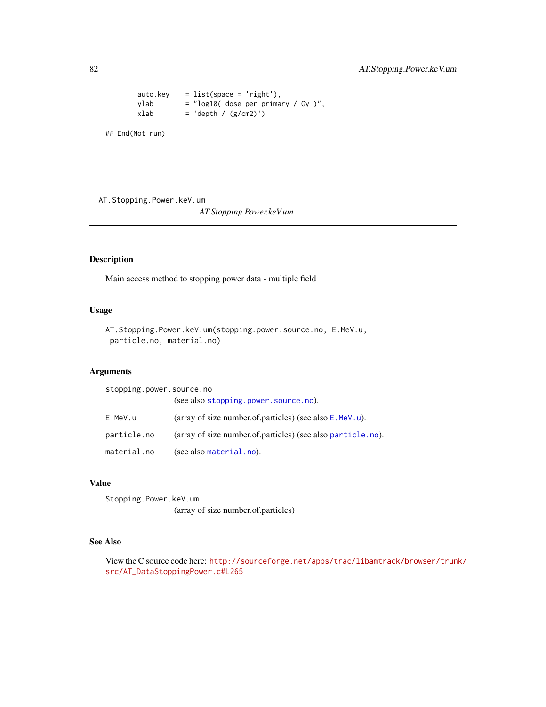```
auto.key = list(space = 'right'),
ylab = "log10( dose per primary / Gy )",
xlab = 'depth / (g/cm2)')
```
## End(Not run)

AT.Stopping.Power.keV.um

*AT.Stopping.Power.keV.um*

# Description

Main access method to stopping power data - multiple field

# Usage

```
AT.Stopping.Power.keV.um(stopping.power.source.no, E.MeV.u,
particle.no, material.no)
```
#### Arguments

| stopping.power.source.no |                                                              |
|--------------------------|--------------------------------------------------------------|
|                          | (see also stopping.power.source.no).                         |
| E.MeV.u                  | (array of size number.of.particles) (see also $E$ . MeV. u). |
| particle.no              | (array of size number.of.particles) (see also particle.no).  |
| material.no              | (see also material.no).                                      |

#### Value

Stopping.Power.keV.um (array of size number.of.particles)

# See Also

View the C source code here: [http://sourceforge.net/apps/trac/libamtrack/browser/trun](http://sourceforge.net/apps/trac/libamtrack/browser/trunk/src/AT_DataStoppingPower.c#L265)k/ [src/AT\\_DataStoppingPower.c#L265](http://sourceforge.net/apps/trac/libamtrack/browser/trunk/src/AT_DataStoppingPower.c#L265)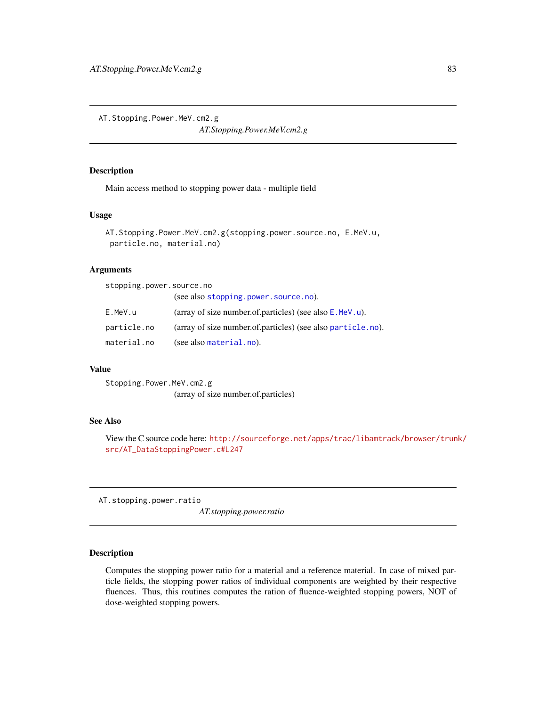<span id="page-82-0"></span>AT.Stopping.Power.MeV.cm2.g

*AT.Stopping.Power.MeV.cm2.g*

# Description

Main access method to stopping power data - multiple field

#### Usage

```
AT.Stopping.Power.MeV.cm2.g(stopping.power.source.no, E.MeV.u,
particle.no, material.no)
```
# Arguments

| stopping.power.source.no |                                                              |
|--------------------------|--------------------------------------------------------------|
|                          | (see also stopping.power.source.no).                         |
| E.MeV.u                  | (array of size number of particles) (see also $E$ . MeV. u). |
| particle.no              | (array of size number.of.particles) (see also particle.no).  |
| material.no              | (see also material.no).                                      |

# Value

Stopping.Power.MeV.cm2.g (array of size number.of.particles)

## See Also

View the C source code here: [http://sourceforge.net/apps/trac/libamtrack/browser/trun](http://sourceforge.net/apps/trac/libamtrack/browser/trunk/src/AT_DataStoppingPower.c#L247)k/ [src/AT\\_DataStoppingPower.c#L247](http://sourceforge.net/apps/trac/libamtrack/browser/trunk/src/AT_DataStoppingPower.c#L247)

AT.stopping.power.ratio

*AT.stopping.power.ratio*

# Description

Computes the stopping power ratio for a material and a reference material. In case of mixed particle fields, the stopping power ratios of individual components are weighted by their respective fluences. Thus, this routines computes the ration of fluence-weighted stopping powers, NOT of dose-weighted stopping powers.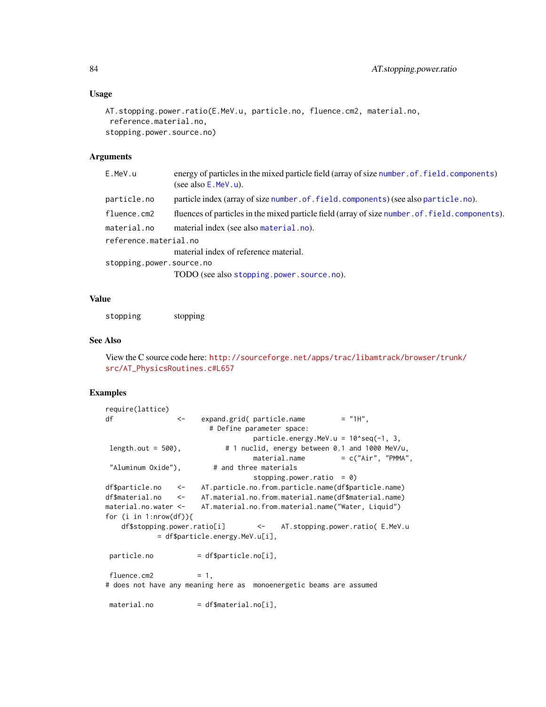#### Usage

```
AT.stopping.power.ratio(E.MeV.u, particle.no, fluence.cm2, material.no,
reference.material.no,
stopping.power.source.no)
```
# Arguments

| E.MeV.u                  | energy of particles in the mixed particle field (array of size number of field, components)<br>(see also $E$ . MeV. u). |
|--------------------------|-------------------------------------------------------------------------------------------------------------------------|
| particle.no              | particle index (array of size number. of. field. components) (see also particle. no).                                   |
| fluence.cm2              | fluences of particles in the mixed particle field (array of size number. of. field. components).                        |
| material.no              | material index (see also material.no).                                                                                  |
| reference.material.no    |                                                                                                                         |
|                          | material index of reference material.                                                                                   |
| stopping.power.source.no |                                                                                                                         |
|                          | TODO (see also stopping.power.source.no).                                                                               |

# Value

stopping stopping

#### See Also

View the C source code here: [http://sourceforge.net/apps/trac/libamtrack/browser/trun](http://sourceforge.net/apps/trac/libamtrack/browser/trunk/src/AT_PhysicsRoutines.c#L657)k/ [src/AT\\_PhysicsRoutines.c#L657](http://sourceforge.net/apps/trac/libamtrack/browser/trunk/src/AT_PhysicsRoutines.c#L657)

#### Examples

```
require(lattice)
df <- expand.grid( particle.name = "1H",
                      # Define parameter space:
                                particle.energy.MeV.u = 10^seq(-1, 3,
length.out = 500), \# 1 nuclid, energy between 0.1 and 1000 MeV/u,
                                material.name = c("Air", "PMMA","Aluminum Oxide"), # and three materials
                                stopping.power.ratio = 0)
df$particle.no <- AT.particle.no.from.particle.name(df$particle.name)
df$material.no <- AT.material.no.from.material.name(df$material.name)
material.no.water <- AT.material.no.from.material.name("Water, Liquid")
for (i in 1:nrow(df)){
   df$stopping.power.ratio[i] <- AT.stopping.power.ratio( E.MeV.u
           = df$particle.energy.MeV.u[i],
particle.no = df$particle.no[i],
fluence.cm2 = 1,# does not have any meaning here as monoenergetic beams are assumed
material.no = df$material.no[i],
```
<span id="page-83-0"></span>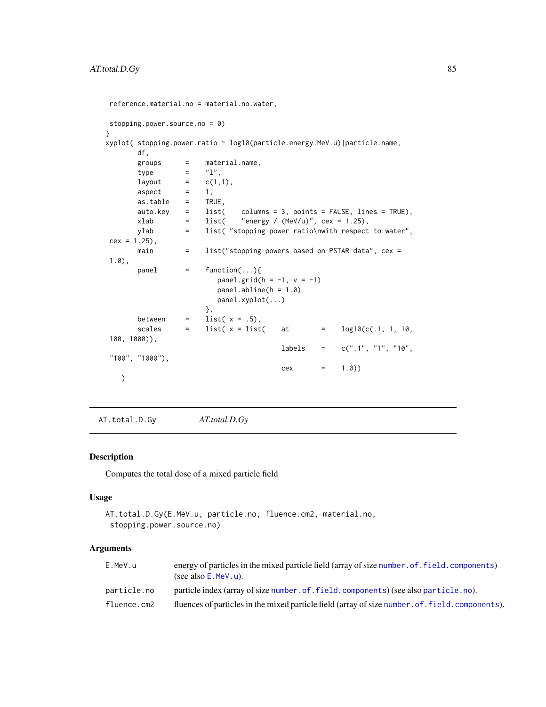```
reference.material.no = material.no.water,
stopping.power.source.no = 0)
}
xyplot( stopping.power.ratio ~ log10(particle.energy.MeV.u)|particle.name,
       df,
       groups = material.name,
       type = "l",
      layout = c(1,1),
       \text{aspect} = 1,<br>\text{as.table} = \text{TRUE},as.table =auto.key = list( columns = 3, points = FALSE, lines = TRUE),
      xlab = list( "energy / (MeV/u)", cex = 1.25),
      ylab = list( "stopping power ratio\nwith respect to water",
cex = 1.25,
      main = list("stopping powers based on PSTAR data", cex =
1.0),
      panel = function(...)\{panel.grid(h = -1, v = -1)
                        panel.abline(h = 1.0)
                        panel.xyplot(...)
                      },
       between = list(x = .5),
       scales = list(x =list( at = log10(c(.1, 1, 10,
100, 1000)),
                                       labels = c(".1", "1", "10","100", "1000"),
                                       cex = 1.0))
   )
```
AT.total.D.Gy *AT.total.D.Gy*

# Description

Computes the total dose of a mixed particle field

#### Usage

```
AT.total.D.Gy(E.MeV.u, particle.no, fluence.cm2, material.no,
 stopping.power.source.no)
```
# Arguments

| E.MeV.u     | energy of particles in the mixed particle field (array of size number, of, field, components)<br>(see also $E$ . MeV. u). |
|-------------|---------------------------------------------------------------------------------------------------------------------------|
| particle.no | particle index (array of size number of field, components) (see also particle, no).                                       |
| fluence.cm2 | fluences of particles in the mixed particle field (array of size number. of. field. components).                          |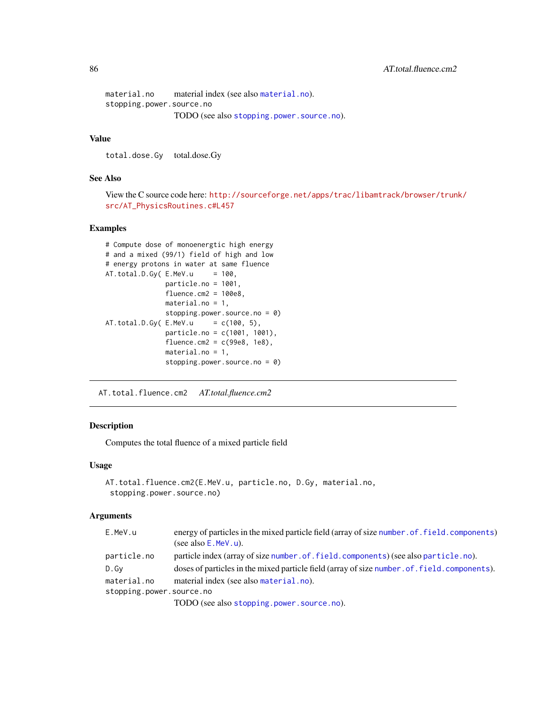```
material.no material index (see also material.no).
stopping.power.source.no
                TODO (see also stopping.power.source.no).
```
total.dose.Gy total.dose.Gy

# See Also

View the C source code here: [http://sourceforge.net/apps/trac/libamtrack/browser/trun](http://sourceforge.net/apps/trac/libamtrack/browser/trunk/src/AT_PhysicsRoutines.c#L457)k/ [src/AT\\_PhysicsRoutines.c#L457](http://sourceforge.net/apps/trac/libamtrack/browser/trunk/src/AT_PhysicsRoutines.c#L457)

#### Examples

```
# Compute dose of monoenergtic high energy
# and a mixed (99/1) field of high and low
# energy protons in water at same fluence
AT. total.D.Gy( E.MeV.u = 100,particle.no = 1001,
              fluence.cm2 = 100e8,
              material.no = 1,
              stopping.power.source.no = 0)
AT.total.D.Gy(E.MeV.u = c(100, 5),particle.no = c(1001, 1001),
              fluence.cm2 = c(99e8, 1e8),
              material.no = 1,
               stopping.power.source.no = 0)
```
AT.total.fluence.cm2 *AT.total.fluence.cm2*

# Description

Computes the total fluence of a mixed particle field

#### Usage

```
AT.total.fluence.cm2(E.MeV.u, particle.no, D.Gy, material.no,
 stopping.power.source.no)
```
# Arguments

| E.MeV.u                  | energy of particles in the mixed particle field (array of size number. of . field. components) |
|--------------------------|------------------------------------------------------------------------------------------------|
|                          | (see also $E$ . MeV. u).                                                                       |
| particle.no              | particle index (array of size number . of . field. components) (see also particle . no).       |
| D.Gv                     | doses of particles in the mixed particle field (array of size number of field components).     |
| material.no              | material index (see also material.no).                                                         |
| stopping.power.source.no |                                                                                                |
|                          | $TODO$ (see also stopping power source no)                                                     |

TODO (see also [stopping.power.source.no](#page-96-0)).

<span id="page-85-0"></span>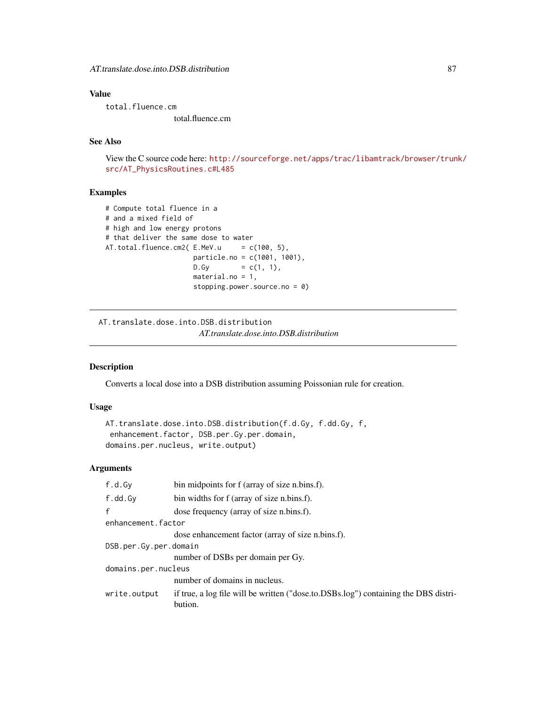<span id="page-86-0"></span>total.fluence.cm total.fluence.cm

# See Also

View the C source code here: [http://sourceforge.net/apps/trac/libamtrack/browser/trun](http://sourceforge.net/apps/trac/libamtrack/browser/trunk/src/AT_PhysicsRoutines.c#L485)k/ [src/AT\\_PhysicsRoutines.c#L485](http://sourceforge.net/apps/trac/libamtrack/browser/trunk/src/AT_PhysicsRoutines.c#L485)

#### Examples

```
# Compute total fluence in a
# and a mixed field of
# high and low energy protons
# that deliver the same dose to water
AT.total.fluence.cm2(E.MeV.u = c(100, 5),particle.no = c(1001, 1001),
                    D.Gy = c(1, 1),material.no = 1,
                    stopping.power.source.no = 0)
```
AT.translate.dose.into.DSB.distribution *AT.translate.dose.into.DSB.distribution*

# Description

Converts a local dose into a DSB distribution assuming Poissonian rule for creation.

# Usage

```
AT.translate.dose.into.DSB.distribution(f.d.Gy, f.dd.Gy, f,
enhancement.factor, DSB.per.Gy.per.domain,
domains.per.nucleus, write.output)
```
#### Arguments

| f.d.Gy                | bin midpoints for f (array of size n.bins.f).                                                  |
|-----------------------|------------------------------------------------------------------------------------------------|
| f.dd.Gy               | bin widths for f (array of size n.bins.f).                                                     |
| f                     | dose frequency (array of size n.bins.f).                                                       |
| enhancement.factor    |                                                                                                |
|                       | dose enhancement factor (array of size n.bins.f).                                              |
| DSB.per.Gy.per.domain |                                                                                                |
|                       | number of DSBs per domain per Gy.                                                              |
| domains.per.nucleus   |                                                                                                |
|                       | number of domains in nucleus.                                                                  |
| write.output          | if true, a log file will be written ("dose.to.DSBs.log") containing the DBS distri-<br>bution. |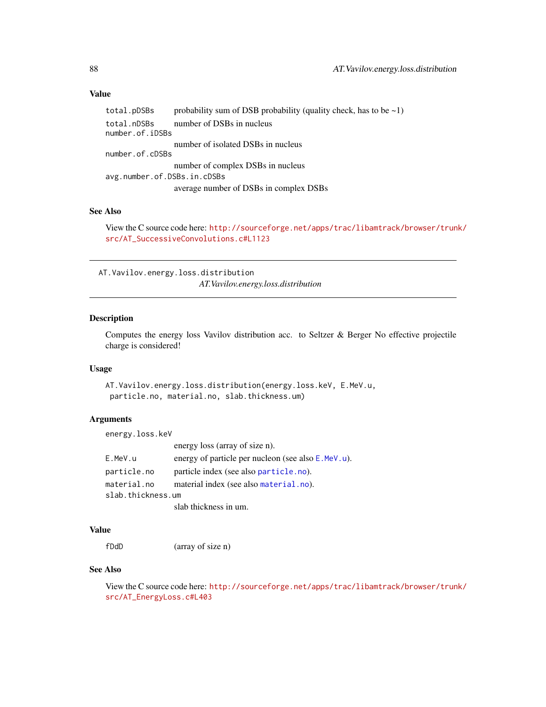```
total.pDSBs probability sum of DSB probability (quality check, has to be \sim 1)
total.nDSBs number of DSBs in nucleus
number.of.iDSBs
                number of isolated DSBs in nucleus
number.of.cDSBs
                 number of complex DSBs in nucleus
avg.number.of.DSBs.in.cDSBs
                 average number of DSBs in complex DSBs
```
# See Also

View the C source code here: [http://sourceforge.net/apps/trac/libamtrack/browser/trun](http://sourceforge.net/apps/trac/libamtrack/browser/trunk/src/AT_SuccessiveConvolutions.c#L1123)k/ [src/AT\\_SuccessiveConvolutions.c#L1123](http://sourceforge.net/apps/trac/libamtrack/browser/trunk/src/AT_SuccessiveConvolutions.c#L1123)

AT.Vavilov.energy.loss.distribution *AT.Vavilov.energy.loss.distribution*

# Description

Computes the energy loss Vavilov distribution acc. to Seltzer & Berger No effective projectile charge is considered!

#### Usage

```
AT.Vavilov.energy.loss.distribution(energy.loss.keV, E.MeV.u,
particle.no, material.no, slab.thickness.um)
```
## Arguments

energy.loss.keV

|                   | energy loss (array of size n).                     |
|-------------------|----------------------------------------------------|
| E.MeV.u           | energy of particle per nucleon (see also E.MeV.u). |
| particle.no       | particle index (see also particle.no).             |
| material.no       | material index (see also material.no).             |
| slab.thickness.um |                                                    |
|                   | slab thickness in um.                              |

#### Value

fDdD (array of size n)

# See Also

View the C source code here: [http://sourceforge.net/apps/trac/libamtrack/browser/trun](http://sourceforge.net/apps/trac/libamtrack/browser/trunk/src/AT_EnergyLoss.c#L403)k/ [src/AT\\_EnergyLoss.c#L403](http://sourceforge.net/apps/trac/libamtrack/browser/trunk/src/AT_EnergyLoss.c#L403)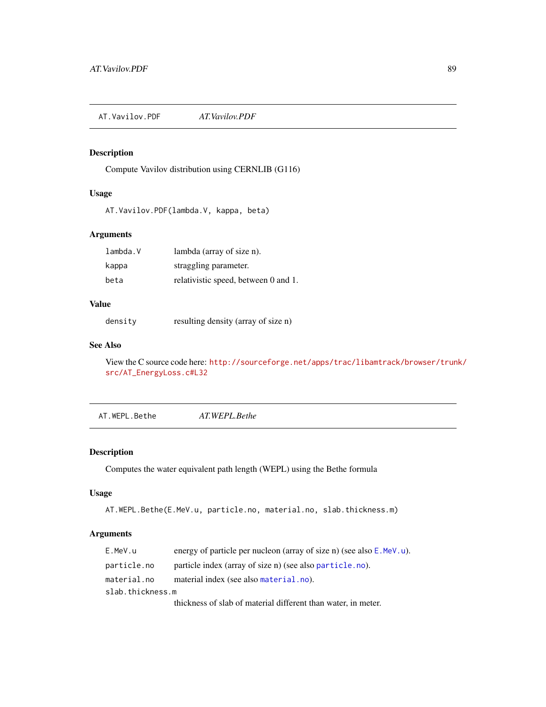<span id="page-88-0"></span>AT.Vavilov.PDF *AT.Vavilov.PDF*

# Description

Compute Vavilov distribution using CERNLIB (G116)

# Usage

AT.Vavilov.PDF(lambda.V, kappa, beta)

# Arguments

| lambda.V | lambda (array of size n).            |
|----------|--------------------------------------|
| kappa    | straggling parameter.                |
| beta     | relativistic speed, between 0 and 1. |

## Value

density resulting density (array of size n)

# See Also

View the C source code here: [http://sourceforge.net/apps/trac/libamtrack/browser/trun](http://sourceforge.net/apps/trac/libamtrack/browser/trunk/src/AT_EnergyLoss.c#L32)k/ [src/AT\\_EnergyLoss.c#L32](http://sourceforge.net/apps/trac/libamtrack/browser/trunk/src/AT_EnergyLoss.c#L32)

AT.WEPL.Bethe *AT.WEPL.Bethe*

# Description

Computes the water equivalent path length (WEPL) using the Bethe formula

# Usage

```
AT.WEPL.Bethe(E.MeV.u, particle.no, material.no, slab.thickness.m)
```
# Arguments

| E.MeV.u          | energy of particle per nucleon (array of size n) (see also $E$ . MeV. u). |
|------------------|---------------------------------------------------------------------------|
| particle.no      | particle index (array of size n) (see also particle.no).                  |
| material.no      | material index (see also material.no).                                    |
| slab.thickness.m |                                                                           |
|                  | thickness of slab of material different than water, in meter.             |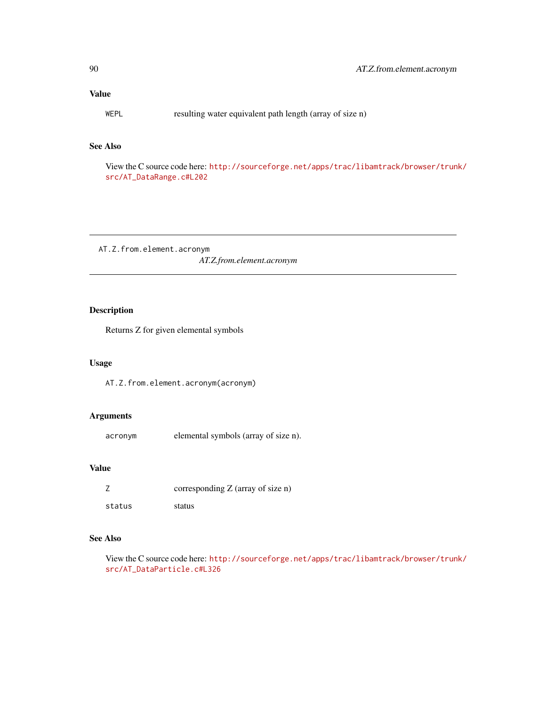<span id="page-89-0"></span>WEPL resulting water equivalent path length (array of size n)

# See Also

View the C source code here: [http://sourceforge.net/apps/trac/libamtrack/browser/trun](http://sourceforge.net/apps/trac/libamtrack/browser/trunk/src/AT_DataRange.c#L202)k/ [src/AT\\_DataRange.c#L202](http://sourceforge.net/apps/trac/libamtrack/browser/trunk/src/AT_DataRange.c#L202)

AT.Z.from.element.acronym *AT.Z.from.element.acronym*

# Description

Returns Z for given elemental symbols

# Usage

AT.Z.from.element.acronym(acronym)

# Arguments

acronym elemental symbols (array of size n).

# Value

|        | corresponding $Z$ (array of size n) |
|--------|-------------------------------------|
| status | status                              |

# See Also

View the C source code here: [http://sourceforge.net/apps/trac/libamtrack/browser/trun](http://sourceforge.net/apps/trac/libamtrack/browser/trunk/src/AT_DataParticle.c#L326)k/ [src/AT\\_DataParticle.c#L326](http://sourceforge.net/apps/trac/libamtrack/browser/trunk/src/AT_DataParticle.c#L326)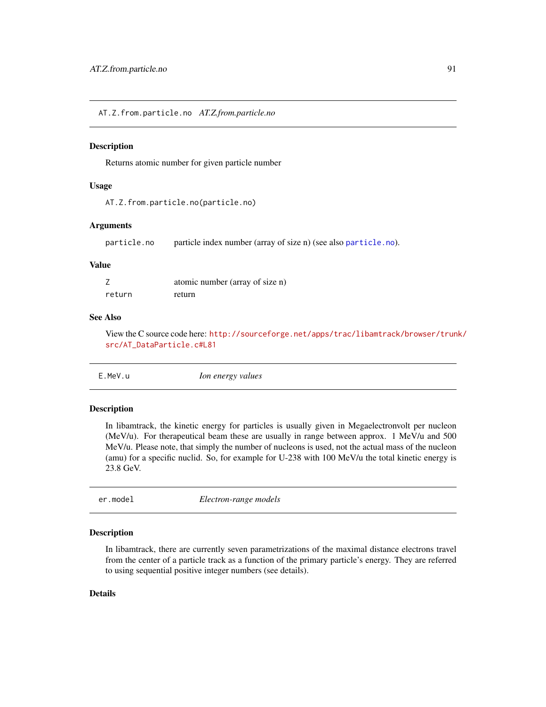<span id="page-90-1"></span>AT.Z.from.particle.no *AT.Z.from.particle.no*

## Description

Returns atomic number for given particle number

#### Usage

```
AT.Z.from.particle.no(particle.no)
```
#### Arguments

particle.no particle index number (array of size n) (see also [particle.no](#page-95-0)).

#### Value

|        | atomic number (array of size n) |
|--------|---------------------------------|
| return | return                          |

#### See Also

View the C source code here: [http://sourceforge.net/apps/trac/libamtrack/browser/trun](http://sourceforge.net/apps/trac/libamtrack/browser/trunk/src/AT_DataParticle.c#L81)k/ [src/AT\\_DataParticle.c#L81](http://sourceforge.net/apps/trac/libamtrack/browser/trunk/src/AT_DataParticle.c#L81)

<span id="page-90-0"></span>

| E.MeV.u | Ion energy values |  |
|---------|-------------------|--|
|         |                   |  |

## Description

In libamtrack, the kinetic energy for particles is usually given in Megaelectronvolt per nucleon (MeV/u). For therapeutical beam these are usually in range between approx. 1 MeV/u and 500 MeV/u. Please note, that simply the number of nucleons is used, not the actual mass of the nucleon (amu) for a specific nuclid. So, for example for U-238 with 100 MeV/u the total kinetic energy is 23.8 GeV.

| er.model | Electron-range models |  |
|----------|-----------------------|--|
|          |                       |  |

#### Description

In libamtrack, there are currently seven parametrizations of the maximal distance electrons travel from the center of a particle track as a function of the primary particle's energy. They are referred to using sequential positive integer numbers (see details).

#### Details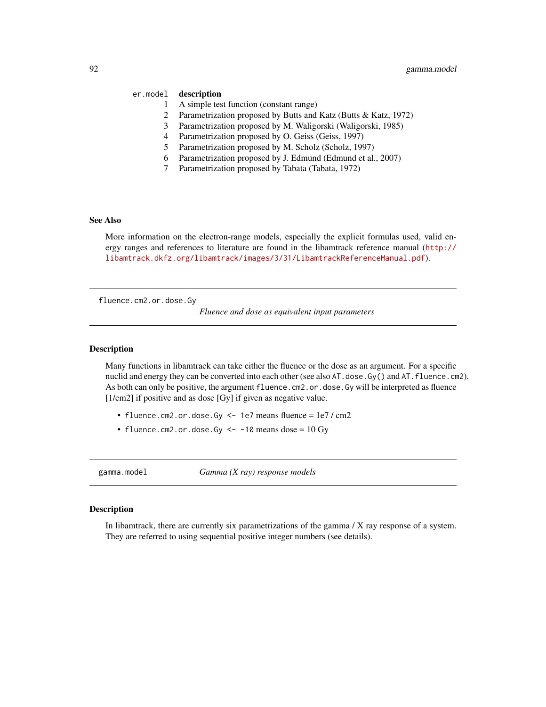# <span id="page-91-1"></span>er.model description

- 1 A simple test function (constant range)
- 2 Parametrization proposed by Butts and Katz (Butts & Katz, 1972)
- 3 Parametrization proposed by M. Waligorski (Waligorski, 1985)
- 4 Parametrization proposed by O. Geiss (Geiss, 1997)
- 5 Parametrization proposed by M. Scholz (Scholz, 1997)
- 6 Parametrization proposed by J. Edmund (Edmund et al., 2007)
- 7 Parametrization proposed by Tabata (Tabata, 1972)

# See Also

More information on the electron-range models, especially the explicit formulas used, valid energy ranges and references to literature are found in the libamtrack reference manual ([http://](http://libamtrack.dkfz.org/libamtrack/images/3/31/LibamtrackReferenceManual.pdf) [libamtrack.dkfz.org/libamtrack/images/3/31/LibamtrackReferenceManual.pdf](http://libamtrack.dkfz.org/libamtrack/images/3/31/LibamtrackReferenceManual.pdf)).

<span id="page-91-0"></span>fluence.cm2.or.dose.Gy

*Fluence and dose as equivalent input parameters*

#### Description

Many functions in libamtrack can take either the fluence or the dose as an argument. For a specific nuclid and energy they can be converted into each other (see also AT. dose.Gy() and AT. fluence.cm2). As both can only be positive, the argument fluence.cm2.or.dose.Gy will be interpreted as fluence [1/cm2] if positive and as dose [Gy] if given as negative value.

- fluence.cm2.or.dose.Gy <- 1e7 means fluence =  $1e7 / cm2$
- fluence.cm2.or.dose.Gy  $\le -10$  means dose = 10 Gy

gamma.model *Gamma (X ray) response models*

#### Description

In libamtrack, there are currently six parametrizations of the gamma / X ray response of a system. They are referred to using sequential positive integer numbers (see details).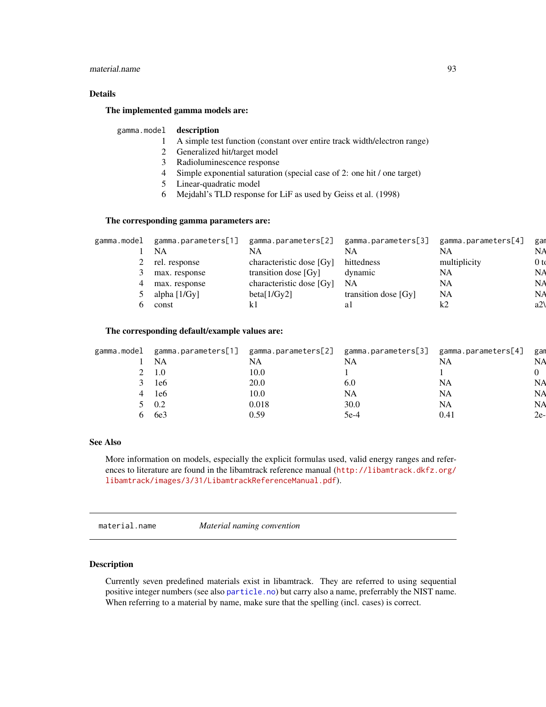# <span id="page-92-0"></span>material.name 93

# Details

#### The implemented gamma models are:

#### gamma.model description

- 1 A simple test function (constant over entire track width/electron range)
- 2 Generalized hit/target model
- 3 Radioluminescence response
- 4 Simple exponential saturation (special case of 2: one hit / one target)
- 5 Linear-quadratic model
- 6 Mejdahl's TLD response for LiF as used by Geiss et al. (1998)

# The corresponding gamma parameters are:

| gamma.model | gamma.parameters[1] | gamma.parameters[2]      | gamma.parameters[3]  | gamma.parameters[4] | gar             |
|-------------|---------------------|--------------------------|----------------------|---------------------|-----------------|
|             | NA                  | <b>NA</b>                | NA                   | NA                  | NA              |
|             | 2 rel. response     | characteristic dose [Gy] | hittedness           | multiplicity        | 0 <sub>td</sub> |
|             | max. response       | transition dose [Gy]     | dynamic              | NA                  | <b>NA</b>       |
| 4           | max. response       | characteristic dose [Gy] | NA                   | <b>NA</b>           | NA              |
|             | alpha [1/Gy]        | beta[1/Gy2]              | transition dose [Gy] | <b>NA</b>           | <b>NA</b>       |
|             | const               |                          |                      | ∼                   | a2              |
|             |                     |                          |                      |                     |                 |

# The corresponding default/example values are:

| gamma.model | gamma.parameters[1] | gamma.parameters[2] gamma.parameters[3] |           | gamma.parameters[4] | gan       |
|-------------|---------------------|-----------------------------------------|-----------|---------------------|-----------|
|             | NA                  | NA                                      | NA        | NA                  | <b>NA</b> |
|             | 1.0                 | 10.0                                    |           |                     |           |
|             | 1e6                 | 20.0                                    | 6.0       | NA                  | NА        |
|             | 1e6                 | 10.0                                    | <b>NA</b> | NA                  | NA        |
|             | 0.2                 | 0.018                                   | 30.0      | NA                  | NA        |
|             | 6e3                 | 0.59                                    | $5e-4$    | 0.41                | 2e-       |
|             |                     |                                         |           |                     |           |

# See Also

More information on models, especially the explicit formulas used, valid energy ranges and references to literature are found in the libamtrack reference manual ([http://libamtrack.dkfz.org/](http://libamtrack.dkfz.org/libamtrack/images/3/31/LibamtrackReferenceManual.pdf) [libamtrack/images/3/31/LibamtrackReferenceManual.pdf](http://libamtrack.dkfz.org/libamtrack/images/3/31/LibamtrackReferenceManual.pdf)).

material.name *Material naming convention*

## Description

Currently seven predefined materials exist in libamtrack. They are referred to using sequential positive integer numbers (see also [particle.no](#page-95-0)) but carry also a name, preferrably the NIST name. When referring to a material by name, make sure that the spelling (incl. cases) is correct.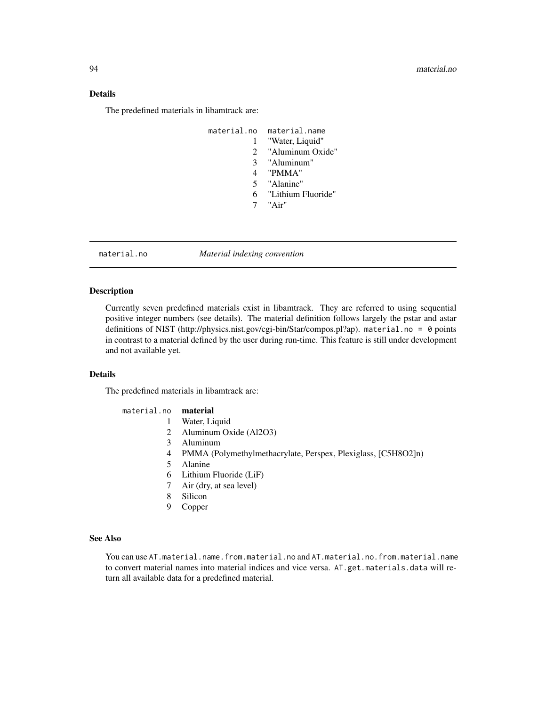# <span id="page-93-1"></span>Details

The predefined materials in libamtrack are:

| material.no    | material.name        |
|----------------|----------------------|
|                | "Water, Liquid"      |
| $\mathcal{L}$  | "Aluminum Oxide"     |
| 3 <sup>1</sup> | "Aluminum"           |
| 4              | "PMMA"               |
| 5 <sup>1</sup> | "Alanine"            |
|                | 6 "Lithium Fluoride" |
|                | $"$ $\Delta$ ir"     |
|                |                      |

<span id="page-93-0"></span>material.no *Material indexing convention*

# Description

Currently seven predefined materials exist in libamtrack. They are referred to using sequential positive integer numbers (see details). The material definition follows largely the pstar and astar definitions of NIST (http://physics.nist.gov/cgi-bin/Star/compos.pl?ap). material.no = 0 points in contrast to a material defined by the user during run-time. This feature is still under development and not available yet.

# Details

The predefined materials in libamtrack are:

| material.no <b>material</b> |                                                               |
|-----------------------------|---------------------------------------------------------------|
|                             | Water, Liquid                                                 |
|                             | 2 Aluminum Oxide (Al2O3)                                      |
| 3                           | Aluminum                                                      |
|                             | PMMA (Polymethylmethacrylate, Perspex, Plexiglass, [C5H8O2]n) |
|                             | Alanine                                                       |
| 6                           | Lithium Fluoride (LiF)                                        |
|                             | $7 - \lambda \ln (\text{dust of } \cos \theta)$               |

- 7 Air (dry, at sea level)
- 8 Silicon
- 9 Copper

#### See Also

You can use AT.material.name.from.material.no and AT.material.no.from.material.name to convert material names into material indices and vice versa. AT.get.materials.data will return all available data for a predefined material.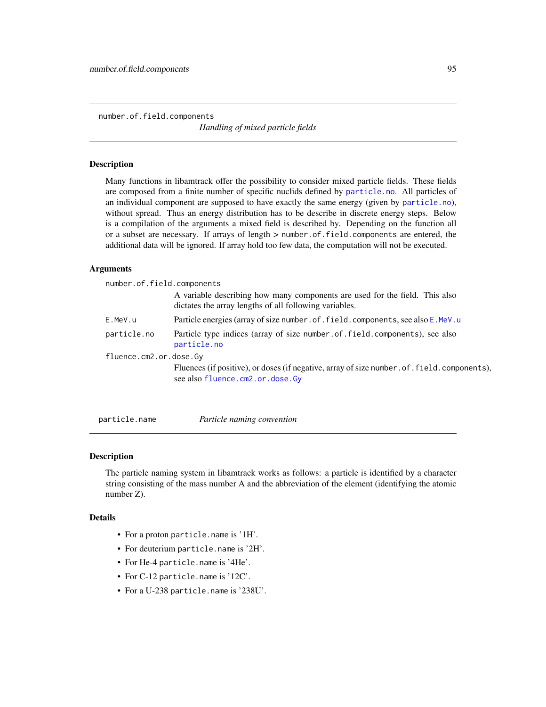<span id="page-94-1"></span><span id="page-94-0"></span>number.of.field.components

*Handling of mixed particle fields*

#### Description

Many functions in libamtrack offer the possibility to consider mixed particle fields. These fields are composed from a finite number of specific nuclids defined by [particle.no](#page-95-0). All particles of an individual component are supposed to have exactly the same energy (given by [particle.no](#page-95-0)), without spread. Thus an energy distribution has to be describe in discrete energy steps. Below is a compilation of the arguments a mixed field is described by. Depending on the function all or a subset are necessary. If arrays of length > number.of.field.components are entered, the additional data will be ignored. If array hold too few data, the computation will not be executed.

#### Arguments

| number.of.field.components |                                                                                                                                       |  |
|----------------------------|---------------------------------------------------------------------------------------------------------------------------------------|--|
|                            | A variable describing how many components are used for the field. This also<br>dictates the array lengths of all following variables. |  |
| E.MeV.u                    | Particle energies (array of size number, of, field, components, see also E. MeV, u                                                    |  |
| particle.no                | Particle type indices (array of size number.of.field.components), see also<br>particle.no                                             |  |
| fluence.cm2.or.dose.Gy     |                                                                                                                                       |  |
|                            | Fluences (if positive), or doses (if negative, array of size number of field.components),<br>see also fluence.cm2.or.dose.Gy          |  |

particle.name *Particle naming convention*

# Description

The particle naming system in libamtrack works as follows: a particle is identified by a character string consisting of the mass number A and the abbreviation of the element (identifying the atomic number Z).

#### Details

- For a proton particle.name is '1H'.
- For deuterium particle.name is '2H'.
- For He-4 particle.name is '4He'.
- For C-12 particle.name is '12C'.
- For a U-238 particle.name is '238U'.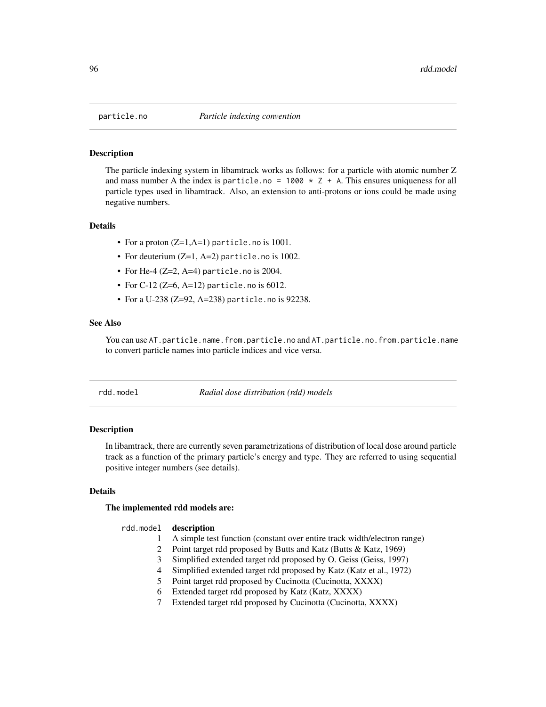<span id="page-95-1"></span><span id="page-95-0"></span>

#### Description

The particle indexing system in libamtrack works as follows: for a particle with atomic number Z and mass number A the index is particle.no =  $1000 \times Z + A$ . This ensures uniqueness for all particle types used in libamtrack. Also, an extension to anti-protons or ions could be made using negative numbers.

# Details

- For a proton (Z=1,A=1) particle.no is 1001.
- For deuterium (Z=1, A=2) particle.no is 1002.
- For He-4  $(Z=2, A=4)$  particle.no is 2004.
- For C-12 (Z=6, A=12) particle. no is  $6012$ .
- For a U-238 (Z=92, A=238) particle.no is 92238.

# See Also

You can use AT.particle.name.from.particle.no and AT.particle.no.from.particle.name to convert particle names into particle indices and vice versa.

rdd.model *Radial dose distribution (rdd) models*

#### Description

In libamtrack, there are currently seven parametrizations of distribution of local dose around particle track as a function of the primary particle's energy and type. They are referred to using sequential positive integer numbers (see details).

# Details

#### The implemented rdd models are:

#### rdd.model description

- 1 A simple test function (constant over entire track width/electron range)
- 2 Point target rdd proposed by Butts and Katz (Butts & Katz, 1969)
- 3 Simplified extended target rdd proposed by O. Geiss (Geiss, 1997)
- 4 Simplified extended target rdd proposed by Katz (Katz et al., 1972)
- 5 Point target rdd proposed by Cucinotta (Cucinotta, XXXX)
- 6 Extended target rdd proposed by Katz (Katz, XXXX)
- 7 Extended target rdd proposed by Cucinotta (Cucinotta, XXXX)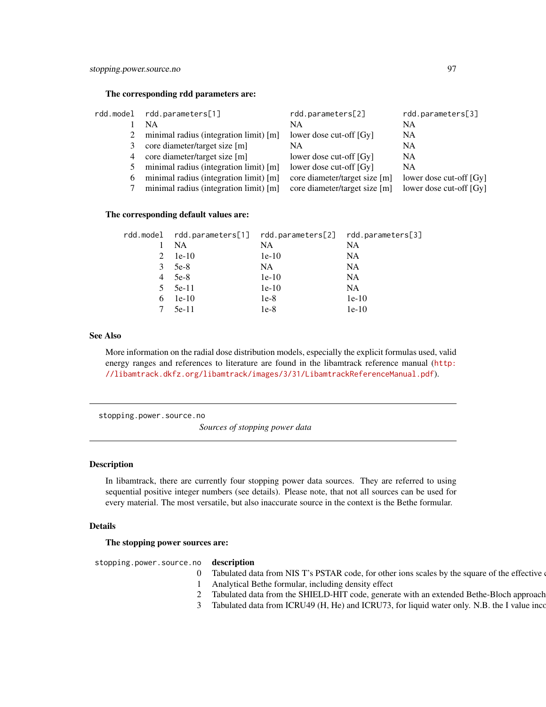#### <span id="page-96-1"></span>The corresponding rdd parameters are:

| rdd.model | rdd.parameters[1]                        | rdd.parameters[2]             | rdd.parameters[3]       |
|-----------|------------------------------------------|-------------------------------|-------------------------|
|           | <b>NA</b>                                | NA.                           | <b>NA</b>               |
|           | minimal radius (integration limit) $[m]$ | lower dose cut-off [Gy]       | <b>NA</b>               |
| 3         | core diameter/target size [m]            | NA.                           | NA                      |
|           | 4 core diameter/target size [m]          | lower dose cut-off [Gy]       | <b>NA</b>               |
| 5         | minimal radius (integration limit) [m]   | lower dose cut-off [Gy]       | <b>NA</b>               |
| 6         | minimal radius (integration limit) [m]   | core diameter/target size [m] | lower dose cut-off [Gy] |
|           | minimal radius (integration limit) [m]   | core diameter/target size [m] | lower dose cut-off [Gy] |
|           |                                          |                               |                         |

#### The corresponding default values are:

|   |                 | rdd.model rdd.parameters[1] rdd.parameters[2] rdd.parameters[3] |           |
|---|-----------------|-----------------------------------------------------------------|-----------|
|   | NA              | NA.                                                             | NA        |
|   | $1e-10$         | $1e-10$                                                         | <b>NA</b> |
| 3 | 5e-8            | NA.                                                             | <b>NA</b> |
| 4 | 5e-8            | $1e-10$                                                         | <b>NA</b> |
|   | $5 \quad 5e-11$ | $1e-10$                                                         | <b>NA</b> |
| 6 | $1e-10$         | $1e-8$                                                          | $1e-10$   |
|   | $5e-11$         | $1e-8$                                                          | $1e-10$   |

# See Also

More information on the radial dose distribution models, especially the explicit formulas used, valid energy ranges and references to literature are found in the libamtrack reference manual ([http:](http://libamtrack.dkfz.org/libamtrack/images/3/31/LibamtrackReferenceManual.pdf) [//libamtrack.dkfz.org/libamtrack/images/3/31/LibamtrackReferenceManual.pdf](http://libamtrack.dkfz.org/libamtrack/images/3/31/LibamtrackReferenceManual.pdf)).

<span id="page-96-0"></span>stopping.power.source.no

*Sources of stopping power data*

#### Description

In libamtrack, there are currently four stopping power data sources. They are referred to using sequential positive integer numbers (see details). Please note, that not all sources can be used for every material. The most versatile, but also inaccurate source in the context is the Bethe formular.

#### Details

The stopping power sources are:

stopping.power.source.no description

- 0 Tabulated data from NIS T's PSTAR code, for other ions scales by the square of the effective
- 1 Analytical Bethe formular, including density effect
- 2 Tabulated data from the SHIELD-HIT code, generate with an extended Bethe-Bloch approach
- 3 Tabulated data from ICRU49 (H, He) and ICRU73, for liquid water only. N.B. the I value incom-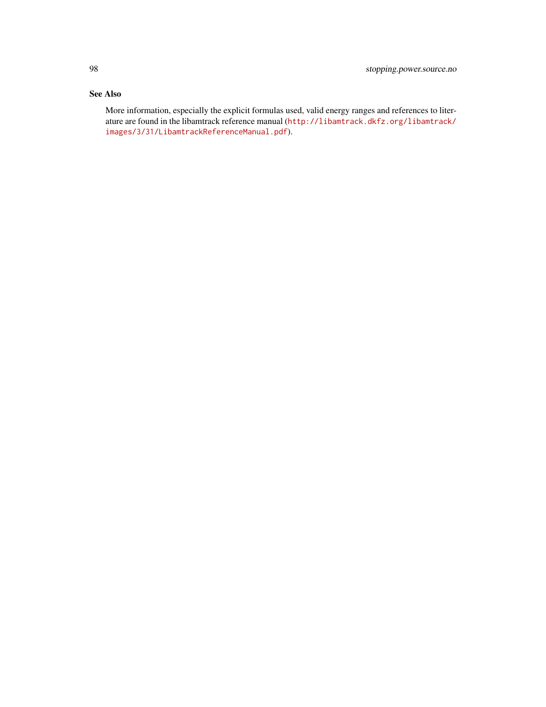# See Also

More information, especially the explicit formulas used, valid energy ranges and references to literature are found in the libamtrack reference manual ([http://libamtrack.dkfz.org/libamtrack/](http://libamtrack.dkfz.org/libamtrack/images/3/31/LibamtrackReferenceManual.pdf) [images/3/31/LibamtrackReferenceManual.pdf](http://libamtrack.dkfz.org/libamtrack/images/3/31/LibamtrackReferenceManual.pdf)).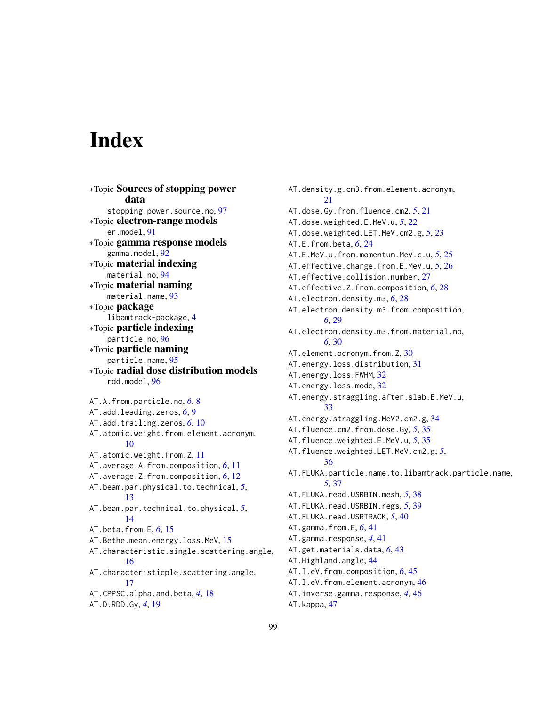# **Index**

∗Topic Sources of stopping power data stopping.power.source.no, [97](#page-96-1) ∗Topic electron-range models er.model, [91](#page-90-1) ∗Topic gamma response models gamma.model, [92](#page-91-1) ∗Topic material indexing material.no, [94](#page-93-1) ∗Topic material naming material.name, [93](#page-92-0) ∗Topic package libamtrack-package, [4](#page-3-0) ∗Topic particle indexing particle.no, [96](#page-95-1) ∗Topic particle naming particle.name, [95](#page-94-1) ∗Topic radial dose distribution models rdd.model, [96](#page-95-1) AT.A.from.particle.no, *[6](#page-5-0)*, [8](#page-7-0) AT.add.leading.zeros, *[6](#page-5-0)*, [9](#page-8-0) AT.add.trailing.zeros, *[6](#page-5-0)*, [10](#page-9-0) AT.atomic.weight.from.element.acronym, [10](#page-9-0) AT.atomic.weight.from.Z, [11](#page-10-0) AT.average.A.from.composition, *[6](#page-5-0)*, [11](#page-10-0) AT.average.Z.from.composition, *[6](#page-5-0)*, [12](#page-11-0) AT.beam.par.physical.to.technical, *[5](#page-4-0)*, [13](#page-12-0) AT.beam.par.technical.to.physical, *[5](#page-4-0)*, [14](#page-13-0) AT.beta.from.E, *[6](#page-5-0)*, [15](#page-14-0) AT.Bethe.mean.energy.loss.MeV, [15](#page-14-0) AT.characteristic.single.scattering.angle, [16](#page-15-0) AT.characteristicple.scattering.angle, [17](#page-16-0) AT.CPPSC.alpha.and.beta, *[4](#page-3-0)*, [18](#page-17-0) AT.D.RDD.Gy, *[4](#page-3-0)*, [19](#page-18-0)

AT.density.g.cm3.from.element.acronym, [21](#page-20-0) AT.dose.Gy.from.fluence.cm2, *[5](#page-4-0)*, [21](#page-20-0) AT.dose.weighted.E.MeV.u, *[5](#page-4-0)*, [22](#page-21-0) AT.dose.weighted.LET.MeV.cm2.g, *[5](#page-4-0)*, [23](#page-22-0) AT.E.from.beta, *[6](#page-5-0)*, [24](#page-23-0) AT.E.MeV.u.from.momentum.MeV.c.u, *[5](#page-4-0)*, [25](#page-24-0) AT.effective.charge.from.E.MeV.u, *[5](#page-4-0)*, [26](#page-25-0) AT.effective.collision.number, [27](#page-26-0) AT.effective.Z.from.composition, *[6](#page-5-0)*, [28](#page-27-0) AT.electron.density.m3, *[6](#page-5-0)*, [28](#page-27-0) AT.electron.density.m3.from.composition, *[6](#page-5-0)*, [29](#page-28-0) AT.electron.density.m3.from.material.no, *[6](#page-5-0)*, [30](#page-29-0) AT.element.acronym.from.Z, [30](#page-29-0) AT.energy.loss.distribution, [31](#page-30-0) AT.energy.loss.FWHM, [32](#page-31-0) AT.energy.loss.mode, [32](#page-31-0) AT.energy.straggling.after.slab.E.MeV.u, [33](#page-32-0) AT.energy.straggling.MeV2.cm2.g, [34](#page-33-0) AT.fluence.cm2.from.dose.Gy, *[5](#page-4-0)*, [35](#page-34-0) AT.fluence.weighted.E.MeV.u, *[5](#page-4-0)*, [35](#page-34-0) AT.fluence.weighted.LET.MeV.cm2.g, *[5](#page-4-0)*, [36](#page-35-0) AT.FLUKA.particle.name.to.libamtrack.particle.name, *[5](#page-4-0)*, [37](#page-36-0) AT.FLUKA.read.USRBIN.mesh, *[5](#page-4-0)*, [38](#page-37-0) AT.FLUKA.read.USRBIN.regs, *[5](#page-4-0)*, [39](#page-38-0) AT.FLUKA.read.USRTRACK, *[5](#page-4-0)*, [40](#page-39-0) AT.gamma.from.E, *[6](#page-5-0)*, [41](#page-40-0) AT.gamma.response, *[4](#page-3-0)*, [41](#page-40-0) AT.get.materials.data, *[6](#page-5-0)*, [43](#page-42-0) AT.Highland.angle, [44](#page-43-0) AT.I.eV.from.composition, *[6](#page-5-0)*, [45](#page-44-0) AT.I.eV.from.element.acronym, [46](#page-45-0) AT.inverse.gamma.response, *[4](#page-3-0)*, [46](#page-45-0) AT.kappa, [47](#page-46-0)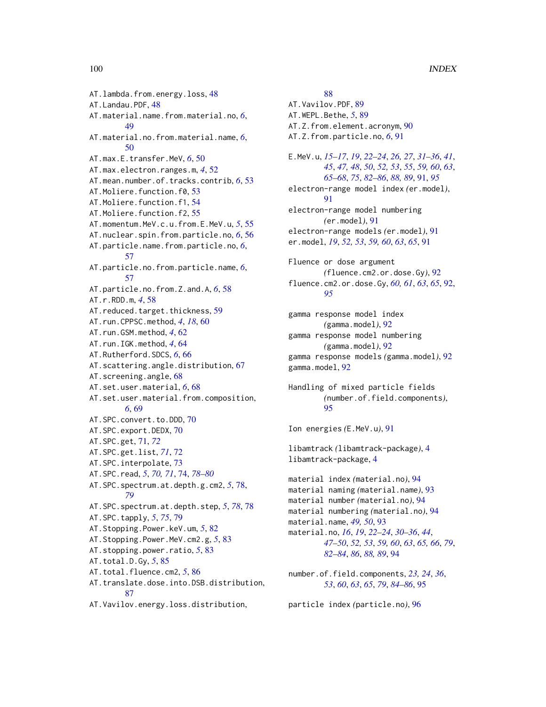AT.lambda.from.energy.loss, [48](#page-47-0) AT.Landau.PDF, [48](#page-47-0) AT.material.name.from.material.no, *[6](#page-5-0)*, [49](#page-48-0) AT.material.no.from.material.name, *[6](#page-5-0)*, [50](#page-49-0) AT.max.E.transfer.MeV, *[6](#page-5-0)*, [50](#page-49-0) AT.max.electron.ranges.m, *[4](#page-3-0)*, [52](#page-51-0) AT.mean.number.of.tracks.contrib, *[6](#page-5-0)*, [53](#page-52-0) AT.Moliere.function.f0, [53](#page-52-0) AT.Moliere.function.f1, [54](#page-53-0) AT.Moliere.function.f2, [55](#page-54-0) AT.momentum.MeV.c.u.from.E.MeV.u, *[5](#page-4-0)*, [55](#page-54-0) AT.nuclear.spin.from.particle.no, *[6](#page-5-0)*, [56](#page-55-0) AT.particle.name.from.particle.no, *[6](#page-5-0)*, [57](#page-56-0) AT.particle.no.from.particle.name, *[6](#page-5-0)*, [57](#page-56-0) AT.particle.no.from.Z.and.A, *[6](#page-5-0)*, [58](#page-57-0) AT.r.RDD.m, *[4](#page-3-0)*, [58](#page-57-0) AT. reduced.target.thickness, [59](#page-58-0) AT.run.CPPSC.method, *[4](#page-3-0)*, *[18](#page-17-0)*, [60](#page-59-0) AT.run.GSM.method, *[4](#page-3-0)*, [62](#page-61-0) AT.run.IGK.method, *[4](#page-3-0)*, [64](#page-63-0) AT.Rutherford.SDCS, *[6](#page-5-0)*, [66](#page-65-0) AT.scattering.angle.distribution, [67](#page-66-0) AT.screening.angle, [68](#page-67-0) AT.set.user.material, *[6](#page-5-0)*, [68](#page-67-0) AT.set.user.material.from.composition, *[6](#page-5-0)*, [69](#page-68-0) AT.SPC.convert.to.DDD, [70](#page-69-0) AT.SPC.export.DEDX, [70](#page-69-0) AT.SPC.get, [71,](#page-70-0) *[72](#page-71-0)* AT.SPC.get.list, *[71](#page-70-0)*, [72](#page-71-0) AT.SPC.interpolate, [73](#page-72-0) AT.SPC.read, *[5](#page-4-0)*, *[70,](#page-69-0) [71](#page-70-0)*, [74,](#page-73-1) *[78–](#page-77-2)[80](#page-79-0)* AT.SPC.spectrum.at.depth.g.cm2, *[5](#page-4-0)*, [78,](#page-77-2) *[79](#page-78-1)* AT.SPC.spectrum.at.depth.step, *[5](#page-4-0)*, *[78](#page-77-2)*, [78](#page-77-2) AT.SPC.tapply, *[5](#page-4-0)*, *[75](#page-74-0)*, [79](#page-78-1) AT.Stopping.Power.keV.um, *[5](#page-4-0)*, [82](#page-81-0) AT.Stopping.Power.MeV.cm2.g, *[5](#page-4-0)*, [83](#page-82-0) AT.stopping.power.ratio, *[5](#page-4-0)*, [83](#page-82-0) AT.total.D.Gy, *[5](#page-4-0)*, [85](#page-84-0) AT.total.fluence.cm2, *[5](#page-4-0)*, [86](#page-85-0) AT.translate.dose.into.DSB.distribution, [87](#page-86-0) AT.Vavilov.energy.loss.distribution,

[88](#page-87-0) AT.Vavilov.PDF, [89](#page-88-0) AT.WEPL.Bethe, *[5](#page-4-0)*, [89](#page-88-0) AT.Z.from.element.acronym, [90](#page-89-0) AT.Z.from.particle.no, *[6](#page-5-0)*, [91](#page-90-1) E.MeV.u, *[15](#page-14-0)[–17](#page-16-0)*, *[19](#page-18-0)*, *[22](#page-21-0)[–24](#page-23-0)*, *[26,](#page-25-0) [27](#page-26-0)*, *[31](#page-30-0)[–36](#page-35-0)*, *[41](#page-40-0)*, *[45](#page-44-0)*, *[47,](#page-46-0) [48](#page-47-0)*, *[50](#page-49-0)*, *[52,](#page-51-0) [53](#page-52-0)*, *[55](#page-54-0)*, *[59,](#page-58-0) [60](#page-59-0)*, *[63](#page-62-0)*, *[65](#page-64-0)[–68](#page-67-0)*, *[75](#page-74-0)*, *[82](#page-81-0)[–86](#page-85-0)*, *[88,](#page-87-0) [89](#page-88-0)*, [91,](#page-90-1) *[95](#page-94-1)* electron-range model index *(*er.model*)*, [91](#page-90-1) electron-range model numbering *(*er.model*)*, [91](#page-90-1) electron-range models *(*er.model*)*, [91](#page-90-1) er.model, *[19](#page-18-0)*, *[52,](#page-51-0) [53](#page-52-0)*, *[59,](#page-58-0) [60](#page-59-0)*, *[63](#page-62-0)*, *[65](#page-64-0)*, [91](#page-90-1) Fluence or dose argument *(*fluence.cm2.or.dose.Gy*)*, [92](#page-91-1) fluence.cm2.or.dose.Gy, *[60,](#page-59-0) [61](#page-60-0)*, *[63](#page-62-0)*, *[65](#page-64-0)*, [92,](#page-91-1) *[95](#page-94-1)* gamma response model index *(*gamma.model*)*, [92](#page-91-1) gamma response model numbering *(*gamma.model*)*, [92](#page-91-1) gamma response models *(*gamma.model*)*, [92](#page-91-1) gamma.model, [92](#page-91-1) Handling of mixed particle fields *(*number.of.field.components*)*, [95](#page-94-1) Ion energies *(*E.MeV.u*)*, [91](#page-90-1) libamtrack *(*libamtrack-package*)*, [4](#page-3-0) libamtrack-package, [4](#page-3-0) material index *(*material.no*)*, [94](#page-93-1) material naming *(*material.name*)*, [93](#page-92-0) material number *(*material.no*)*, [94](#page-93-1) material numbering *(*material.no*)*, [94](#page-93-1) material.name, *[49,](#page-48-0) [50](#page-49-0)*, [93](#page-92-0) material.no, *[16](#page-15-0)*, *[19](#page-18-0)*, *[22](#page-21-0)[–24](#page-23-0)*, *[30](#page-29-0)[–36](#page-35-0)*, *[44](#page-43-0)*, *[47](#page-46-0)[–50](#page-49-0)*, *[52,](#page-51-0) [53](#page-52-0)*, *[59,](#page-58-0) [60](#page-59-0)*, *[63](#page-62-0)*, *[65,](#page-64-0) [66](#page-65-0)*, *[79](#page-78-1)*, *[82](#page-81-0)[–84](#page-83-0)*, *[86](#page-85-0)*, *[88,](#page-87-0) [89](#page-88-0)*, [94](#page-93-1) number.of.field.components, *[23,](#page-22-0) [24](#page-23-0)*, *[36](#page-35-0)*, *[53](#page-52-0)*, *[60](#page-59-0)*, *[63](#page-62-0)*, *[65](#page-64-0)*, *[79](#page-78-1)*, *[84](#page-83-0)[–86](#page-85-0)*, [95](#page-94-1)

particle index *(*particle.no*)*, [96](#page-95-1)